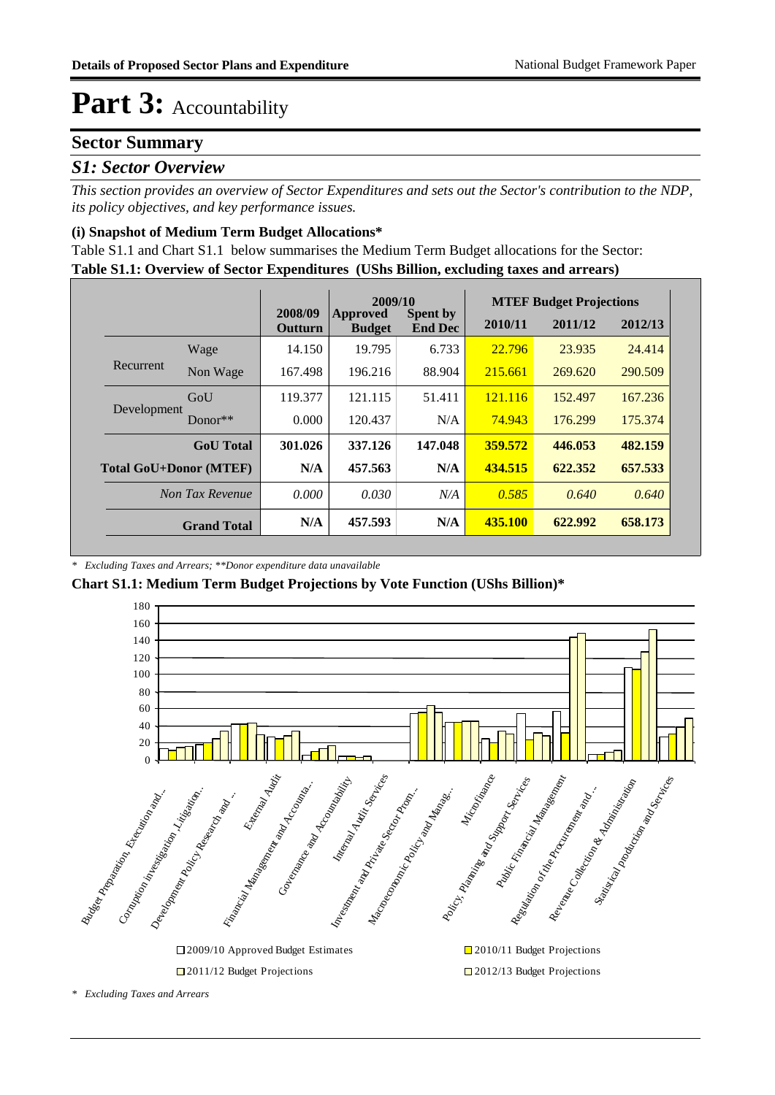### **Sector Summary**

#### *S1: Sector Overview*

*This section provides an overview of Sector Expenditures and sets out the Sector's contribution to the NDP, its policy objectives, and key performance issues.* 

#### **(i) Snapshot of Medium Term Budget Allocations\***

**Table S1.1: Overview of Sector Expenditures (UShs Billion, excluding taxes and arrears)** Table S1.1 and Chart S1.1 below summarises the Medium Term Budget allocations for the Sector:

|                               |                    |                           | 2009/10                          |                                   | <b>MTEF Budget Projections</b> |         |         |  |
|-------------------------------|--------------------|---------------------------|----------------------------------|-----------------------------------|--------------------------------|---------|---------|--|
|                               |                    | 2008/09<br><b>Outturn</b> | <b>Approved</b><br><b>Budget</b> | <b>Spent by</b><br><b>End Dec</b> | 2010/11                        | 2011/12 | 2012/13 |  |
|                               | Wage               | 14.150                    | 19.795                           | 6.733                             | 22.796                         | 23.935  | 24.414  |  |
| Recurrent                     | Non Wage           | 167.498                   | 196.216                          | 88.904                            | 215.661                        | 269.620 | 290.509 |  |
| Development                   | GoU                | 119.377                   | 121.115                          | 51.411                            | 121.116                        | 152.497 | 167.236 |  |
|                               | Donor**            | 0.000                     | 120.437                          | N/A                               | 74.943                         | 176.299 | 175.374 |  |
|                               | <b>GoU</b> Total   | 301.026                   | 337.126                          | 147.048                           | 359.572                        | 446.053 | 482.159 |  |
| <b>Total GoU+Donor (MTEF)</b> |                    | N/A                       | 457.563                          | N/A                               | 434.515                        | 622.352 | 657.533 |  |
| Non Tax Revenue               |                    | 0.000                     | 0.030                            | N/A                               | 0.585                          | 0.640   | 0.640   |  |
|                               | <b>Grand Total</b> | N/A                       | 457.593                          | N/A                               | 435.100                        | 622.992 | 658.173 |  |

*\* Excluding Taxes and Arrears; \*\*Donor expenditure data unavailable*

#### **Chart S1.1: Medium Term Budget Projections by Vote Function (UShs Billion)\***



□ 2011/12 Budget Projections □ 2012/13 Budget Projections

*<sup>\*</sup> Excluding Taxes and Arrears*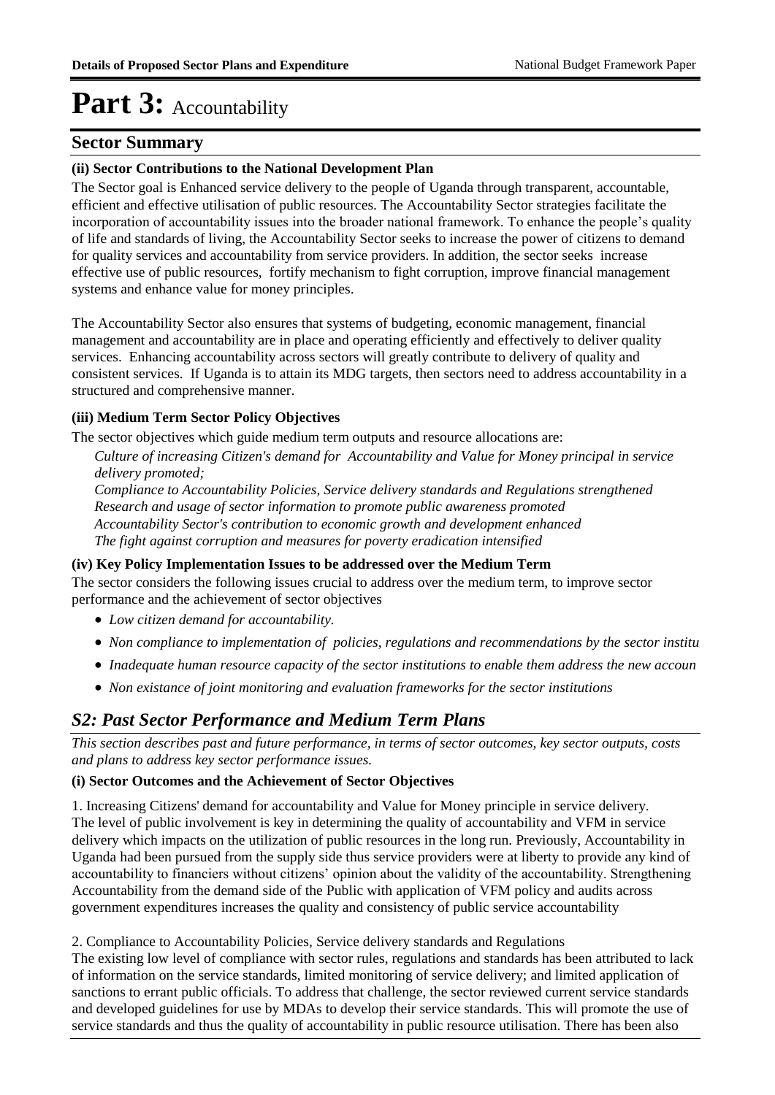### **Sector Summary**

#### **(ii) Sector Contributions to the National Development Plan**

The Sector goal is Enhanced service delivery to the people of Uganda through transparent, accountable, efficient and effective utilisation of public resources. The Accountability Sector strategies facilitate the incorporation of accountability issues into the broader national framework. To enhance the people's quality of life and standards of living, the Accountability Sector seeks to increase the power of citizens to demand for quality services and accountability from service providers. In addition, the sector seeks increase effective use of public resources, fortify mechanism to fight corruption, improve financial management systems and enhance value for money principles.

The Accountability Sector also ensures that systems of budgeting, economic management, financial management and accountability are in place and operating efficiently and effectively to deliver quality services. Enhancing accountability across sectors will greatly contribute to delivery of quality and consistent services. If Uganda is to attain its MDG targets, then sectors need to address accountability in a structured and comprehensive manner.

#### **(iii) Medium Term Sector Policy Objectives**

The sector objectives which guide medium term outputs and resource allocations are:

*Culture of increasing Citizen's demand for Accountability and Value for Money principal in service delivery promoted; Compliance to Accountability Policies, Service delivery standards and Regulations strengthened Research and usage of sector information to promote public awareness promoted* 

*Accountability Sector's contribution to economic growth and development enhanced*

*The fight against corruption and measures for poverty eradication intensified*

#### **(iv) Key Policy Implementation Issues to be addressed over the Medium Term**

The sector considers the following issues crucial to address over the medium term, to improve sector performance and the achievement of sector objectives

- *Low citizen demand for accountability.*
- *Non compliance to implementation of policies, regulations and recommendations by the sector institu*
- *Inadequate human resource capacity of the sector institutions to enable them address the new accoun*
- *Non existance of joint monitoring and evaluation frameworks for the sector institutions*

### *S2: Past Sector Performance and Medium Term Plans*

*This section describes past and future performance, in terms of sector outcomes, key sector outputs, costs and plans to address key sector performance issues.* 

#### **(i) Sector Outcomes and the Achievement of Sector Objectives**

1. Increasing Citizens' demand for accountability and Value for Money principle in service delivery. The level of public involvement is key in determining the quality of accountability and VFM in service delivery which impacts on the utilization of public resources in the long run. Previously, Accountability in Uganda had been pursued from the supply side thus service providers were at liberty to provide any kind of accountability to financiers without citizens' opinion about the validity of the accountability. Strengthening Accountability from the demand side of the Public with application of VFM policy and audits across government expenditures increases the quality and consistency of public service accountability

2. Compliance to Accountability Policies, Service delivery standards and Regulations

The existing low level of compliance with sector rules, regulations and standards has been attributed to lack of information on the service standards, limited monitoring of service delivery; and limited application of sanctions to errant public officials. To address that challenge, the sector reviewed current service standards and developed guidelines for use by MDAs to develop their service standards. This will promote the use of service standards and thus the quality of accountability in public resource utilisation. There has been also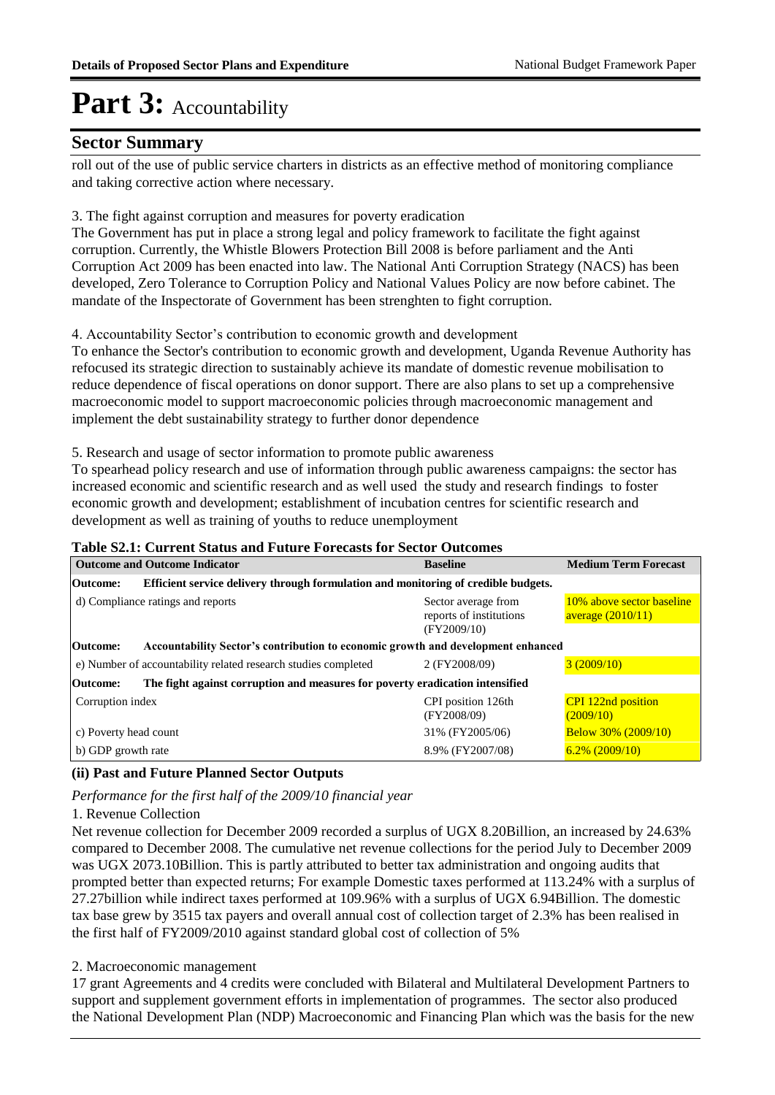### **Sector Summary**

roll out of the use of public service charters in districts as an effective method of monitoring compliance and taking corrective action where necessary.

3. The fight against corruption and measures for poverty eradication

The Government has put in place a strong legal and policy framework to facilitate the fight against corruption. Currently, the Whistle Blowers Protection Bill 2008 is before parliament and the Anti Corruption Act 2009 has been enacted into law. The National Anti Corruption Strategy (NACS) has been developed, Zero Tolerance to Corruption Policy and National Values Policy are now before cabinet. The mandate of the Inspectorate of Government has been strenghten to fight corruption.

4. Accountability Sector's contribution to economic growth and development

To enhance the Sector's contribution to economic growth and development, Uganda Revenue Authority has refocused its strategic direction to sustainably achieve its mandate of domestic revenue mobilisation to reduce dependence of fiscal operations on donor support. There are also plans to set up a comprehensive macroeconomic model to support macroeconomic policies through macroeconomic management and implement the debt sustainability strategy to further donor dependence

5. Research and usage of sector information to promote public awareness

To spearhead policy research and use of information through public awareness campaigns: the sector has increased economic and scientific research and as well used the study and research findings to foster economic growth and development; establishment of incubation centres for scientific research and development as well as training of youths to reduce unemployment

| <b>Table S2.1: Current Status and Future Forecasts for Sector Outcomes</b> |  |
|----------------------------------------------------------------------------|--|
|----------------------------------------------------------------------------|--|

| <b>Outcome and Outcome Indicator</b>                                                             | <b>Baseline</b>                                               | <b>Medium Term Forecast</b>                      |  |  |  |  |
|--------------------------------------------------------------------------------------------------|---------------------------------------------------------------|--------------------------------------------------|--|--|--|--|
| Efficient service delivery through formulation and monitoring of credible budgets.<br>Outcome:   |                                                               |                                                  |  |  |  |  |
| d) Compliance ratings and reports                                                                | Sector average from<br>reports of institutions<br>(FY2009/10) | 10% above sector baseline<br>average $(2010/11)$ |  |  |  |  |
| Accountability Sector's contribution to economic growth and development enhanced<br>Outcome:     |                                                               |                                                  |  |  |  |  |
| e) Number of accountability related research studies completed                                   | 2 (FY2008/09)                                                 | 3(2009/10)                                       |  |  |  |  |
| The fight against corruption and measures for poverty eradication intensified<br><b>Outcome:</b> |                                                               |                                                  |  |  |  |  |
| Corruption index                                                                                 | CPI position 126th<br>(FY2008/09)                             | <b>CPI</b> 122nd position<br>(2009/10)           |  |  |  |  |
| c) Poverty head count                                                                            | 31% (FY2005/06)                                               | <b>Below 30% (2009/10)</b>                       |  |  |  |  |
| b) GDP growth rate                                                                               | 8.9% (FY2007/08)                                              | $6.2\%$ (2009/10)                                |  |  |  |  |

#### **(ii) Past and Future Planned Sector Outputs**

*Performance for the first half of the 2009/10 financial year*

#### 1. Revenue Collection

Net revenue collection for December 2009 recorded a surplus of UGX 8.20Billion, an increased by 24.63% compared to December 2008. The cumulative net revenue collections for the period July to December 2009 was UGX 2073.10Billion. This is partly attributed to better tax administration and ongoing audits that prompted better than expected returns; For example Domestic taxes performed at 113.24% with a surplus of 27.27billion while indirect taxes performed at 109.96% with a surplus of UGX 6.94Billion. The domestic tax base grew by 3515 tax payers and overall annual cost of collection target of 2.3% has been realised in the first half of FY2009/2010 against standard global cost of collection of 5%

#### 2. Macroeconomic management

17 grant Agreements and 4 credits were concluded with Bilateral and Multilateral Development Partners to support and supplement government efforts in implementation of programmes. The sector also produced the National Development Plan (NDP) Macroeconomic and Financing Plan which was the basis for the new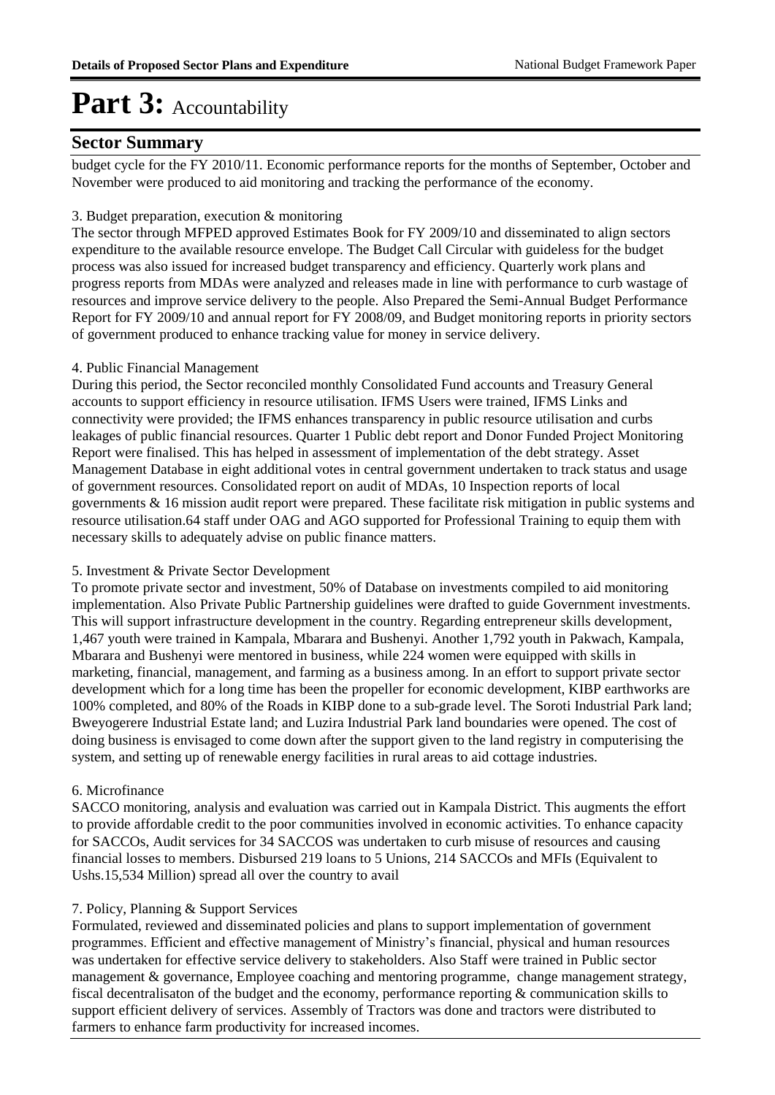### **Sector Summary**

budget cycle for the FY 2010/11. Economic performance reports for the months of September, October and November were produced to aid monitoring and tracking the performance of the economy.

#### 3. Budget preparation, execution & monitoring

The sector through MFPED approved Estimates Book for FY 2009/10 and disseminated to align sectors expenditure to the available resource envelope. The Budget Call Circular with guideless for the budget process was also issued for increased budget transparency and efficiency. Quarterly work plans and progress reports from MDAs were analyzed and releases made in line with performance to curb wastage of resources and improve service delivery to the people. Also Prepared the Semi-Annual Budget Performance Report for FY 2009/10 and annual report for FY 2008/09, and Budget monitoring reports in priority sectors of government produced to enhance tracking value for money in service delivery.

#### 4. Public Financial Management

During this period, the Sector reconciled monthly Consolidated Fund accounts and Treasury General accounts to support efficiency in resource utilisation. IFMS Users were trained, IFMS Links and connectivity were provided; the IFMS enhances transparency in public resource utilisation and curbs leakages of public financial resources. Quarter 1 Public debt report and Donor Funded Project Monitoring Report were finalised. This has helped in assessment of implementation of the debt strategy. Asset Management Database in eight additional votes in central government undertaken to track status and usage of government resources. Consolidated report on audit of MDAs, 10 Inspection reports of local governments & 16 mission audit report were prepared. These facilitate risk mitigation in public systems and resource utilisation.64 staff under OAG and AGO supported for Professional Training to equip them with necessary skills to adequately advise on public finance matters.

#### 5. Investment & Private Sector Development

To promote private sector and investment, 50% of Database on investments compiled to aid monitoring implementation. Also Private Public Partnership guidelines were drafted to guide Government investments. This will support infrastructure development in the country. Regarding entrepreneur skills development, 1,467 youth were trained in Kampala, Mbarara and Bushenyi. Another 1,792 youth in Pakwach, Kampala, Mbarara and Bushenyi were mentored in business, while 224 women were equipped with skills in marketing, financial, management, and farming as a business among. In an effort to support private sector development which for a long time has been the propeller for economic development, KIBP earthworks are 100% completed, and 80% of the Roads in KIBP done to a sub-grade level. The Soroti Industrial Park land; Bweyogerere Industrial Estate land; and Luzira Industrial Park land boundaries were opened. The cost of doing business is envisaged to come down after the support given to the land registry in computerising the system, and setting up of renewable energy facilities in rural areas to aid cottage industries.

#### 6. Microfinance

SACCO monitoring, analysis and evaluation was carried out in Kampala District. This augments the effort to provide affordable credit to the poor communities involved in economic activities. To enhance capacity for SACCOs, Audit services for 34 SACCOS was undertaken to curb misuse of resources and causing financial losses to members. Disbursed 219 loans to 5 Unions, 214 SACCOs and MFIs (Equivalent to Ushs.15,534 Million) spread all over the country to avail

#### 7. Policy, Planning & Support Services

Formulated, reviewed and disseminated policies and plans to support implementation of government programmes. Efficient and effective management of Ministry's financial, physical and human resources was undertaken for effective service delivery to stakeholders. Also Staff were trained in Public sector management & governance, Employee coaching and mentoring programme, change management strategy, fiscal decentralisaton of the budget and the economy, performance reporting & communication skills to support efficient delivery of services. Assembly of Tractors was done and tractors were distributed to farmers to enhance farm productivity for increased incomes.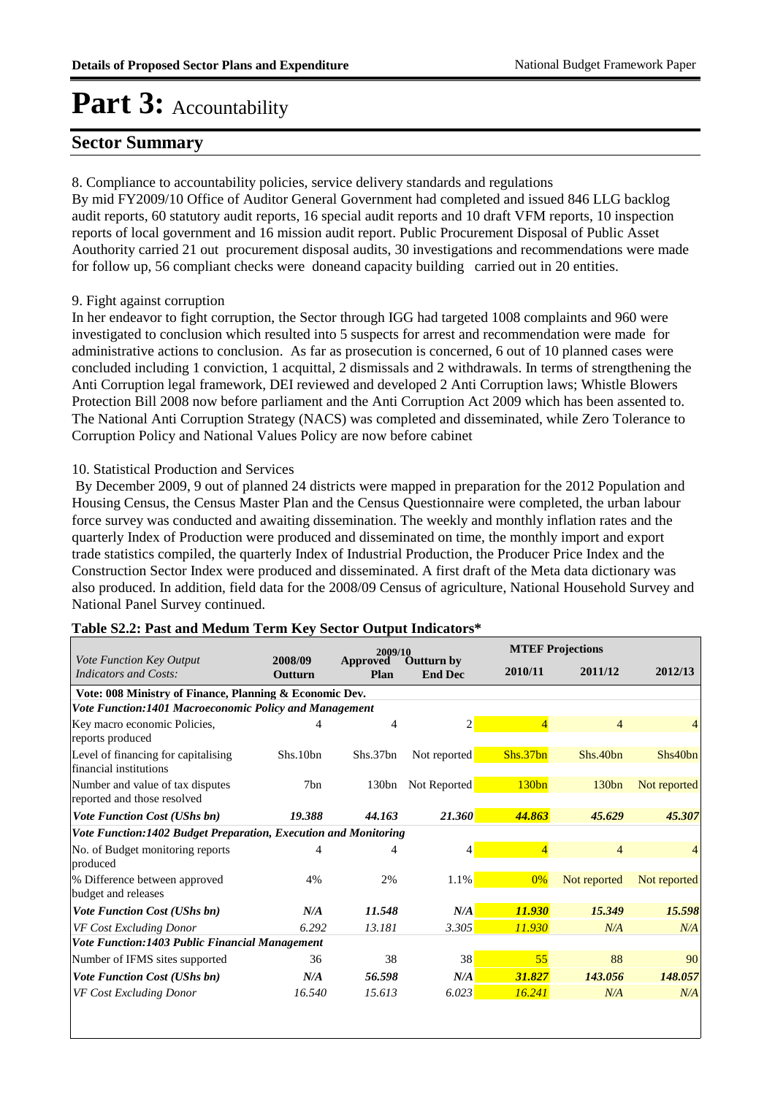### **Sector Summary**

8. Compliance to accountability policies, service delivery standards and regulations

By mid FY2009/10 Office of Auditor General Government had completed and issued 846 LLG backlog audit reports, 60 statutory audit reports, 16 special audit reports and 10 draft VFM reports, 10 inspection reports of local government and 16 mission audit report. Public Procurement Disposal of Public Asset Aouthority carried 21 out procurement disposal audits, 30 investigations and recommendations were made for follow up, 56 compliant checks were doneand capacity building carried out in 20 entities.

#### 9. Fight against corruption

In her endeavor to fight corruption, the Sector through IGG had targeted 1008 complaints and 960 were investigated to conclusion which resulted into 5 suspects for arrest and recommendation were made for administrative actions to conclusion. As far as prosecution is concerned, 6 out of 10 planned cases were concluded including 1 conviction, 1 acquittal, 2 dismissals and 2 withdrawals. In terms of strengthening the Anti Corruption legal framework, DEI reviewed and developed 2 Anti Corruption laws; Whistle Blowers Protection Bill 2008 now before parliament and the Anti Corruption Act 2009 which has been assented to. The National Anti Corruption Strategy (NACS) was completed and disseminated, while Zero Tolerance to Corruption Policy and National Values Policy are now before cabinet

#### 10. Statistical Production and Services

 By December 2009, 9 out of planned 24 districts were mapped in preparation for the 2012 Population and Housing Census, the Census Master Plan and the Census Questionnaire were completed, the urban labour force survey was conducted and awaiting dissemination. The weekly and monthly inflation rates and the quarterly Index of Production were produced and disseminated on time, the monthly import and export trade statistics compiled, the quarterly Index of Industrial Production, the Producer Price Index and the Construction Sector Index were produced and disseminated. A first draft of the Meta data dictionary was also produced. In addition, field data for the 2008/09 Census of agriculture, National Household Survey and National Panel Survey continued.

|                                                                 |                                                         | 2009/10          |                                     | <b>MTEF Projections</b> |                |              |  |  |  |  |  |
|-----------------------------------------------------------------|---------------------------------------------------------|------------------|-------------------------------------|-------------------------|----------------|--------------|--|--|--|--|--|
| Vote Function Key Output<br>Indicators and Costs:               | 2008/09<br>Outturn                                      | Approved<br>Plan | <b>Outturn by</b><br><b>End Dec</b> | 2010/11                 | 2011/12        | 2012/13      |  |  |  |  |  |
|                                                                 | Vote: 008 Ministry of Finance, Planning & Economic Dev. |                  |                                     |                         |                |              |  |  |  |  |  |
| Vote Function:1401 Macroeconomic Policy and Management          |                                                         |                  |                                     |                         |                |              |  |  |  |  |  |
| Key macro economic Policies,<br>reports produced                | 4                                                       | 4                | $\overline{c}$                      | 4                       | 4              |              |  |  |  |  |  |
| Level of financing for capitalising<br>financial institutions   | Shs.10bn                                                | Shs.37bn         | Not reported                        | Shs.37bn                | Shs.40bn       | Shs40bn      |  |  |  |  |  |
| Number and value of tax disputes<br>reported and those resolved | 7bn                                                     | 130bn            | Not Reported                        | 130bn                   | 130bn          | Not reported |  |  |  |  |  |
| <b>Vote Function Cost (UShs bn)</b>                             | 19.388                                                  | 44.163           | 21.360                              | 44.863                  | 45.629         | 45.307       |  |  |  |  |  |
| Vote Function:1402 Budget Preparation, Execution and Monitoring |                                                         |                  |                                     |                         |                |              |  |  |  |  |  |
| No. of Budget monitoring reports<br>produced                    | 4                                                       |                  | 4                                   | $\overline{4}$          | $\overline{4}$ |              |  |  |  |  |  |
| % Difference between approved<br>budget and releases            | 4%                                                      | 2%               | 1.1%                                | $0\%$                   | Not reported   | Not reported |  |  |  |  |  |
| <b>Vote Function Cost (UShs bn)</b>                             | N/A                                                     | 11.548           | N/A                                 | 11.930                  | 15.349         | 15.598       |  |  |  |  |  |
| VF Cost Excluding Donor                                         | 6.292                                                   | 13.181           | 3.305                               | 11.930                  | N/A            | N/A          |  |  |  |  |  |
| Vote Function:1403 Public Financial Management                  |                                                         |                  |                                     |                         |                |              |  |  |  |  |  |
| Number of IFMS sites supported                                  | 36                                                      | 38               | 38                                  | 55                      | 88             | 90           |  |  |  |  |  |
| <b>Vote Function Cost (UShs bn)</b>                             | N/A                                                     | 56.598           | N/A                                 | 31.827                  | 143.056        | 148.057      |  |  |  |  |  |
| VF Cost Excluding Donor                                         | 16.540                                                  | 15.613           | 6.023                               | 16.241                  | N/A            | N/A          |  |  |  |  |  |

#### **Table S2.2: Past and Medum Term Key Sector Output Indicators\***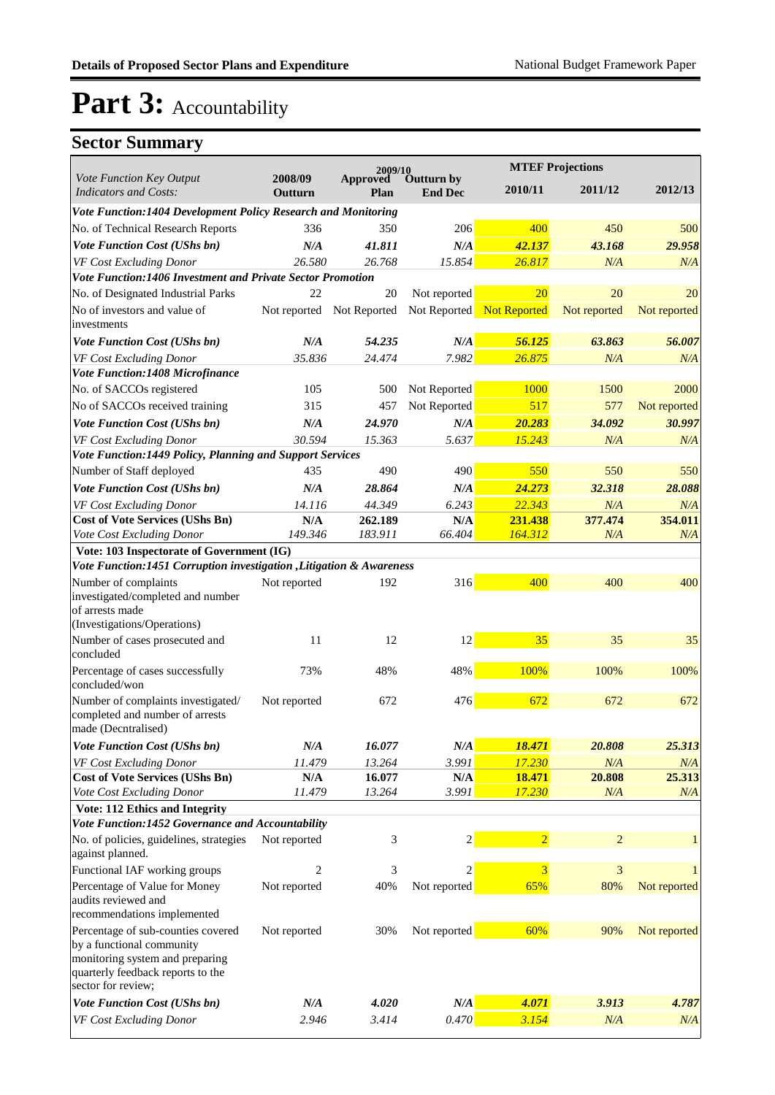|                                                                                              |                    | 2009/10                   |                                     | <b>MTEF Projections</b> |                |              |
|----------------------------------------------------------------------------------------------|--------------------|---------------------------|-------------------------------------|-------------------------|----------------|--------------|
| Vote Function Key Output<br><b>Indicators and Costs:</b>                                     | 2008/09<br>Outturn | Approved<br>Plan          | <b>Outturn by</b><br><b>End Dec</b> | 2010/11                 | 2011/12        | 2012/13      |
| Vote Function:1404 Development Policy Research and Monitoring                                |                    |                           |                                     |                         |                |              |
| No. of Technical Research Reports                                                            | 336                | 350                       | 206                                 | 400                     | 450            | 500          |
| <b>Vote Function Cost (UShs bn)</b>                                                          | N/A                | 41.811                    | N/A                                 | 42.137                  | 43.168         | 29.958       |
| VF Cost Excluding Donor                                                                      | 26.580             | 26.768                    | 15.854                              | 26.817                  | N/A            | N/A          |
| Vote Function:1406 Investment and Private Sector Promotion                                   |                    |                           |                                     |                         |                |              |
| No. of Designated Industrial Parks                                                           | 22                 | 20                        | Not reported                        | 20                      | 20             | 20           |
| No of investors and value of<br>investments                                                  |                    | Not reported Not Reported | Not Reported                        | Not Reported            | Not reported   | Not reported |
| Vote Function Cost (UShs bn)                                                                 | N/A                | 54.235                    | N/A                                 | 56.125                  | 63.863         | 56.007       |
| VF Cost Excluding Donor                                                                      | 35.836             | 24.474                    | 7.982                               | 26.875                  | N/A            | N/A          |
| Vote Function:1408 Microfinance                                                              |                    |                           |                                     |                         |                |              |
| No. of SACCOs registered                                                                     | 105                | 500                       | Not Reported                        | 1000                    | 1500           | 2000         |
| No of SACCOs received training                                                               | 315                | 457                       | Not Reported                        | 517                     | 577            | Not reported |
| Vote Function Cost (UShs bn)                                                                 | N/A                | 24.970                    | N/A                                 | 20.283                  | 34.092         | 30.997       |
| VF Cost Excluding Donor                                                                      | 30.594             | 15.363                    | 5.637                               | 15.243                  | N/A            | N/A          |
| Vote Function: 1449 Policy, Planning and Support Services                                    |                    |                           |                                     |                         |                |              |
| Number of Staff deployed                                                                     | 435                | 490                       | 490                                 | 550                     | 550            | 550          |
| <b>Vote Function Cost (UShs bn)</b>                                                          | N/A                | 28.864                    | N/A                                 | 24.273                  | 32.318         | 28.088       |
| VF Cost Excluding Donor                                                                      | 14.116             | 44.349                    | 6.243                               | 22.343                  | N/A            | N/A          |
| <b>Cost of Vote Services (UShs Bn)</b>                                                       | N/A                | 262.189                   | N/A                                 | 231.438                 | 377.474        | 354.011      |
| Vote Cost Excluding Donor                                                                    | 149.346            | 183.911                   | 66.404                              | 164.312                 | N/A            | N/A          |
| Vote: 103 Inspectorate of Government (IG)                                                    |                    |                           |                                     |                         |                |              |
| Vote Function:1451 Corruption investigation , Litigation & Awareness                         |                    |                           |                                     |                         |                |              |
| Number of complaints                                                                         | Not reported       | 192                       | 316                                 | 400                     | 400            | 400          |
| investigated/completed and number<br>of arrests made<br>(Investigations/Operations)          |                    |                           |                                     |                         |                |              |
| Number of cases prosecuted and                                                               | 11                 | 12                        | 12                                  | 35                      | 35             | 35           |
| concluded                                                                                    |                    |                           |                                     |                         |                |              |
| Percentage of cases successfully<br>concluded/won                                            | 73%                | 48%                       | 48%                                 | 100%                    | 100%           | 100%         |
| Number of complaints investigated/<br>completed and number of arrests<br>made (Decntralised) | Not reported       | 672                       | 476                                 | 672                     | 672            | 672          |
| Vote Function Cost (UShs bn)                                                                 | N/A                | 16.077                    | $N\!/\!A$                           | 18.471                  | 20.808         | 25.313       |
| VF Cost Excluding Donor                                                                      | 11.479             | 13.264                    | 3.991                               | 17.230                  | N/A            | N/A          |
| <b>Cost of Vote Services (UShs Bn)</b>                                                       | N/A                | 16.077                    | N/A                                 | 18.471                  | 20.808         | 25.313       |
| Vote Cost Excluding Donor                                                                    | 11.479             | 13.264                    | 3.991                               | 17.230                  | N/A            | N/A          |
| <b>Vote: 112 Ethics and Integrity</b>                                                        |                    |                           |                                     |                         |                |              |
| Vote Function:1452 Governance and Accountability                                             |                    |                           |                                     |                         |                |              |
| No. of policies, guidelines, strategies<br>against planned.                                  | Not reported       | 3                         | $\overline{2}$                      | $\overline{2}$          | $\overline{c}$ | $\mathbf{1}$ |
| Functional IAF working groups                                                                | 2                  | 3                         | 2                                   | 3                       | 3              | $\mathbf{1}$ |
| Percentage of Value for Money<br>audits reviewed and<br>recommendations implemented          | Not reported       | 40%                       | Not reported                        | 65%                     | 80%            | Not reported |
| Percentage of sub-counties covered<br>by a functional community                              | Not reported       | 30%                       | Not reported                        | 60%                     | 90%            | Not reported |
| monitoring system and preparing<br>quarterly feedback reports to the<br>sector for review;   |                    |                           |                                     |                         |                |              |
| <b>Vote Function Cost (UShs bn)</b>                                                          | N/A                | 4.020                     | N/A                                 | 4.071                   | 3.913          | 4.787        |
| VF Cost Excluding Donor                                                                      | 2.946              | 3.414                     | 0.470                               | 3.154                   | N/A            | N/A          |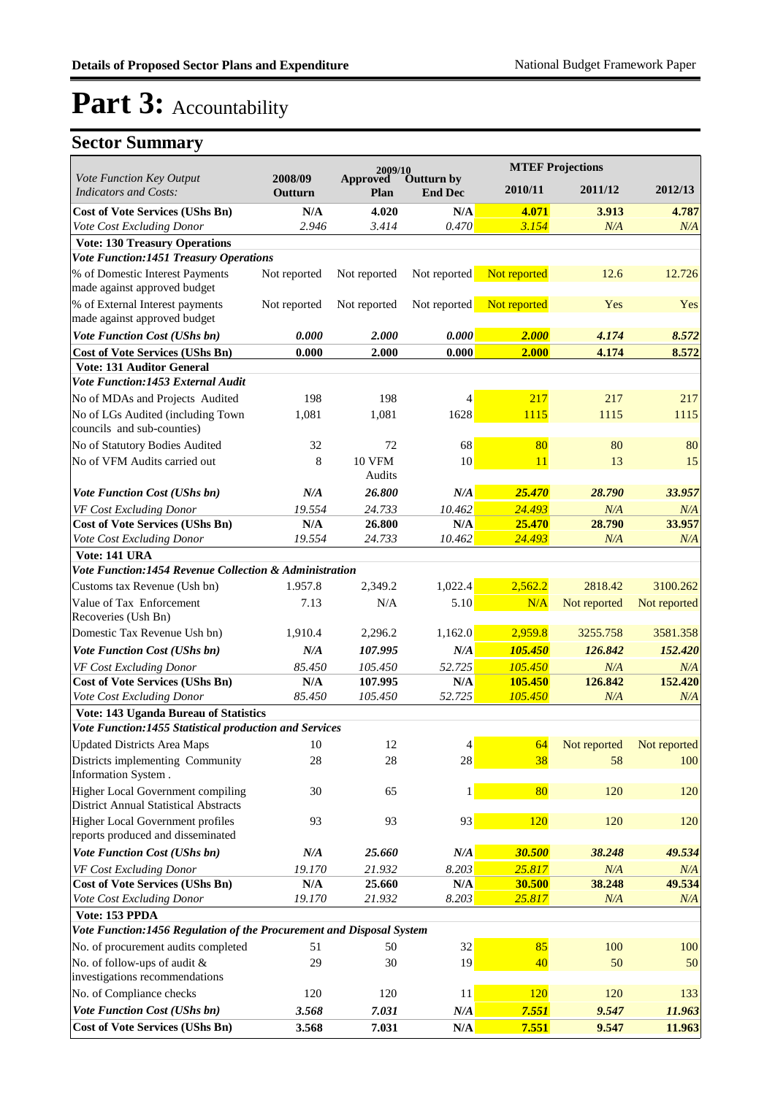|                                                                                   |                    | 2009/10                 |                              | <b>MTEF Projections</b> |              |              |
|-----------------------------------------------------------------------------------|--------------------|-------------------------|------------------------------|-------------------------|--------------|--------------|
| Vote Function Key Output<br><b>Indicators and Costs:</b>                          | 2008/09<br>Outturn | <b>Approved</b><br>Plan | Outturn by<br><b>End Dec</b> | 2010/11                 | 2011/12      | 2012/13      |
| <b>Cost of Vote Services (UShs Bn)</b>                                            | N/A                | 4.020                   | N/A                          | 4.071                   | 3.913        | 4.787        |
| Vote Cost Excluding Donor                                                         | 2.946              | 3.414                   | 0.470                        | 3.154                   | N/A          | N/A          |
| <b>Vote: 130 Treasury Operations</b>                                              |                    |                         |                              |                         |              |              |
| <b>Vote Function:1451 Treasury Operations</b>                                     |                    |                         |                              |                         |              |              |
| % of Domestic Interest Payments<br>made against approved budget                   | Not reported       | Not reported            | Not reported                 | Not reported            | 12.6         | 12.726       |
| % of External Interest payments<br>made against approved budget                   | Not reported       | Not reported            | Not reported                 | Not reported            | Yes          | Yes          |
| <b>Vote Function Cost (UShs bn)</b>                                               | 0.000              | 2.000                   | 0.000                        | 2.000                   | 4.174        | 8.572        |
| <b>Cost of Vote Services (UShs Bn)</b>                                            | 0.000              | 2.000                   | 0.000                        | 2.000                   | 4.174        | 8.572        |
| <b>Vote: 131 Auditor General</b>                                                  |                    |                         |                              |                         |              |              |
| Vote Function:1453 External Audit                                                 |                    |                         |                              |                         |              |              |
| No of MDAs and Projects Audited                                                   | 198                | 198                     | 4                            | 217                     | 217          | 217          |
| No of LGs Audited (including Town<br>councils and sub-counties)                   | 1,081              | 1,081                   | 1628                         | 1115                    | 1115         | 1115         |
| No of Statutory Bodies Audited                                                    | 32                 | 72                      | 68                           | 80                      | 80           | 80           |
| No of VFM Audits carried out                                                      | 8                  | <b>10 VFM</b><br>Audits | 10                           | 11                      | 13           | 15           |
| <b>Vote Function Cost (UShs bn)</b>                                               | N/A                | 26.800                  | N/A                          | 25,470                  | 28.790       | 33.957       |
| VF Cost Excluding Donor                                                           | 19.554             | 24.733                  | 10.462                       | 24.493                  | N/A          | N/A          |
| <b>Cost of Vote Services (UShs Bn)</b>                                            | N/A                | 26.800                  | N/A                          | 25.470                  | 28.790       | 33.957       |
| Vote Cost Excluding Donor                                                         | 19.554             | 24.733                  | 10.462                       | 24.493                  | N/A          | N/A          |
| Vote: 141 URA                                                                     |                    |                         |                              |                         |              |              |
| Vote Function:1454 Revenue Collection & Administration                            |                    |                         |                              |                         |              |              |
| Customs tax Revenue (Ush bn)                                                      | 1.957.8            | 2,349.2                 | 1,022.4                      | 2,562.2                 | 2818.42      | 3100.262     |
| Value of Tax Enforcement<br>Recoveries (Ush Bn)                                   | 7.13               | N/A                     | 5.10                         | N/A                     | Not reported | Not reported |
| Domestic Tax Revenue Ush bn)                                                      | 1,910.4            | 2,296.2                 | 1,162.0                      | 2,959.8                 | 3255.758     | 3581.358     |
| <b>Vote Function Cost (UShs bn)</b>                                               | N/A                | 107.995                 | N/A                          | 105.450                 | 126.842      | 152.420      |
| VF Cost Excluding Donor                                                           | 85.450             | 105.450                 | 52.725                       | 105.450                 | N/A          | N/A          |
| <b>Cost of Vote Services (UShs Bn)</b>                                            | N/A                | 107.995                 | N/A                          | 105.450                 | 126.842      | 152.420      |
| Vote Cost Excluding Donor                                                         | 85.450             | 105.450                 | 52.725                       | 105.450                 | N/A          | N/A          |
| Vote: 143 Uganda Bureau of Statistics                                             |                    |                         |                              |                         |              |              |
| Vote Function:1455 Statistical production and Services                            |                    |                         |                              |                         |              |              |
| <b>Updated Districts Area Maps</b>                                                | $10\,$             | 12                      | $\overline{\mathbf{4}}$      | 64                      | Not reported | Not reported |
| Districts implementing Community<br>Information System.                           | 28                 | 28                      | 28                           | 38                      | 58           | 100          |
| Higher Local Government compiling<br><b>District Annual Statistical Abstracts</b> | 30                 | 65                      | 1                            | 80                      | 120          | 120          |
| Higher Local Government profiles                                                  | 93                 | 93                      | 93                           | 120                     | 120          | 120          |
| reports produced and disseminated<br>Vote Function Cost (UShs bn)                 | N/A                | 25.660                  | $N\!/\!A$                    | 30.500                  | 38.248       | 49.534       |
| VF Cost Excluding Donor                                                           | 19.170             | 21.932                  | 8.203                        | 25.817                  | N/A          | N/A          |
| <b>Cost of Vote Services (UShs Bn)</b>                                            | N/A                | 25.660                  | N/A                          | 30.500                  | 38.248       | 49.534       |
| Vote Cost Excluding Donor                                                         | 19.170             | 21.932                  | 8.203                        | 25.817                  | N/A          | N/A          |
| Vote: 153 PPDA                                                                    |                    |                         |                              |                         |              |              |
| Vote Function:1456 Regulation of the Procurement and Disposal System              |                    |                         |                              |                         |              |              |
| No. of procurement audits completed                                               | 51                 | 50                      | 32                           | 85                      | 100          | 100          |
| No. of follow-ups of audit &                                                      | 29                 | 30                      | 19                           | 40                      | 50           | 50           |
| investigations recommendations                                                    |                    |                         |                              |                         |              |              |
| No. of Compliance checks                                                          | 120                | 120                     | 11                           | 120                     | 120          | 133          |
| Vote Function Cost (UShs bn)                                                      | 3.568              | 7.031                   | $N\!/\!A$                    | 7.551                   | 9.547        | 11.963       |
| <b>Cost of Vote Services (UShs Bn)</b>                                            | 3.568              | 7.031                   | $\mathbf{N}/\mathbf{A}$      | 7.551                   | 9.547        | 11.963       |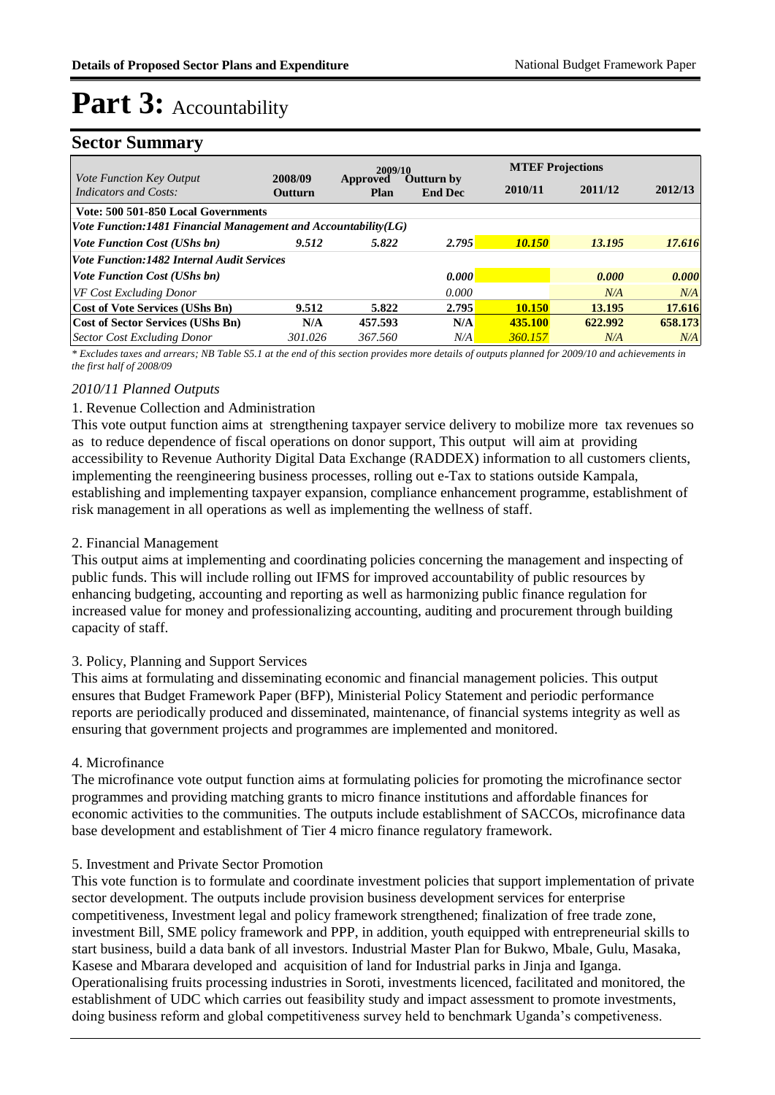### **Sector Summary**

|                                                                |                           |                         |                                     |               | <b>MTEF Projections</b> |         |  |  |
|----------------------------------------------------------------|---------------------------|-------------------------|-------------------------------------|---------------|-------------------------|---------|--|--|
| Vote Function Key Output<br>Indicators and Costs:              | 2008/09<br><b>Outturn</b> | Approved<br><b>Plan</b> | <b>Outturn by</b><br><b>End Dec</b> | 2010/11       | 2011/12                 | 2012/13 |  |  |
| Vote: 500 501-850 Local Governments                            |                           |                         |                                     |               |                         |         |  |  |
| Vote Function:1481 Financial Management and Accountability(LG) |                           |                         |                                     |               |                         |         |  |  |
| <i>Vote Function Cost (UShs bn)</i>                            | 9.512                     | 5.822                   | 2.795                               | <b>10.150</b> | 13.195                  | 17.616  |  |  |
| <b>Vote Function: 1482 Internal Audit Services</b>             |                           |                         |                                     |               |                         |         |  |  |
| <i>Vote Function Cost (UShs bn)</i>                            |                           |                         | 0.000                               |               | 0.000                   | 0.000   |  |  |
| <b>VF Cost Excluding Donor</b>                                 |                           |                         | 0.000                               |               | N/A                     | N/A     |  |  |
| <b>Cost of Vote Services (UShs Bn)</b>                         | 9.512                     | 5.822                   | 2.795                               | <b>10.150</b> | 13.195                  | 17.616  |  |  |
| <b>Cost of Sector Services (UShs Bn)</b>                       | N/A                       | 457.593                 | N/A                                 | 435.100       | 622.992                 | 658.173 |  |  |
| <b>Sector Cost Excluding Donor</b>                             | 301.026                   | 367.560                 | N/A                                 | 360.157       | N/A                     | N/A     |  |  |

*\* Excludes taxes and arrears; NB Table S5.1 at the end of this section provides more details of outputs planned for 2009/10 and achievements in the first half of 2008/09*

#### *2010/11 Planned Outputs*

#### 1. Revenue Collection and Administration

This vote output function aims at strengthening taxpayer service delivery to mobilize more tax revenues so as to reduce dependence of fiscal operations on donor support, This output will aim at providing accessibility to Revenue Authority Digital Data Exchange (RADDEX) information to all customers clients, implementing the reengineering business processes, rolling out e-Tax to stations outside Kampala, establishing and implementing taxpayer expansion, compliance enhancement programme, establishment of risk management in all operations as well as implementing the wellness of staff.

#### 2. Financial Management

This output aims at implementing and coordinating policies concerning the management and inspecting of public funds. This will include rolling out IFMS for improved accountability of public resources by enhancing budgeting, accounting and reporting as well as harmonizing public finance regulation for increased value for money and professionalizing accounting, auditing and procurement through building capacity of staff.

#### 3. Policy, Planning and Support Services

This aims at formulating and disseminating economic and financial management policies. This output ensures that Budget Framework Paper (BFP), Ministerial Policy Statement and periodic performance reports are periodically produced and disseminated, maintenance, of financial systems integrity as well as ensuring that government projects and programmes are implemented and monitored.

#### 4. Microfinance

The microfinance vote output function aims at formulating policies for promoting the microfinance sector programmes and providing matching grants to micro finance institutions and affordable finances for economic activities to the communities. The outputs include establishment of SACCOs, microfinance data base development and establishment of Tier 4 micro finance regulatory framework.

#### 5. Investment and Private Sector Promotion

This vote function is to formulate and coordinate investment policies that support implementation of private sector development. The outputs include provision business development services for enterprise competitiveness, Investment legal and policy framework strengthened; finalization of free trade zone, investment Bill, SME policy framework and PPP, in addition, youth equipped with entrepreneurial skills to start business, build a data bank of all investors. Industrial Master Plan for Bukwo, Mbale, Gulu, Masaka, Kasese and Mbarara developed and acquisition of land for Industrial parks in Jinja and Iganga. Operationalising fruits processing industries in Soroti, investments licenced, facilitated and monitored, the establishment of UDC which carries out feasibility study and impact assessment to promote investments, doing business reform and global competitiveness survey held to benchmark Uganda's competiveness.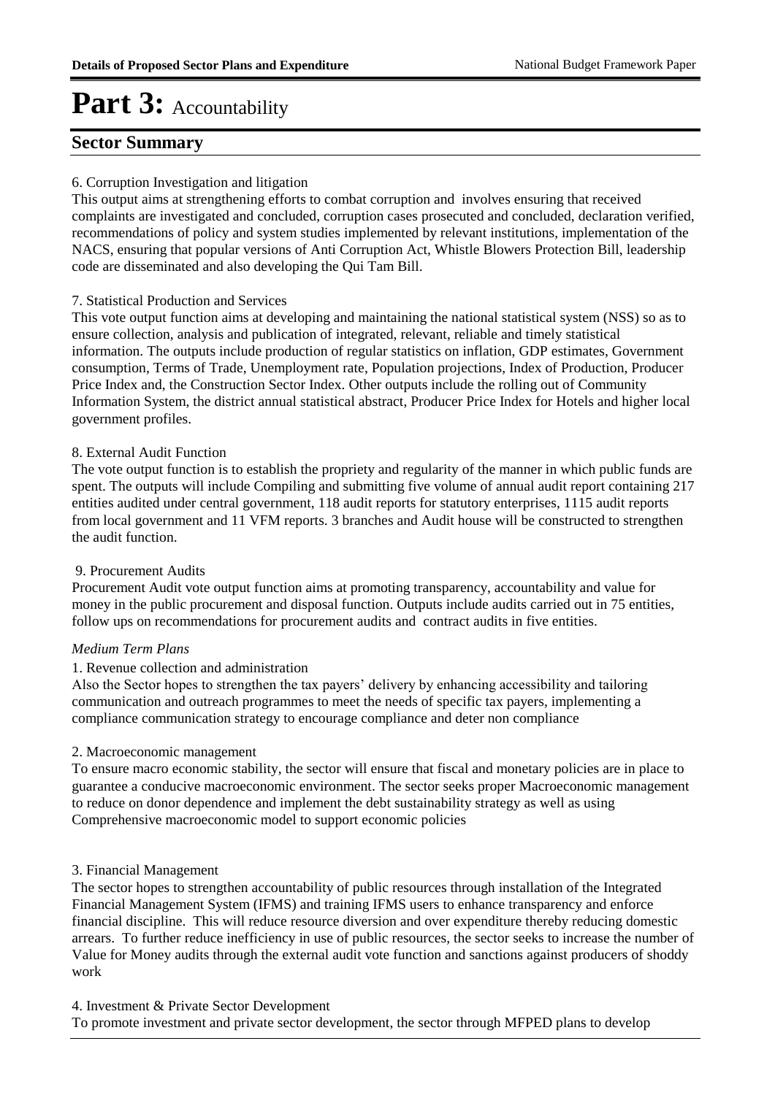### **Sector Summary**

#### 6. Corruption Investigation and litigation

This output aims at strengthening efforts to combat corruption and involves ensuring that received complaints are investigated and concluded, corruption cases prosecuted and concluded, declaration verified, recommendations of policy and system studies implemented by relevant institutions, implementation of the NACS, ensuring that popular versions of Anti Corruption Act, Whistle Blowers Protection Bill, leadership code are disseminated and also developing the Qui Tam Bill.

#### 7. Statistical Production and Services

This vote output function aims at developing and maintaining the national statistical system (NSS) so as to ensure collection, analysis and publication of integrated, relevant, reliable and timely statistical information. The outputs include production of regular statistics on inflation, GDP estimates, Government consumption, Terms of Trade, Unemployment rate, Population projections, Index of Production, Producer Price Index and, the Construction Sector Index. Other outputs include the rolling out of Community Information System, the district annual statistical abstract, Producer Price Index for Hotels and higher local government profiles.

#### 8. External Audit Function

The vote output function is to establish the propriety and regularity of the manner in which public funds are spent. The outputs will include Compiling and submitting five volume of annual audit report containing 217 entities audited under central government, 118 audit reports for statutory enterprises, 1115 audit reports from local government and 11 VFM reports. 3 branches and Audit house will be constructed to strengthen the audit function.

#### 9. Procurement Audits

Procurement Audit vote output function aims at promoting transparency, accountability and value for money in the public procurement and disposal function. Outputs include audits carried out in 75 entities, follow ups on recommendations for procurement audits and contract audits in five entities.

#### *Medium Term Plans*

#### 1. Revenue collection and administration

Also the Sector hopes to strengthen the tax payers' delivery by enhancing accessibility and tailoring communication and outreach programmes to meet the needs of specific tax payers, implementing a compliance communication strategy to encourage compliance and deter non compliance

#### 2. Macroeconomic management

To ensure macro economic stability, the sector will ensure that fiscal and monetary policies are in place to guarantee a conducive macroeconomic environment. The sector seeks proper Macroeconomic management to reduce on donor dependence and implement the debt sustainability strategy as well as using Comprehensive macroeconomic model to support economic policies

#### 3. Financial Management

The sector hopes to strengthen accountability of public resources through installation of the Integrated Financial Management System (IFMS) and training IFMS users to enhance transparency and enforce financial discipline. This will reduce resource diversion and over expenditure thereby reducing domestic arrears. To further reduce inefficiency in use of public resources, the sector seeks to increase the number of Value for Money audits through the external audit vote function and sanctions against producers of shoddy work

#### 4. Investment & Private Sector Development

To promote investment and private sector development, the sector through MFPED plans to develop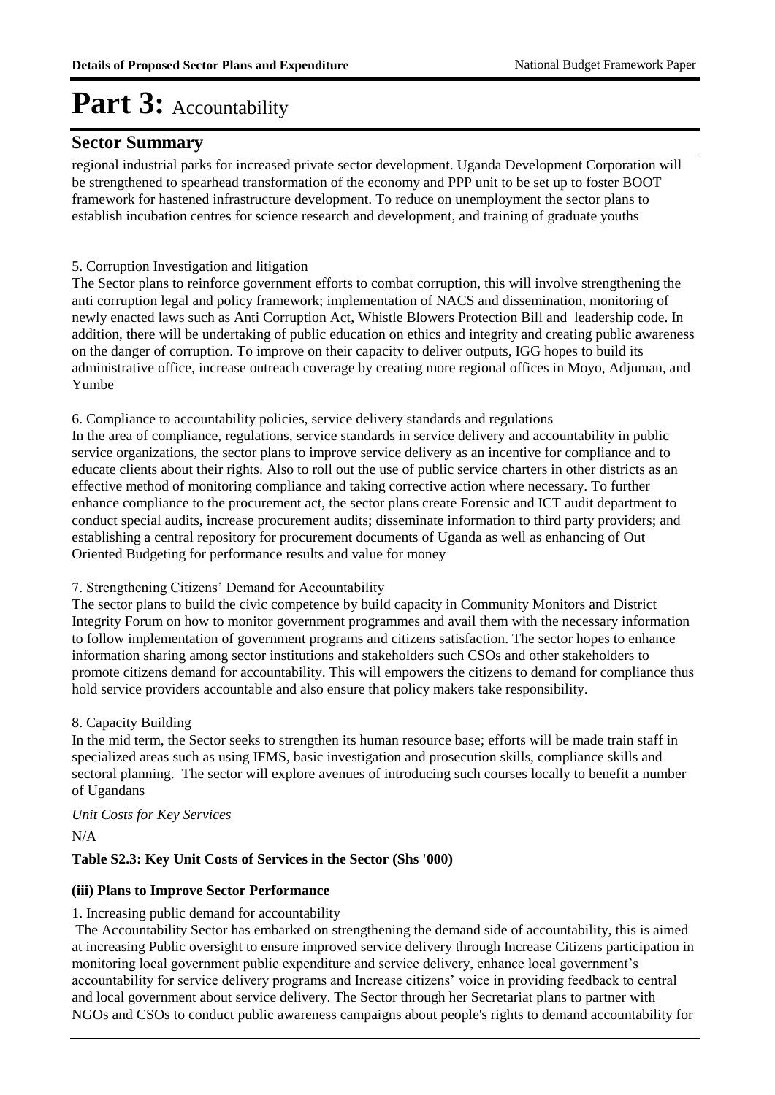### **Sector Summary**

regional industrial parks for increased private sector development. Uganda Development Corporation will be strengthened to spearhead transformation of the economy and PPP unit to be set up to foster BOOT framework for hastened infrastructure development. To reduce on unemployment the sector plans to establish incubation centres for science research and development, and training of graduate youths

#### 5. Corruption Investigation and litigation

The Sector plans to reinforce government efforts to combat corruption, this will involve strengthening the anti corruption legal and policy framework; implementation of NACS and dissemination, monitoring of newly enacted laws such as Anti Corruption Act, Whistle Blowers Protection Bill and leadership code. In addition, there will be undertaking of public education on ethics and integrity and creating public awareness on the danger of corruption. To improve on their capacity to deliver outputs, IGG hopes to build its administrative office, increase outreach coverage by creating more regional offices in Moyo, Adjuman, and Yumbe

6. Compliance to accountability policies, service delivery standards and regulations

In the area of compliance, regulations, service standards in service delivery and accountability in public service organizations, the sector plans to improve service delivery as an incentive for compliance and to educate clients about their rights. Also to roll out the use of public service charters in other districts as an effective method of monitoring compliance and taking corrective action where necessary. To further enhance compliance to the procurement act, the sector plans create Forensic and ICT audit department to conduct special audits, increase procurement audits; disseminate information to third party providers; and establishing a central repository for procurement documents of Uganda as well as enhancing of Out Oriented Budgeting for performance results and value for money

#### 7. Strengthening Citizens' Demand for Accountability

The sector plans to build the civic competence by build capacity in Community Monitors and District Integrity Forum on how to monitor government programmes and avail them with the necessary information to follow implementation of government programs and citizens satisfaction. The sector hopes to enhance information sharing among sector institutions and stakeholders such CSOs and other stakeholders to promote citizens demand for accountability. This will empowers the citizens to demand for compliance thus hold service providers accountable and also ensure that policy makers take responsibility.

#### 8. Capacity Building

In the mid term, the Sector seeks to strengthen its human resource base; efforts will be made train staff in specialized areas such as using IFMS, basic investigation and prosecution skills, compliance skills and sectoral planning. The sector will explore avenues of introducing such courses locally to benefit a number of Ugandans

#### *Unit Costs for Key Services*

N/A

#### **Table S2.3: Key Unit Costs of Services in the Sector (Shs '000)**

#### **(iii) Plans to Improve Sector Performance**

#### 1. Increasing public demand for accountability

 The Accountability Sector has embarked on strengthening the demand side of accountability, this is aimed at increasing Public oversight to ensure improved service delivery through Increase Citizens participation in monitoring local government public expenditure and service delivery, enhance local government's accountability for service delivery programs and Increase citizens' voice in providing feedback to central and local government about service delivery. The Sector through her Secretariat plans to partner with NGOs and CSOs to conduct public awareness campaigns about people's rights to demand accountability for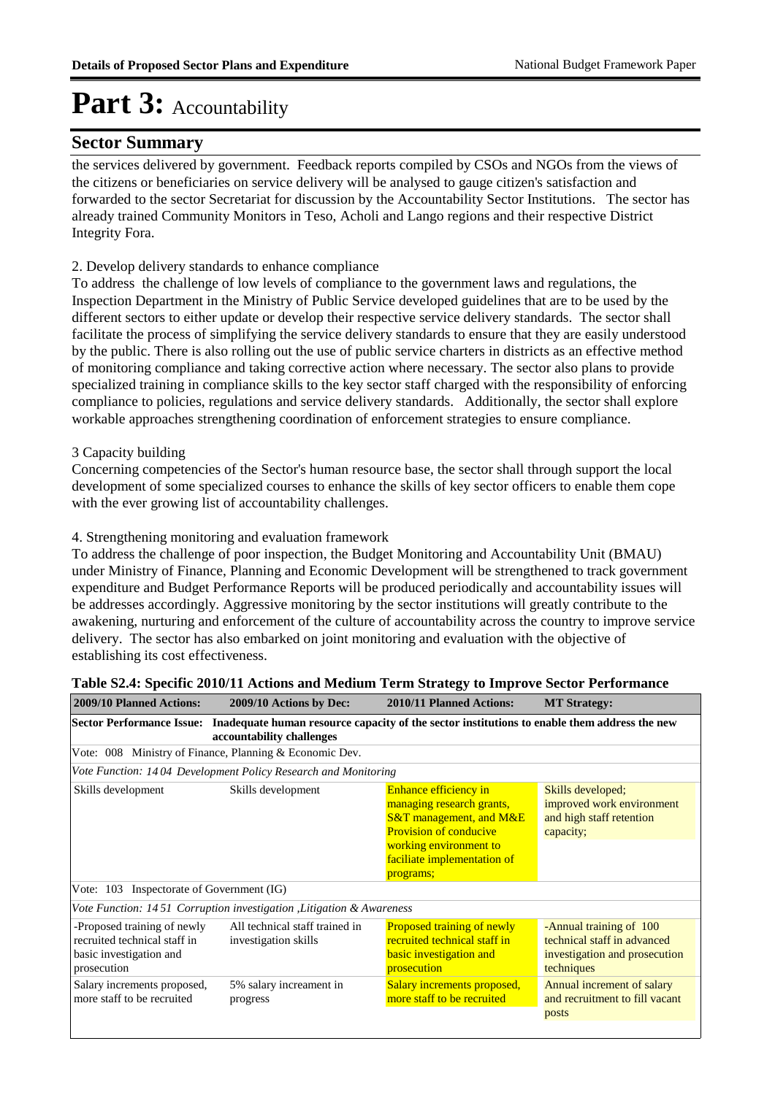### **Sector Summary**

the services delivered by government. Feedback reports compiled by CSOs and NGOs from the views of the citizens or beneficiaries on service delivery will be analysed to gauge citizen's satisfaction and forwarded to the sector Secretariat for discussion by the Accountability Sector Institutions. The sector has already trained Community Monitors in Teso, Acholi and Lango regions and their respective District Integrity Fora.

#### 2. Develop delivery standards to enhance compliance

To address the challenge of low levels of compliance to the government laws and regulations, the Inspection Department in the Ministry of Public Service developed guidelines that are to be used by the different sectors to either update or develop their respective service delivery standards. The sector shall facilitate the process of simplifying the service delivery standards to ensure that they are easily understood by the public. There is also rolling out the use of public service charters in districts as an effective method of monitoring compliance and taking corrective action where necessary. The sector also plans to provide specialized training in compliance skills to the key sector staff charged with the responsibility of enforcing compliance to policies, regulations and service delivery standards. Additionally, the sector shall explore workable approaches strengthening coordination of enforcement strategies to ensure compliance.

#### 3 Capacity building

Concerning competencies of the Sector's human resource base, the sector shall through support the local development of some specialized courses to enhance the skills of key sector officers to enable them cope with the ever growing list of accountability challenges.

#### 4. Strengthening monitoring and evaluation framework

To address the challenge of poor inspection, the Budget Monitoring and Accountability Unit (BMAU) under Ministry of Finance, Planning and Economic Development will be strengthened to track government expenditure and Budget Performance Reports will be produced periodically and accountability issues will be addresses accordingly. Aggressive monitoring by the sector institutions will greatly contribute to the awakening, nurturing and enforcement of the culture of accountability across the country to improve service delivery. The sector has also embarked on joint monitoring and evaluation with the objective of establishing its cost effectiveness.

| 2009/10 Planned Actions:                                                                              | 2009/10 Actions by Dec:                                                                                                   | 2010/11 Planned Actions:                                                                                                                                                                 | <b>MT Strategy:</b>                                                                                   |  |  |  |  |  |
|-------------------------------------------------------------------------------------------------------|---------------------------------------------------------------------------------------------------------------------------|------------------------------------------------------------------------------------------------------------------------------------------------------------------------------------------|-------------------------------------------------------------------------------------------------------|--|--|--|--|--|
| <b>Sector Performance Issue:</b>                                                                      | Inadequate human resource capacity of the sector institutions to enable them address the new<br>accountability challenges |                                                                                                                                                                                          |                                                                                                       |  |  |  |  |  |
|                                                                                                       | Vote: 008 Ministry of Finance, Planning & Economic Dev.                                                                   |                                                                                                                                                                                          |                                                                                                       |  |  |  |  |  |
|                                                                                                       | Vote Function: 1404 Development Policy Research and Monitoring                                                            |                                                                                                                                                                                          |                                                                                                       |  |  |  |  |  |
| Skills development<br>Skills development                                                              |                                                                                                                           | Enhance efficiency in<br>managing research grants,<br>$S&T$ management, and $M&E$<br><b>Provision of conducive</b><br>working environment to<br>faciliate implementation of<br>programs; | Skills developed;<br>improved work environment<br>and high staff retention<br>capacity;               |  |  |  |  |  |
| Vote: 103 Inspectorate of Government (IG)                                                             |                                                                                                                           |                                                                                                                                                                                          |                                                                                                       |  |  |  |  |  |
|                                                                                                       | Vote Function: 1451 Corruption investigation, Litigation & Awareness                                                      |                                                                                                                                                                                          |                                                                                                       |  |  |  |  |  |
| -Proposed training of newly<br>recruited technical staff in<br>basic investigation and<br>prosecution | All technical staff trained in<br>investigation skills                                                                    | Proposed training of newly<br>recruited technical staff in<br><b>basic</b> investigation and<br>prosecution                                                                              | -Annual training of 100<br>technical staff in advanced<br>investigation and prosecution<br>techniques |  |  |  |  |  |
| Salary increments proposed,<br>more staff to be recruited                                             | 5% salary increament in<br>progress                                                                                       | Salary increments proposed,<br>more staff to be recruited                                                                                                                                | Annual increment of salary<br>and recruitment to fill vacant<br>posts                                 |  |  |  |  |  |

#### **Table S2.4: Specific 2010/11 Actions and Medium Term Strategy to Improve Sector Performance**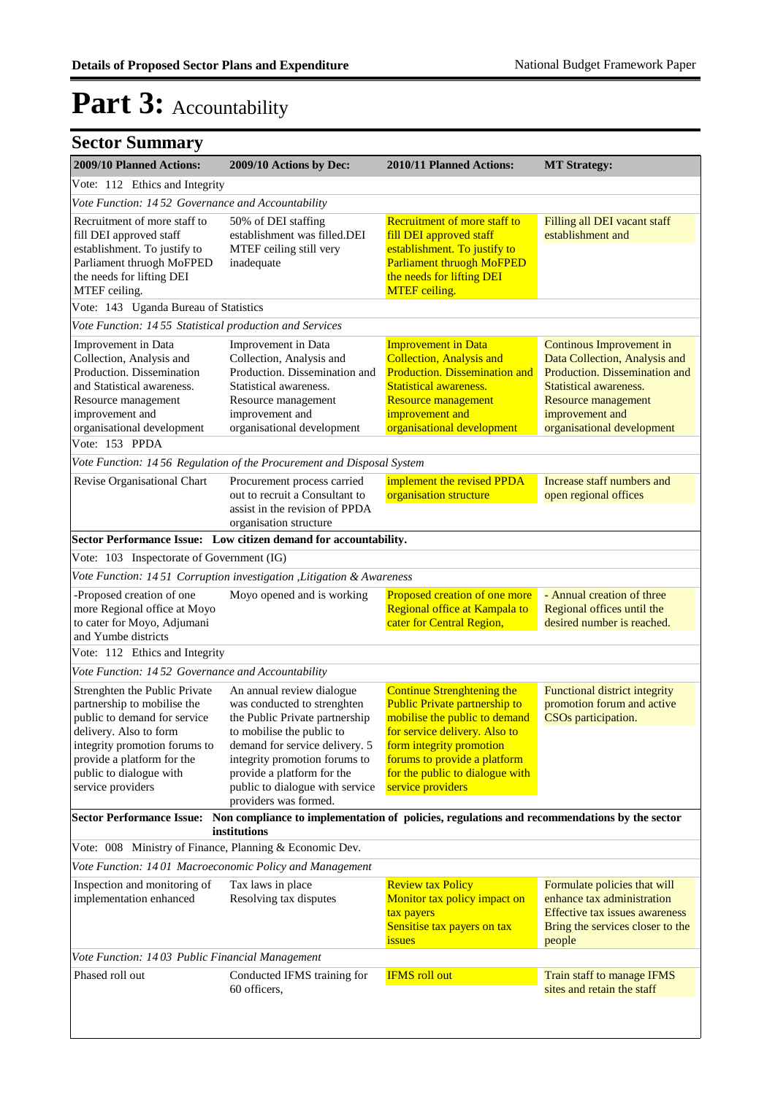| <b>Sector Summary</b>                                                                                                                                                                                                                 |                                                                                                                                                                                                                                                                                      |                                                                                                                                                                                                                                                                 |                                                                                                                                                                                                     |  |  |  |
|---------------------------------------------------------------------------------------------------------------------------------------------------------------------------------------------------------------------------------------|--------------------------------------------------------------------------------------------------------------------------------------------------------------------------------------------------------------------------------------------------------------------------------------|-----------------------------------------------------------------------------------------------------------------------------------------------------------------------------------------------------------------------------------------------------------------|-----------------------------------------------------------------------------------------------------------------------------------------------------------------------------------------------------|--|--|--|
| 2009/10 Planned Actions:                                                                                                                                                                                                              | 2009/10 Actions by Dec:                                                                                                                                                                                                                                                              | 2010/11 Planned Actions:                                                                                                                                                                                                                                        | <b>MT Strategy:</b>                                                                                                                                                                                 |  |  |  |
| Vote: 112 Ethics and Integrity                                                                                                                                                                                                        |                                                                                                                                                                                                                                                                                      |                                                                                                                                                                                                                                                                 |                                                                                                                                                                                                     |  |  |  |
| Vote Function: 1452 Governance and Accountability                                                                                                                                                                                     |                                                                                                                                                                                                                                                                                      |                                                                                                                                                                                                                                                                 |                                                                                                                                                                                                     |  |  |  |
| Recruitment of more staff to<br>fill DEI approved staff<br>establishment. To justify to<br>Parliament thruogh MoFPED<br>the needs for lifting DEI<br>MTEF ceiling.                                                                    | 50% of DEI staffing<br>establishment was filled.DEI<br>MTEF ceiling still very<br>inadequate                                                                                                                                                                                         | <b>Recruitment of more staff to</b><br>fill DEI approved staff<br>establishment. To justify to<br><b>Parliament thruogh MoFPED</b><br>the needs for lifting DEI<br><b>MTEF</b> ceiling.                                                                         | Filling all DEI vacant staff<br>establishment and                                                                                                                                                   |  |  |  |
| Vote: 143 Uganda Bureau of Statistics                                                                                                                                                                                                 |                                                                                                                                                                                                                                                                                      |                                                                                                                                                                                                                                                                 |                                                                                                                                                                                                     |  |  |  |
| Vote Function: 1455 Statistical production and Services                                                                                                                                                                               |                                                                                                                                                                                                                                                                                      |                                                                                                                                                                                                                                                                 |                                                                                                                                                                                                     |  |  |  |
| Improvement in Data<br>Collection, Analysis and<br>Production. Dissemination<br>and Statistical awareness.<br>Resource management<br>improvement and<br>organisational development                                                    | Improvement in Data<br>Collection, Analysis and<br>Production. Dissemination and<br>Statistical awareness.<br>Resource management<br>improvement and<br>organisational development                                                                                                   | <b>Improvement in Data</b><br><b>Collection, Analysis and</b><br><b>Production. Dissemination and</b><br><b>Statistical awareness.</b><br>Resource management<br>improvement and<br>organisational development                                                  | Continous Improvement in<br>Data Collection, Analysis and<br>Production. Dissemination and<br><b>Statistical awareness.</b><br>Resource management<br>improvement and<br>organisational development |  |  |  |
| Vote: 153 PPDA                                                                                                                                                                                                                        |                                                                                                                                                                                                                                                                                      |                                                                                                                                                                                                                                                                 |                                                                                                                                                                                                     |  |  |  |
|                                                                                                                                                                                                                                       | Vote Function: 1456 Regulation of the Procurement and Disposal System                                                                                                                                                                                                                |                                                                                                                                                                                                                                                                 |                                                                                                                                                                                                     |  |  |  |
| Revise Organisational Chart                                                                                                                                                                                                           | Procurement process carried<br>out to recruit a Consultant to<br>assist in the revision of PPDA<br>organisation structure                                                                                                                                                            | implement the revised PPDA<br>organisation structure                                                                                                                                                                                                            | Increase staff numbers and<br>open regional offices                                                                                                                                                 |  |  |  |
|                                                                                                                                                                                                                                       | Sector Performance Issue: Low citizen demand for accountability.                                                                                                                                                                                                                     |                                                                                                                                                                                                                                                                 |                                                                                                                                                                                                     |  |  |  |
| Vote: 103 Inspectorate of Government (IG)                                                                                                                                                                                             |                                                                                                                                                                                                                                                                                      |                                                                                                                                                                                                                                                                 |                                                                                                                                                                                                     |  |  |  |
|                                                                                                                                                                                                                                       | Vote Function: 1451 Corruption investigation , Litigation & Awareness                                                                                                                                                                                                                |                                                                                                                                                                                                                                                                 |                                                                                                                                                                                                     |  |  |  |
| -Proposed creation of one<br>more Regional office at Moyo<br>to cater for Moyo, Adjumani<br>and Yumbe districts<br>Vote: 112 Ethics and Integrity                                                                                     | Moyo opened and is working                                                                                                                                                                                                                                                           | Proposed creation of one more<br>Regional office at Kampala to<br>cater for Central Region,                                                                                                                                                                     | - Annual creation of three<br>Regional offices until the<br>desired number is reached.                                                                                                              |  |  |  |
| Vote Function: 1452 Governance and Accountability                                                                                                                                                                                     |                                                                                                                                                                                                                                                                                      |                                                                                                                                                                                                                                                                 |                                                                                                                                                                                                     |  |  |  |
| Strenghten the Public Private<br>partnership to mobilise the<br>public to demand for service<br>delivery. Also to form<br>integrity promotion forums to<br>provide a platform for the<br>public to dialogue with<br>service providers | An annual review dialogue<br>was conducted to strenghten<br>the Public Private partnership<br>to mobilise the public to<br>demand for service delivery. 5<br>integrity promotion forums to<br>provide a platform for the<br>public to dialogue with service<br>providers was formed. | <b>Continue Strenghtening the</b><br><b>Public Private partnership to</b><br>mobilise the public to demand<br>for service delivery. Also to<br>form integrity promotion<br>forums to provide a platform<br>for the public to dialogue with<br>service providers | Functional district integrity<br>promotion forum and active<br>CSOs participation.                                                                                                                  |  |  |  |
|                                                                                                                                                                                                                                       | Sector Performance Issue: Non compliance to implementation of policies, regulations and recommendations by the sector<br>institutions                                                                                                                                                |                                                                                                                                                                                                                                                                 |                                                                                                                                                                                                     |  |  |  |
| Vote: 008 Ministry of Finance, Planning & Economic Dev.                                                                                                                                                                               |                                                                                                                                                                                                                                                                                      |                                                                                                                                                                                                                                                                 |                                                                                                                                                                                                     |  |  |  |
| Vote Function: 1401 Macroeconomic Policy and Management                                                                                                                                                                               |                                                                                                                                                                                                                                                                                      |                                                                                                                                                                                                                                                                 |                                                                                                                                                                                                     |  |  |  |
| Inspection and monitoring of<br>implementation enhanced                                                                                                                                                                               | Tax laws in place<br>Resolving tax disputes                                                                                                                                                                                                                                          | <b>Review tax Policy</b><br>Monitor tax policy impact on<br>tax payers<br>Sensitise tax payers on tax<br><i>issues</i>                                                                                                                                          | Formulate policies that will<br>enhance tax administration<br>Effective tax issues awareness<br>Bring the services closer to the<br>people                                                          |  |  |  |
| Vote Function: 1403 Public Financial Management                                                                                                                                                                                       |                                                                                                                                                                                                                                                                                      |                                                                                                                                                                                                                                                                 |                                                                                                                                                                                                     |  |  |  |
| Phased roll out                                                                                                                                                                                                                       | Conducted IFMS training for<br>60 officers,                                                                                                                                                                                                                                          | <b>IFMS</b> roll out                                                                                                                                                                                                                                            | Train staff to manage IFMS<br>sites and retain the staff                                                                                                                                            |  |  |  |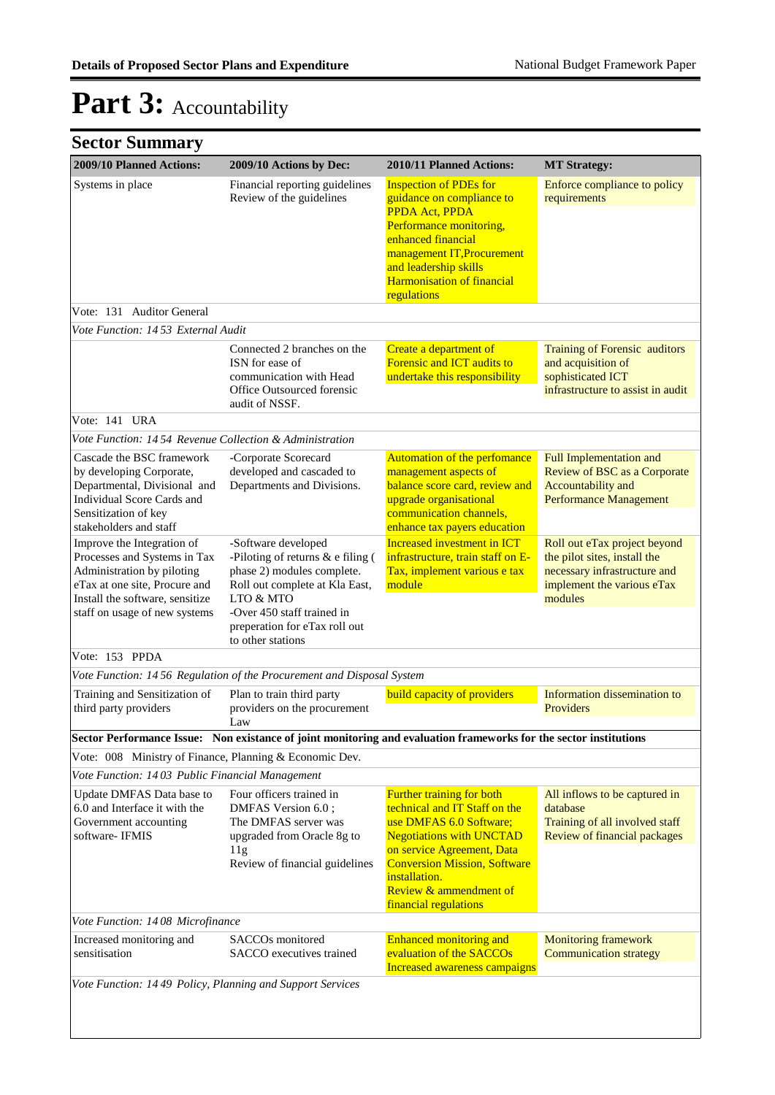| <b>Sector Summary</b>                                                                                                                                                                         |                                                                                                                                                                       |                                                                                                                                                                                                                                                                          |                                                                                                                                       |
|-----------------------------------------------------------------------------------------------------------------------------------------------------------------------------------------------|-----------------------------------------------------------------------------------------------------------------------------------------------------------------------|--------------------------------------------------------------------------------------------------------------------------------------------------------------------------------------------------------------------------------------------------------------------------|---------------------------------------------------------------------------------------------------------------------------------------|
| 2009/10 Planned Actions:                                                                                                                                                                      | 2009/10 Actions by Dec:                                                                                                                                               | 2010/11 Planned Actions:                                                                                                                                                                                                                                                 | <b>MT Strategy:</b>                                                                                                                   |
| Systems in place                                                                                                                                                                              | Financial reporting guidelines<br>Review of the guidelines                                                                                                            | <b>Inspection of PDEs for</b><br>guidance on compliance to<br>PPDA Act, PPDA<br>Performance monitoring,<br>enhanced financial<br>management IT, Procurement<br>and leadership skills<br><b>Harmonisation of financial</b><br>regulations                                 | Enforce compliance to policy<br>requirements                                                                                          |
| Vote: 131 Auditor General                                                                                                                                                                     |                                                                                                                                                                       |                                                                                                                                                                                                                                                                          |                                                                                                                                       |
| Vote Function: 1453 External Audit                                                                                                                                                            |                                                                                                                                                                       |                                                                                                                                                                                                                                                                          |                                                                                                                                       |
|                                                                                                                                                                                               | Connected 2 branches on the<br>ISN for ease of<br>communication with Head<br>Office Outsourced forensic<br>audit of NSSF.                                             | Create a department of<br>Forensic and ICT audits to<br>undertake this responsibility                                                                                                                                                                                    | Training of Forensic auditors<br>and acquisition of<br>sophisticated ICT<br>infrastructure to assist in audit                         |
| Vote: 141 URA                                                                                                                                                                                 |                                                                                                                                                                       |                                                                                                                                                                                                                                                                          |                                                                                                                                       |
| Vote Function: 1454 Revenue Collection & Administration                                                                                                                                       |                                                                                                                                                                       |                                                                                                                                                                                                                                                                          |                                                                                                                                       |
| Cascade the BSC framework<br>by developing Corporate,<br>Departmental, Divisional and<br>Individual Score Cards and<br>Sensitization of key<br>stakeholders and staff                         | -Corporate Scorecard<br>developed and cascaded to<br>Departments and Divisions.                                                                                       | Automation of the perfomance<br>management aspects of<br>balance score card, review and<br>upgrade organisational<br>communication channels,<br>enhance tax payers education                                                                                             | <b>Full Implementation and</b><br>Review of BSC as a Corporate<br>Accountability and<br><b>Performance Management</b>                 |
| Improve the Integration of<br>Processes and Systems in Tax<br>Administration by piloting<br>eTax at one site, Procure and<br>Install the software, sensitize<br>staff on usage of new systems | -Software developed<br>-Piloting of returns $&$ e filing (<br>phase 2) modules complete.<br>Roll out complete at Kla East,<br>LTO & MTO<br>-Over 450 staff trained in | <b>Increased investment in ICT</b><br>infrastructure, train staff on E-<br>Tax, implement various e tax<br>module                                                                                                                                                        | Roll out eTax project beyond<br>the pilot sites, install the<br>necessary infrastructure and<br>implement the various eTax<br>modules |
|                                                                                                                                                                                               | preperation for eTax roll out<br>to other stations                                                                                                                    |                                                                                                                                                                                                                                                                          |                                                                                                                                       |
| Vote: 153 PPDA                                                                                                                                                                                |                                                                                                                                                                       |                                                                                                                                                                                                                                                                          |                                                                                                                                       |
|                                                                                                                                                                                               | Vote Function: 1456 Regulation of the Procurement and Disposal System                                                                                                 |                                                                                                                                                                                                                                                                          |                                                                                                                                       |
| Training and Sensitization of<br>third party providers                                                                                                                                        | Plan to train third party<br>providers on the procurement<br>Law                                                                                                      | <b>build capacity of providers</b>                                                                                                                                                                                                                                       | Information dissemination to<br>Providers                                                                                             |
|                                                                                                                                                                                               |                                                                                                                                                                       | Sector Performance Issue: Non existance of joint monitoring and evaluation frameworks for the sector institutions                                                                                                                                                        |                                                                                                                                       |
| Vote: 008 Ministry of Finance, Planning & Economic Dev.                                                                                                                                       |                                                                                                                                                                       |                                                                                                                                                                                                                                                                          |                                                                                                                                       |
| Vote Function: 1403 Public Financial Management                                                                                                                                               |                                                                                                                                                                       |                                                                                                                                                                                                                                                                          |                                                                                                                                       |
| Update DMFAS Data base to<br>6.0 and Interface it with the<br>Government accounting<br>software-IFMIS                                                                                         | Four officers trained in<br>DMFAS Version 6.0;<br>The DMFAS server was<br>upgraded from Oracle 8g to<br>11g<br>Review of financial guidelines                         | <b>Further training for both</b><br>technical and IT Staff on the<br>use DMFAS 6.0 Software;<br><b>Negotiations with UNCTAD</b><br>on service Agreement, Data<br><b>Conversion Mission, Software</b><br>installation.<br>Review & ammendment of<br>financial regulations | All inflows to be captured in<br>database<br>Training of all involved staff<br>Review of financial packages                           |
| Vote Function: 1408 Microfinance                                                                                                                                                              |                                                                                                                                                                       |                                                                                                                                                                                                                                                                          |                                                                                                                                       |
| Increased monitoring and<br>sensitisation                                                                                                                                                     | SACCO <sub>s</sub> monitored<br>SACCO executives trained                                                                                                              | Enhanced monitoring and<br>evaluation of the SACCOs<br>Increased awareness campaigns                                                                                                                                                                                     | <b>Monitoring framework</b><br><b>Communication strategy</b>                                                                          |
| Vote Function: 1449 Policy, Planning and Support Services                                                                                                                                     |                                                                                                                                                                       |                                                                                                                                                                                                                                                                          |                                                                                                                                       |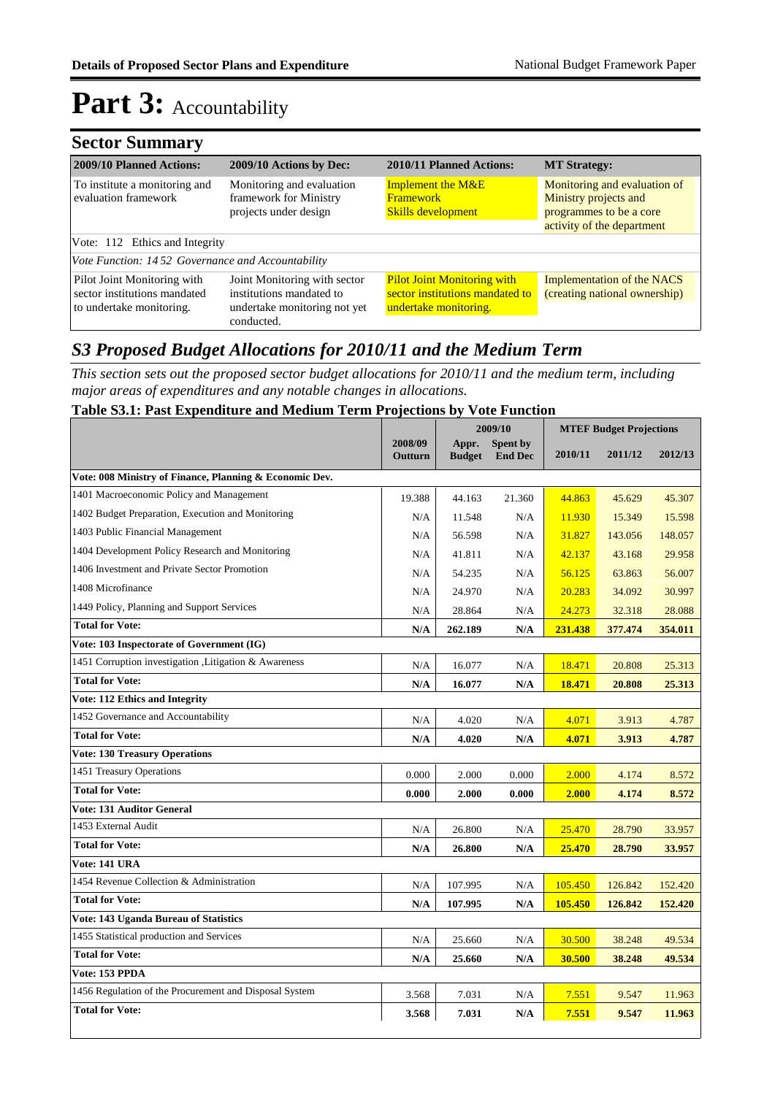### **Sector Summary**

| 2009/10 Planned Actions:                                                                | 2009/10 Actions by Dec:                                                                                | 2010/11 Planned Actions:                                                                       | <b>MT Strategy:</b>                                                                                            |
|-----------------------------------------------------------------------------------------|--------------------------------------------------------------------------------------------------------|------------------------------------------------------------------------------------------------|----------------------------------------------------------------------------------------------------------------|
| To institute a monitoring and<br>evaluation framework                                   | Monitoring and evaluation<br>framework for Ministry<br>projects under design                           | <b>Implement the M&amp;E</b><br><b>Framework</b><br><b>Skills development</b>                  | Monitoring and evaluation of<br>Ministry projects and<br>programmes to be a core<br>activity of the department |
| Vote: 112 Ethics and Integrity                                                          |                                                                                                        |                                                                                                |                                                                                                                |
| Vote Function: 1452 Governance and Accountability                                       |                                                                                                        |                                                                                                |                                                                                                                |
| Pilot Joint Monitoring with<br>sector institutions mandated<br>to undertake monitoring. | Joint Monitoring with sector<br>institutions mandated to<br>undertake monitoring not yet<br>conducted. | <b>Pilot Joint Monitoring with</b><br>sector institutions mandated to<br>undertake monitoring. | <b>Implementation of the NACS</b><br>(creating national ownership)                                             |

### *S3 Proposed Budget Allocations for 2010/11 and the Medium Term*

*This section sets out the proposed sector budget allocations for 2010/11 and the medium term, including major areas of expenditures and any notable changes in allocations.* 

#### **Table S3.1: Past Expenditure and Medium Term Projections by Vote Function**

|                                                         |                    |                        | 2009/10                           | <b>MTEF Budget Projections</b> |         |         |
|---------------------------------------------------------|--------------------|------------------------|-----------------------------------|--------------------------------|---------|---------|
|                                                         | 2008/09<br>Outturn | Appr.<br><b>Budget</b> | <b>Spent by</b><br><b>End Dec</b> | 2010/11                        | 2011/12 | 2012/13 |
| Vote: 008 Ministry of Finance, Planning & Economic Dev. |                    |                        |                                   |                                |         |         |
| 1401 Macroeconomic Policy and Management                | 19.388             | 44.163                 | 21.360                            | 44.863                         | 45.629  | 45.307  |
| 1402 Budget Preparation, Execution and Monitoring       | N/A                | 11.548                 | N/A                               | 11.930                         | 15.349  | 15.598  |
| 1403 Public Financial Management                        | N/A                | 56.598                 | N/A                               | 31.827                         | 143.056 | 148.057 |
| 1404 Development Policy Research and Monitoring         | N/A                | 41.811                 | N/A                               | 42.137                         | 43.168  | 29.958  |
| 1406 Investment and Private Sector Promotion            | N/A                | 54.235                 | N/A                               | 56.125                         | 63.863  | 56.007  |
| 1408 Microfinance                                       | N/A                | 24.970                 | N/A                               | 20.283                         | 34.092  | 30.997  |
| 1449 Policy, Planning and Support Services              | N/A                | 28.864                 | N/A                               | 24.273                         | 32.318  | 28.088  |
| <b>Total for Vote:</b>                                  | N/A                | 262.189                | N/A                               | 231.438                        | 377.474 | 354.011 |
| Vote: 103 Inspectorate of Government (IG)               |                    |                        |                                   |                                |         |         |
| 1451 Corruption investigation , Litigation & Awareness  | N/A                | 16.077                 | N/A                               | 18.471                         | 20.808  | 25.313  |
| <b>Total for Vote:</b>                                  | N/A                | 16.077                 | N/A                               | 18.471                         | 20.808  | 25.313  |
| <b>Vote: 112 Ethics and Integrity</b>                   |                    |                        |                                   |                                |         |         |
| 1452 Governance and Accountability                      | N/A                | 4.020                  | N/A                               | 4.071                          | 3.913   | 4.787   |
| <b>Total for Vote:</b>                                  | N/A                | 4.020                  | N/A                               | 4.071                          | 3.913   | 4.787   |
| <b>Vote: 130 Treasury Operations</b>                    |                    |                        |                                   |                                |         |         |
| 1451 Treasury Operations                                | 0.000              | 2.000                  | 0.000                             | 2.000                          | 4.174   | 8.572   |
| <b>Total for Vote:</b>                                  | 0.000              | 2.000                  | 0.000                             | 2.000                          | 4.174   | 8.572   |
| <b>Vote: 131 Auditor General</b>                        |                    |                        |                                   |                                |         |         |
| 1453 External Audit                                     | N/A                | 26.800                 | N/A                               | 25.470                         | 28.790  | 33.957  |
| <b>Total for Vote:</b>                                  | N/A                | 26.800                 | N/A                               | 25.470                         | 28.790  | 33.957  |
| <b>Vote: 141 URA</b>                                    |                    |                        |                                   |                                |         |         |
| 1454 Revenue Collection & Administration                | N/A                | 107.995                | N/A                               | 105.450                        | 126.842 | 152.420 |
| <b>Total for Vote:</b>                                  | N/A                | 107.995                | N/A                               | 105.450                        | 126.842 | 152.420 |
| Vote: 143 Uganda Bureau of Statistics                   |                    |                        |                                   |                                |         |         |
| 1455 Statistical production and Services                | N/A                | 25.660                 | N/A                               | 30.500                         | 38.248  | 49.534  |
| <b>Total for Vote:</b>                                  | N/A                | 25.660                 | N/A                               | 30.500                         | 38.248  | 49.534  |
| Vote: 153 PPDA                                          |                    |                        |                                   |                                |         |         |
| 1456 Regulation of the Procurement and Disposal System  | 3.568              | 7.031                  | N/A                               | 7.551                          | 9.547   | 11.963  |
| <b>Total for Vote:</b>                                  | 3.568              | 7.031                  | N/A                               | 7.551                          | 9.547   | 11.963  |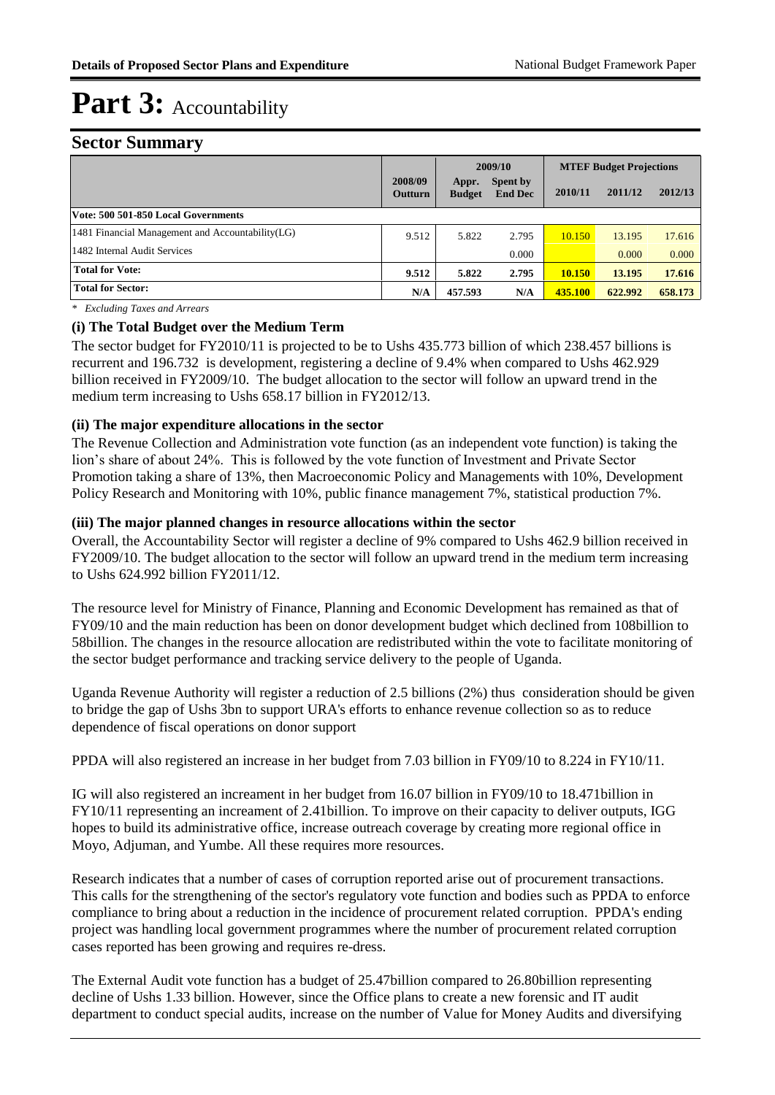#### **Sector Summary**

|                                                  |                           |                        | 2009/10                    |               | <b>MTEF Budget Projections</b> |         |
|--------------------------------------------------|---------------------------|------------------------|----------------------------|---------------|--------------------------------|---------|
|                                                  | 2008/09<br><b>Outturn</b> | Appr.<br><b>Budget</b> | Spent by<br><b>End Dec</b> | 2010/11       | 2011/12                        | 2012/13 |
| Vote: 500 501-850 Local Governments              |                           |                        |                            |               |                                |         |
| 1481 Financial Management and Accountability(LG) | 9.512                     | 5.822                  | 2.795                      | 10.150        | 13.195                         | 17.616  |
| 1482 Internal Audit Services                     |                           |                        | 0.000                      |               | 0.000                          | 0.000   |
| <b>Total for Vote:</b>                           | 9.512                     | 5.822                  | 2.795                      | <b>10.150</b> | 13.195                         | 17.616  |
| <b>Total for Sector:</b>                         | N/A                       | 457.593                | N/A                        | 435.100       | 622.992                        | 658.173 |

*\* Excluding Taxes and Arrears*

#### **(i) The Total Budget over the Medium Term**

The sector budget for FY2010/11 is projected to be to Ushs 435.773 billion of which 238.457 billions is recurrent and 196.732 is development, registering a decline of 9.4% when compared to Ushs 462.929 billion received in FY2009/10. The budget allocation to the sector will follow an upward trend in the medium term increasing to Ushs 658.17 billion in FY2012/13.

#### **(ii) The major expenditure allocations in the sector**

The Revenue Collection and Administration vote function (as an independent vote function) is taking the lion's share of about 24%. This is followed by the vote function of Investment and Private Sector Promotion taking a share of 13%, then Macroeconomic Policy and Managements with 10%, Development Policy Research and Monitoring with 10%, public finance management 7%, statistical production 7%.

#### **(iii) The major planned changes in resource allocations within the sector**

Overall, the Accountability Sector will register a decline of 9% compared to Ushs 462.9 billion received in FY2009/10. The budget allocation to the sector will follow an upward trend in the medium term increasing to Ushs 624.992 billion FY2011/12.

The resource level for Ministry of Finance, Planning and Economic Development has remained as that of FY09/10 and the main reduction has been on donor development budget which declined from 108billion to 58billion. The changes in the resource allocation are redistributed within the vote to facilitate monitoring of the sector budget performance and tracking service delivery to the people of Uganda.

Uganda Revenue Authority will register a reduction of 2.5 billions (2%) thus consideration should be given to bridge the gap of Ushs 3bn to support URA's efforts to enhance revenue collection so as to reduce dependence of fiscal operations on donor support

PPDA will also registered an increase in her budget from 7.03 billion in FY09/10 to 8.224 in FY10/11.

IG will also registered an increament in her budget from 16.07 billion in FY09/10 to 18.471billion in FY10/11 representing an increament of 2.41billion. To improve on their capacity to deliver outputs, IGG hopes to build its administrative office, increase outreach coverage by creating more regional office in Moyo, Adjuman, and Yumbe. All these requires more resources.

Research indicates that a number of cases of corruption reported arise out of procurement transactions. This calls for the strengthening of the sector's regulatory vote function and bodies such as PPDA to enforce compliance to bring about a reduction in the incidence of procurement related corruption. PPDA's ending project was handling local government programmes where the number of procurement related corruption cases reported has been growing and requires re-dress.

The External Audit vote function has a budget of 25.47billion compared to 26.80billion representing decline of Ushs 1.33 billion. However, since the Office plans to create a new forensic and IT audit department to conduct special audits, increase on the number of Value for Money Audits and diversifying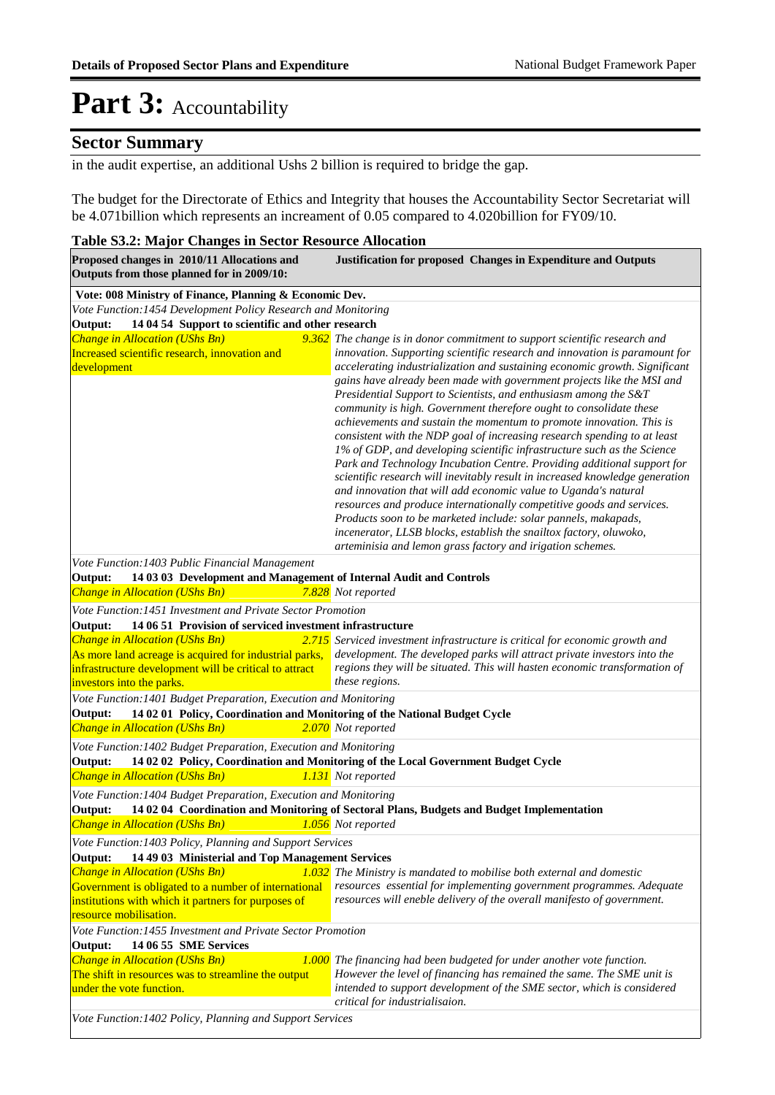### **Sector Summary**

in the audit expertise, an additional Ushs 2 billion is required to bridge the gap.

The budget for the Directorate of Ethics and Integrity that houses the Accountability Sector Secretariat will be 4.071billion which represents an increament of 0.05 compared to 4.020billion for FY09/10.

#### **Table S3.2: Major Changes in Sector Resource Allocation Proposed changes in 2010/11 Allocations and Justification for proposed Changes in Expenditure and Outputs Outputs from those planned for in 2009/10: Vote: 008 Ministry of Finance, Planning & Economic Dev.** *<i>Change in Allocation (UShs Bn)* Increased scientific research, innovation and development *The change is in donor commitment to support scientific research and innovation. Supporting scientific research and innovation is paramount for accelerating industrialization and sustaining economic growth. Significant gains have already been made with government projects like the MSI and Presidential Support to Scientists, and enthusiasm among the S&T community is high. Government therefore ought to consolidate these achievements and sustain the momentum to promote innovation. This is consistent with the NDP goal of increasing research spending to at least 1% of GDP, and developing scientific infrastructure such as the Science Park and Technology Incubation Centre. Providing additional support for scientific research will inevitably result in increased knowledge generation and innovation that will add economic value to Uganda's natural resources and produce internationally competitive goods and services. Products soon to be marketed include: solar pannels, makapads, incenerator, LLSB blocks, establish the snailtox factory, oluwoko, arteminisia and lemon grass factory and irigation schemes.* **Output: 14 04 54 Support to scientific and other research** *Vote Function:1454 Development Policy Research and Monitoring Change in Allocation (UShs Bn) 7.828 Not reported* **Output: 14 03 03 Development and Management of Internal Audit and Controls** *Vote Function:1403 Public Financial Management Change in Allocation (UShs Bn)* As more land acreage is acquired for industrial parks, development. The developed parks will attract private investors into the infrastructure development will be critical to attract investors into the parks. **2.715** Serviced investment infrastructure is critical for economic growth and *regions they will be situated. This will hasten economic transformation of these regions.* **Output: 14 06 51 Provision of serviced investment infrastructure** *Vote Function:1451 Investment and Private Sector Promotion Change in Allocation (UShs Bn) 2.070 Not reported* **Output: 14 02 01 Policy, Coordination and Monitoring of the National Budget Cycle** *Vote Function:1401 Budget Preparation, Execution and Monitoring Change in Allocation (UShs Bn) 1.131 Not reported* **Output: 14 02 02 Policy, Coordination and Monitoring of the Local Government Budget Cycle** *Vote Function:1402 Budget Preparation, Execution and Monitoring Change in Allocation (UShs Bn) 1.056 Not reported* **Output: 14 02 04 Coordination and Monitoring of Sectoral Plans, Budgets and Budget Implementation** *Vote Function:1404 Budget Preparation, Execution and Monitoring Change in Allocation (UShs Bn)* Government is obligated to a number of international resources essential for implementing government programmes. Adequate institutions with which it partners for purposes of resource mobilisation. *The Ministry is mandated to mobilise both external and domestic resources will eneble delivery of the overall manifesto of government.* **Output: 14 49 03 Ministerial and Top Management Services** *Vote Function:1403 Policy, Planning and Support Services Change in Allocation (UShs Bn)* The shift in resources was to streamline the output under the vote function. *The financing had been budgeted for under another vote function. However the level of financing has remained the same. The SME unit is intended to support development of the SME sector, which is considered critical for industrialisaion.* **Output: 14 06 55 SME Services** *Vote Function:1455 Investment and Private Sector Promotion Vote Function:1402 Policy, Planning and Support Services*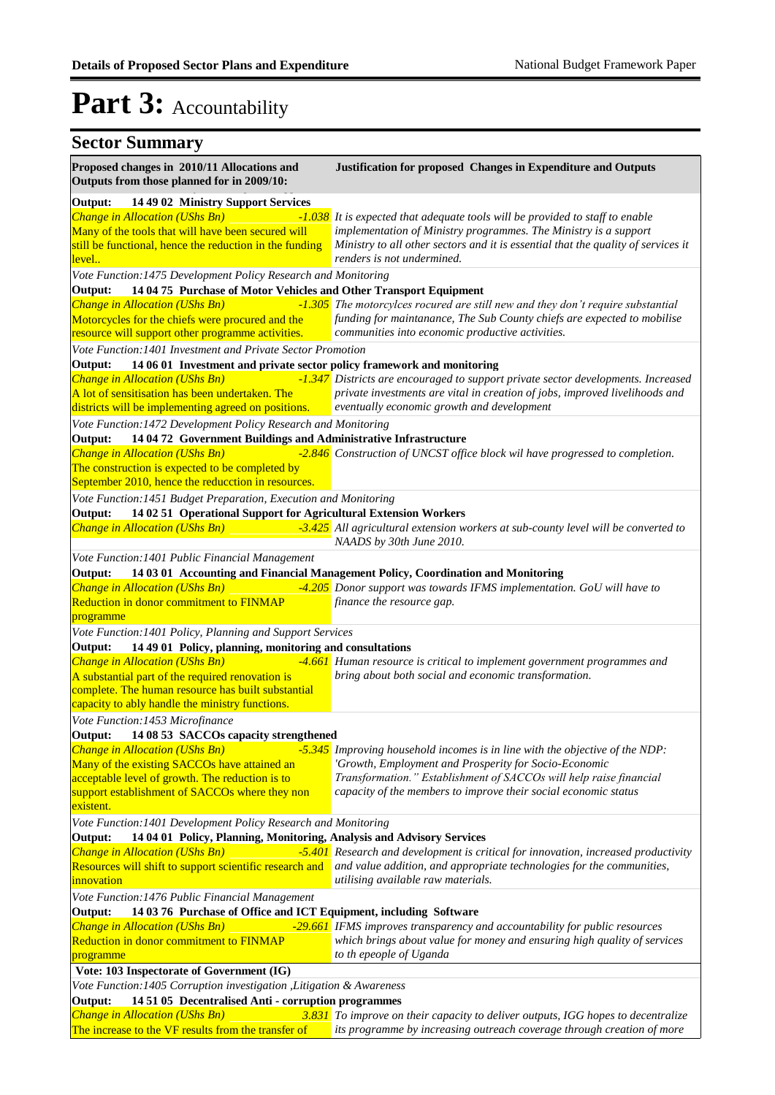| <b>Sector Summary</b>                                                                                                                                                                                                                                                                                                                                                                                                                                          |                                                                                                                                                                                                                                                                                                                                                                                                                                    |
|----------------------------------------------------------------------------------------------------------------------------------------------------------------------------------------------------------------------------------------------------------------------------------------------------------------------------------------------------------------------------------------------------------------------------------------------------------------|------------------------------------------------------------------------------------------------------------------------------------------------------------------------------------------------------------------------------------------------------------------------------------------------------------------------------------------------------------------------------------------------------------------------------------|
| Proposed changes in 2010/11 Allocations and<br>Outputs from those planned for in 2009/10:                                                                                                                                                                                                                                                                                                                                                                      | <b>Justification for proposed Changes in Expenditure and Outputs</b>                                                                                                                                                                                                                                                                                                                                                               |
| 14 49 02 Ministry Support Services<br>Output:<br><b>Change in Allocation (UShs Bn)</b><br>Many of the tools that will have been secured will<br>still be functional, hence the reduction in the funding<br><u>level</u><br>Vote Function:1475 Development Policy Research and Monitoring<br>14 04 75 Purchase of Motor Vehicles and Other Transport Equipment<br>Output:<br>Change in Allocation (UShs Bn)<br>Motorcycles for the chiefs were procured and the | -1.038 It is expected that adequate tools will be provided to staff to enable<br>implementation of Ministry programmes. The Ministry is a support<br>Ministry to all other sectors and it is essential that the quality of services it<br>renders is not undermined.<br>-1.305 The motorcylces rocured are still new and they don't require substantial<br>funding for maintanance, The Sub County chiefs are expected to mobilise |
| resource will support other programme activities.<br>Vote Function: 1401 Investment and Private Sector Promotion                                                                                                                                                                                                                                                                                                                                               | communities into economic productive activities.                                                                                                                                                                                                                                                                                                                                                                                   |
| 14 06 01 Investment and private sector policy framework and monitoring<br>Output:<br><b>Change in Allocation (UShs Bn)</b><br>A lot of sensitisation has been undertaken. The<br>districts will be implementing agreed on positions.                                                                                                                                                                                                                           | -1.347 Districts are encouraged to support private sector developments. Increased<br>private investments are vital in creation of jobs, improved livelihoods and<br>eventually economic growth and development                                                                                                                                                                                                                     |
| Vote Function: 1472 Development Policy Research and Monitoring                                                                                                                                                                                                                                                                                                                                                                                                 |                                                                                                                                                                                                                                                                                                                                                                                                                                    |
| 14 04 72 Government Buildings and Administrative Infrastructure<br>Output:<br><b>Change in Allocation (UShs Bn)</b><br>The construction is expected to be completed by<br>September 2010, hence the reducction in resources.                                                                                                                                                                                                                                   | -2.846 Construction of UNCST office block wil have progressed to completion.                                                                                                                                                                                                                                                                                                                                                       |
| Vote Function: 1451 Budget Preparation, Execution and Monitoring<br>Output:<br>14 02 51 Operational Support for Agricultural Extension Workers                                                                                                                                                                                                                                                                                                                 |                                                                                                                                                                                                                                                                                                                                                                                                                                    |
| <b>Change in Allocation (UShs Bn)</b>                                                                                                                                                                                                                                                                                                                                                                                                                          | -3.425 All agricultural extension workers at sub-county level will be converted to<br>NAADS by 30th June 2010.                                                                                                                                                                                                                                                                                                                     |
| Vote Function: 1401 Public Financial Management<br>Output:<br><b>Change in Allocation (UShs Bn)</b><br>Reduction in donor commitment to FINMAP<br>programme                                                                                                                                                                                                                                                                                                    | 14 03 01 Accounting and Financial Management Policy, Coordination and Monitoring<br>-4.205 Donor support was towards IFMS implementation. GoU will have to<br>finance the resource gap.                                                                                                                                                                                                                                            |
| Vote Function: 1401 Policy, Planning and Support Services<br>Output:<br>14 49 01 Policy, planning, monitoring and consultations<br><b>Change in Allocation (UShs Bn)</b><br>A substantial part of the required renovation is<br>complete. The human resource has built substantial<br>capacity to ably handle the ministry functions.                                                                                                                          | -4.661 Human resource is critical to implement government programmes and<br>bring about both social and economic transformation.                                                                                                                                                                                                                                                                                                   |
| Vote Function: 1453 Microfinance                                                                                                                                                                                                                                                                                                                                                                                                                               |                                                                                                                                                                                                                                                                                                                                                                                                                                    |
| 14 08 53 SACCOs capacity strengthened<br>Output:<br><b>Change in Allocation (UShs Bn)</b><br>Many of the existing SACCOs have attained an<br>acceptable level of growth. The reduction is to<br>support establishment of SACCOs where they non<br>existent.                                                                                                                                                                                                    | -5.345 Improving household incomes is in line with the objective of the NDP:<br>'Growth, Employment and Prosperity for Socio-Economic<br>Transformation." Establishment of SACCOs will help raise financial<br>capacity of the members to improve their social economic status                                                                                                                                                     |
| Vote Function: 1401 Development Policy Research and Monitoring<br>14 04 01 Policy, Planning, Monitoring, Analysis and Advisory Services                                                                                                                                                                                                                                                                                                                        |                                                                                                                                                                                                                                                                                                                                                                                                                                    |
| Output:<br><b>Change in Allocation (UShs Bn)</b><br>Resources will shift to support scientific research and<br>innovation<br>Vote Function: 1476 Public Financial Management                                                                                                                                                                                                                                                                                   | -5.401 Research and development is critical for innovation, increased productivity<br>and value addition, and appropriate technologies for the communities,<br>utilising available raw materials.                                                                                                                                                                                                                                  |
| 14 03 76 Purchase of Office and ICT Equipment, including Software<br>Output:                                                                                                                                                                                                                                                                                                                                                                                   |                                                                                                                                                                                                                                                                                                                                                                                                                                    |
| <b>Change in Allocation (UShs Bn)</b><br><b>Reduction in donor commitment to FINMAP</b><br>programme                                                                                                                                                                                                                                                                                                                                                           | -29.661 IFMS improves transparency and accountability for public resources<br>which brings about value for money and ensuring high quality of services<br>to th epeople of Uganda                                                                                                                                                                                                                                                  |
| Vote: 103 Inspectorate of Government (IG)                                                                                                                                                                                                                                                                                                                                                                                                                      |                                                                                                                                                                                                                                                                                                                                                                                                                                    |
| Vote Function: 1405 Corruption investigation , Litigation & Awareness<br>14 51 05 Decentralised Anti - corruption programmes<br>Output:                                                                                                                                                                                                                                                                                                                        |                                                                                                                                                                                                                                                                                                                                                                                                                                    |
| <b>Change in Allocation (UShs Bn)</b><br>The increase to the VF results from the transfer of                                                                                                                                                                                                                                                                                                                                                                   | 3.831 To improve on their capacity to deliver outputs, IGG hopes to decentralize<br>its programme by increasing outreach coverage through creation of more                                                                                                                                                                                                                                                                         |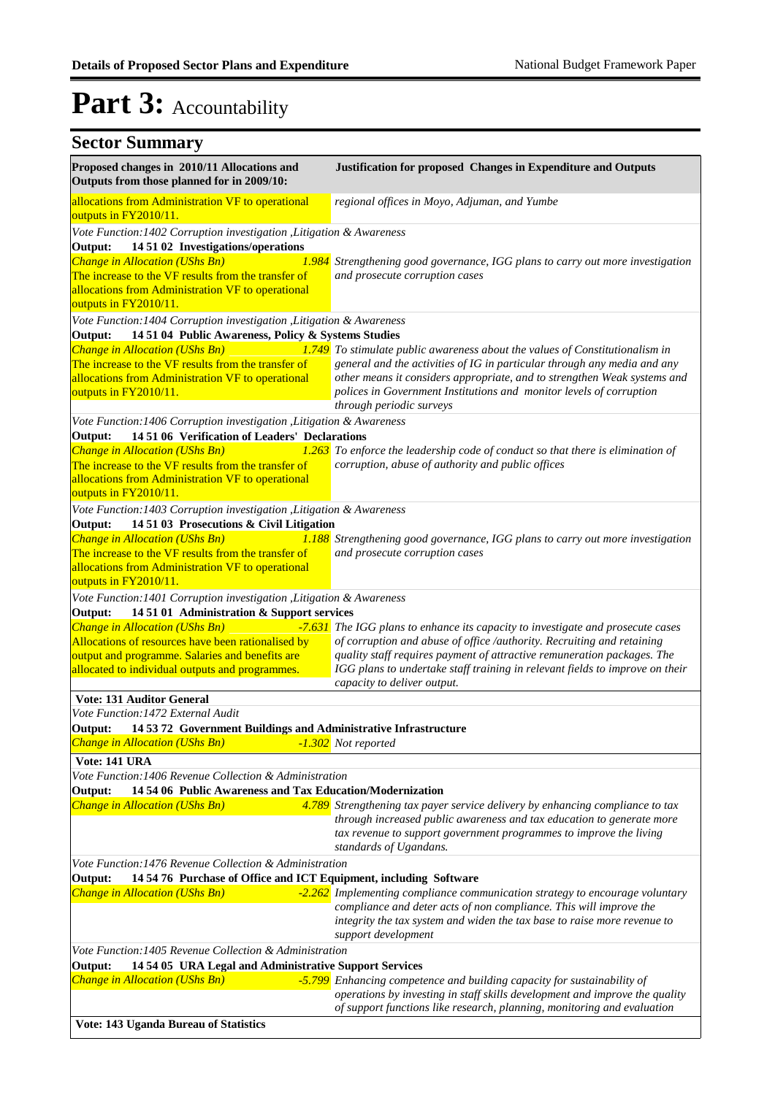| <b>Sector Summary</b>                                                                                      |                                                                                                                         |
|------------------------------------------------------------------------------------------------------------|-------------------------------------------------------------------------------------------------------------------------|
| Proposed changes in 2010/11 Allocations and<br>Outputs from those planned for in 2009/10:                  | Justification for proposed Changes in Expenditure and Outputs                                                           |
| allocations from Administration VF to operational<br>outputs in FY2010/11.                                 | regional offices in Moyo, Adjuman, and Yumbe                                                                            |
| Vote Function: 1402 Corruption investigation , Litigation & Awareness                                      |                                                                                                                         |
| 14 51 02 Investigations/operations<br>Output:                                                              |                                                                                                                         |
| <b>Change in Allocation (UShs Bn)</b><br>The increase to the VF results from the transfer of               | <b>1.984</b> Strengthening good governance, IGG plans to carry out more investigation<br>and prosecute corruption cases |
| allocations from Administration VF to operational                                                          |                                                                                                                         |
| outputs in FY2010/11.                                                                                      |                                                                                                                         |
| Vote Function: 1404 Corruption investigation , Litigation & Awareness                                      |                                                                                                                         |
| 14 51 04 Public Awareness, Policy & Systems Studies<br>Output:                                             |                                                                                                                         |
| Change in Allocation (UShs Bn)                                                                             | 1.749 To stimulate public awareness about the values of Constitutionalism in                                            |
| The increase to the VF results from the transfer of                                                        | general and the activities of IG in particular through any media and any                                                |
| allocations from Administration VF to operational                                                          | other means it considers appropriate, and to strengthen Weak systems and                                                |
| outputs in FY2010/11.                                                                                      | polices in Government Institutions and monitor levels of corruption                                                     |
|                                                                                                            | through periodic surveys                                                                                                |
| Vote Function: 1406 Corruption investigation , Litigation & Awareness                                      |                                                                                                                         |
| 14 51 06 Verification of Leaders' Declarations<br>Output:                                                  |                                                                                                                         |
| Change in Allocation (UShs Bn)                                                                             | 1.263 To enforce the leadership code of conduct so that there is elimination of                                         |
| The increase to the VF results from the transfer of                                                        | corruption, abuse of authority and public offices                                                                       |
| allocations from Administration VF to operational<br>outputs in FY2010/11.                                 |                                                                                                                         |
| Vote Function: 1403 Corruption investigation , Litigation & Awareness                                      |                                                                                                                         |
| 14 51 03 Prosecutions & Civil Litigation<br>Output:                                                        |                                                                                                                         |
| Change in Allocation (UShs Bn)                                                                             | 1.188 Strengthening good governance, IGG plans to carry out more investigation                                          |
| The increase to the VF results from the transfer of                                                        | and prosecute corruption cases                                                                                          |
| allocations from Administration VF to operational                                                          |                                                                                                                         |
| outputs in FY2010/11.                                                                                      |                                                                                                                         |
| Vote Function: 1401 Corruption investigation , Litigation & Awareness                                      |                                                                                                                         |
| 14 51 01 Administration & Support services<br>Output:                                                      |                                                                                                                         |
| Change in Allocation (UShs Bn)                                                                             | -7.631 The IGG plans to enhance its capacity to investigate and prosecute cases                                         |
| Allocations of resources have been rationalised by                                                         | of corruption and abuse of office /authority. Recruiting and retaining                                                  |
| output and programme. Salaries and benefits are                                                            | quality staff requires payment of attractive remuneration packages. The                                                 |
| allocated to individual outputs and programmes.                                                            | IGG plans to undertake staff training in relevant fields to improve on their                                            |
|                                                                                                            | capacity to deliver output.                                                                                             |
| <b>Vote: 131 Auditor General</b>                                                                           |                                                                                                                         |
| Vote Function: 1472 External Audit<br>Output:                                                              |                                                                                                                         |
| 14 53 72 Government Buildings and Administrative Infrastructure<br><b>Change in Allocation (UShs Bn)</b>   | -1.302 Not reported                                                                                                     |
|                                                                                                            |                                                                                                                         |
| Vote: 141 URA<br>Vote Function: 1406 Revenue Collection & Administration                                   |                                                                                                                         |
| Output:<br>14 54 06 Public Awareness and Tax Education/Modernization                                       |                                                                                                                         |
| <b>Change in Allocation (UShs Bn)</b>                                                                      | 4.789 Strengthening tax payer service delivery by enhancing compliance to tax                                           |
|                                                                                                            | through increased public awareness and tax education to generate more                                                   |
|                                                                                                            | tax revenue to support government programmes to improve the living                                                      |
|                                                                                                            | standards of Ugandans.                                                                                                  |
| Vote Function:1476 Revenue Collection & Administration                                                     |                                                                                                                         |
| 14 54 76 Purchase of Office and ICT Equipment, including Software<br>Output:                               |                                                                                                                         |
| Change in Allocation (UShs Bn)                                                                             | $-2.262$ Implementing compliance communication strategy to encourage voluntary                                          |
|                                                                                                            | compliance and deter acts of non compliance. This will improve the                                                      |
|                                                                                                            | integrity the tax system and widen the tax base to raise more revenue to                                                |
|                                                                                                            | support development                                                                                                     |
| Vote Function: 1405 Revenue Collection & Administration                                                    |                                                                                                                         |
| Output:<br>14 54 05 URA Legal and Administrative Support Services<br><b>Change in Allocation (UShs Bn)</b> | -5.799 Enhancing competence and building capacity for sustainability of                                                 |
|                                                                                                            | operations by investing in staff skills development and improve the quality                                             |
|                                                                                                            | of support functions like research, planning, monitoring and evaluation                                                 |
| Vote: 143 Uganda Bureau of Statistics                                                                      |                                                                                                                         |
|                                                                                                            |                                                                                                                         |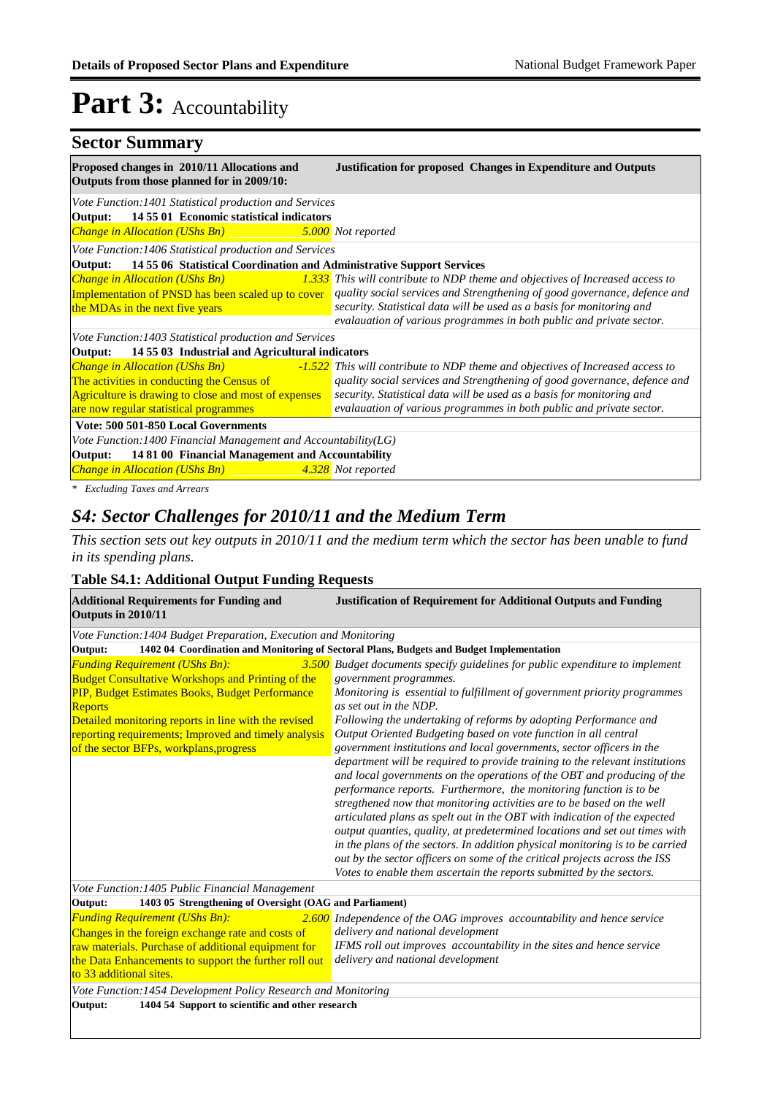### **Sector Summary**

| Proposed changes in 2010/11 Allocations and<br>Outputs from those planned for in 2009/10: | <b>Justification for proposed Changes in Expenditure and Outputs</b>                                                                |
|-------------------------------------------------------------------------------------------|-------------------------------------------------------------------------------------------------------------------------------------|
| Vote Function: 1401 Statistical production and Services                                   |                                                                                                                                     |
| Output: 14 55 01 Economic statistical indicators                                          |                                                                                                                                     |
| Change in Allocation (UShs Bn)                                                            | 5.000 Not reported                                                                                                                  |
| Vote Function: 1406 Statistical production and Services                                   |                                                                                                                                     |
| 14 55 06 Statistical Coordination and Administrative Support Services<br>Output:          |                                                                                                                                     |
|                                                                                           | <b>Change in Allocation (UShs Bn)</b> $\qquad \qquad 1.333$ This will contribute to NDP theme and objectives of Increased access to |
|                                                                                           | Implementation of PNSD has been scaled up to cover quality social services and Strengthening of good governance, defence and        |
| the MDAs in the next five years                                                           | security. Statistical data will be used as a basis for monitoring and                                                               |
|                                                                                           | evalauation of various programmes in both public and private sector.                                                                |
| Vote Function: 1403 Statistical production and Services                                   |                                                                                                                                     |
| Output: 14 55 03 Industrial and Agricultural indicators                                   |                                                                                                                                     |
|                                                                                           | <b>Change in Allocation (UShs Bn)</b> $-1.522$ This will contribute to NDP theme and objectives of Increased access to              |
| The activities in conducting the Census of                                                | quality social services and Strengthening of good governance, defence and                                                           |
| Agriculture is drawing to close and most of expenses                                      | security. Statistical data will be used as a basis for monitoring and                                                               |
| are now regular statistical programmes                                                    | evalauation of various programmes in both public and private sector.                                                                |
| Vote: 500 501-850 Local Governments                                                       |                                                                                                                                     |
| Vote Function: 1400 Financial Management and Accountability(LG)                           |                                                                                                                                     |
| 14 81 00 Financial Management and Accountability<br>Output:                               |                                                                                                                                     |
| Change in Allocation (UShs Bn) 4.328 Not reported                                         |                                                                                                                                     |

*\* Excluding Taxes and Arrears*

### *S4: Sector Challenges for 2010/11 and the Medium Term*

*This section sets out key outputs in 2010/11 and the medium term which the sector has been unable to fund in its spending plans.*

#### **Table S4.1: Additional Output Funding Requests**

| <b>Additional Requirements for Funding and</b><br>Outputs in 2010/11                                                                                                                                                                                                                                                       | <b>Justification of Requirement for Additional Outputs and Funding</b>                                                                                                                                                                                                                                                                                                                                                                                                                                                                                                                                                                                                                                                                                                                                                                                                                                                                                                                                                                                              |
|----------------------------------------------------------------------------------------------------------------------------------------------------------------------------------------------------------------------------------------------------------------------------------------------------------------------------|---------------------------------------------------------------------------------------------------------------------------------------------------------------------------------------------------------------------------------------------------------------------------------------------------------------------------------------------------------------------------------------------------------------------------------------------------------------------------------------------------------------------------------------------------------------------------------------------------------------------------------------------------------------------------------------------------------------------------------------------------------------------------------------------------------------------------------------------------------------------------------------------------------------------------------------------------------------------------------------------------------------------------------------------------------------------|
| Vote Function: 1404 Budget Preparation, Execution and Monitoring                                                                                                                                                                                                                                                           |                                                                                                                                                                                                                                                                                                                                                                                                                                                                                                                                                                                                                                                                                                                                                                                                                                                                                                                                                                                                                                                                     |
| Output:                                                                                                                                                                                                                                                                                                                    | 1402 04 Coordination and Monitoring of Sectoral Plans, Budgets and Budget Implementation                                                                                                                                                                                                                                                                                                                                                                                                                                                                                                                                                                                                                                                                                                                                                                                                                                                                                                                                                                            |
| <b>Funding Requirement (UShs Bn):</b><br><b>Budget Consultative Workshops and Printing of the</b><br>PIP, Budget Estimates Books, Budget Performance<br>Reports<br>Detailed monitoring reports in line with the revised<br>reporting requirements; Improved and timely analysis<br>of the sector BFPs, workplans, progress | 3.500 Budget documents specify guidelines for public expenditure to implement<br>government programmes.<br>Monitoring is essential to fulfillment of government priority programmes<br>as set out in the NDP.<br>Following the undertaking of reforms by adopting Performance and<br>Output Oriented Budgeting based on vote function in all central<br>government institutions and local governments, sector officers in the<br>department will be required to provide training to the relevant institutions<br>and local governments on the operations of the OBT and producing of the<br>performance reports. Furthermore, the monitoring function is to be<br>stregthened now that monitoring activities are to be based on the well<br>articulated plans as spelt out in the OBT with indication of the expected<br>output quanties, quality, at predetermined locations and set out times with<br>in the plans of the sectors. In addition physical monitoring is to be carried<br>out by the sector officers on some of the critical projects across the ISS |
|                                                                                                                                                                                                                                                                                                                            | Votes to enable them ascertain the reports submitted by the sectors.                                                                                                                                                                                                                                                                                                                                                                                                                                                                                                                                                                                                                                                                                                                                                                                                                                                                                                                                                                                                |
| Vote Function: 1405 Public Financial Management                                                                                                                                                                                                                                                                            |                                                                                                                                                                                                                                                                                                                                                                                                                                                                                                                                                                                                                                                                                                                                                                                                                                                                                                                                                                                                                                                                     |
| Output:<br>1403 05 Strengthening of Oversight (OAG and Parliament)                                                                                                                                                                                                                                                         |                                                                                                                                                                                                                                                                                                                                                                                                                                                                                                                                                                                                                                                                                                                                                                                                                                                                                                                                                                                                                                                                     |
| <b>Funding Requirement (UShs Bn):</b><br>Changes in the foreign exchange rate and costs of<br>raw materials. Purchase of additional equipment for<br>the Data Enhancements to support the further roll out<br>to 33 additional sites.                                                                                      | <b>2.600</b> Independence of the OAG improves accountability and hence service<br>delivery and national development<br>IFMS roll out improves accountability in the sites and hence service<br>delivery and national development                                                                                                                                                                                                                                                                                                                                                                                                                                                                                                                                                                                                                                                                                                                                                                                                                                    |
| Vote Function: 1454 Development Policy Research and Monitoring                                                                                                                                                                                                                                                             |                                                                                                                                                                                                                                                                                                                                                                                                                                                                                                                                                                                                                                                                                                                                                                                                                                                                                                                                                                                                                                                                     |
| 1404 54 Support to scientific and other research<br>Output:                                                                                                                                                                                                                                                                |                                                                                                                                                                                                                                                                                                                                                                                                                                                                                                                                                                                                                                                                                                                                                                                                                                                                                                                                                                                                                                                                     |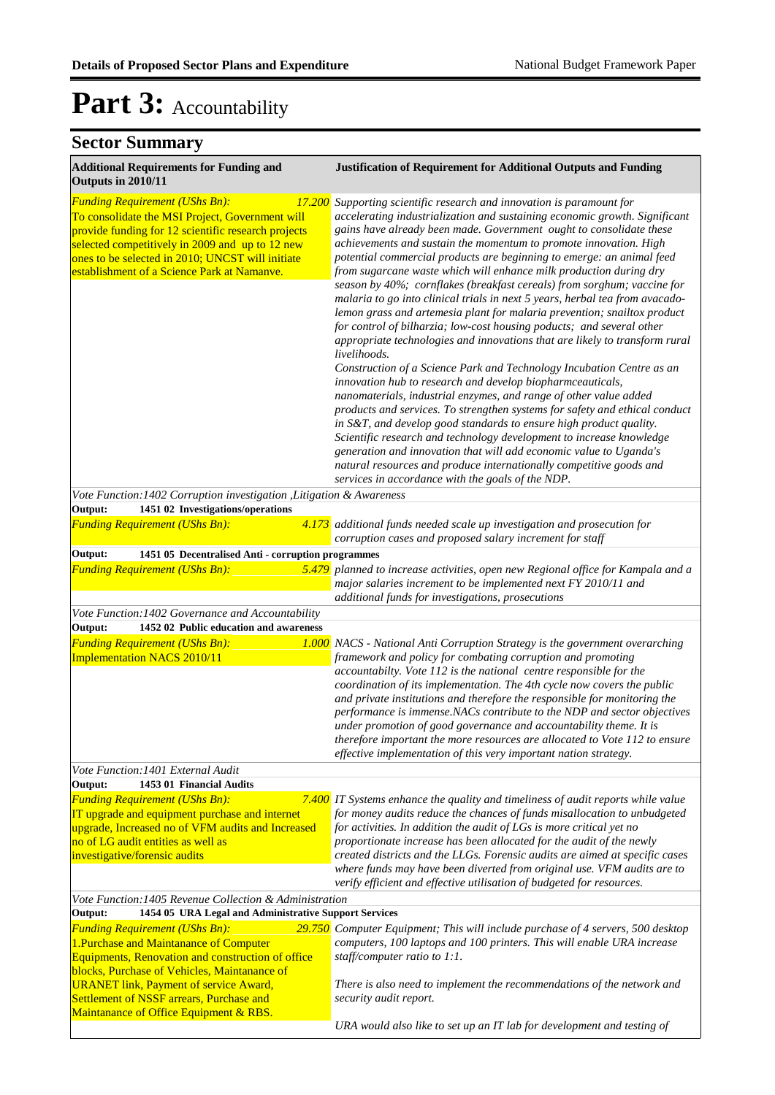| <b>Additional Requirements for Funding and</b><br>Outputs in 2010/11                                                                                                                                                                                                                                                                                                                             | <b>Justification of Requirement for Additional Outputs and Funding</b>                                                                                                                                                                                                                                                                                                                                                                                                                                                                                                                                                                                                                                                                                                                                                                                                                                                                                                                                                                                                                                                                                                                                                                                                                                                                                                                                                                                                                            |
|--------------------------------------------------------------------------------------------------------------------------------------------------------------------------------------------------------------------------------------------------------------------------------------------------------------------------------------------------------------------------------------------------|---------------------------------------------------------------------------------------------------------------------------------------------------------------------------------------------------------------------------------------------------------------------------------------------------------------------------------------------------------------------------------------------------------------------------------------------------------------------------------------------------------------------------------------------------------------------------------------------------------------------------------------------------------------------------------------------------------------------------------------------------------------------------------------------------------------------------------------------------------------------------------------------------------------------------------------------------------------------------------------------------------------------------------------------------------------------------------------------------------------------------------------------------------------------------------------------------------------------------------------------------------------------------------------------------------------------------------------------------------------------------------------------------------------------------------------------------------------------------------------------------|
| <b>Funding Requirement (UShs Bn):</b><br>17.200<br>To consolidate the MSI Project, Government will<br>provide funding for 12 scientific research projects<br>selected competitively in 2009 and up to 12 new<br>ones to be selected in 2010; UNCST will initiate<br>establishment of a Science Park at Namanve.                                                                                  | Supporting scientific research and innovation is paramount for<br>accelerating industrialization and sustaining economic growth. Significant<br>gains have already been made. Government ought to consolidate these<br>achievements and sustain the momentum to promote innovation. High<br>potential commercial products are beginning to emerge: an animal feed<br>from sugarcane waste which will enhance milk production during dry<br>season by 40%; cornflakes (breakfast cereals) from sorghum; vaccine for<br>malaria to go into clinical trials in next 5 years, herbal tea from avacado-<br>lemon grass and artemesia plant for malaria prevention; snailtox product<br>for control of bilharzia; low-cost housing poducts; and several other<br>appropriate technologies and innovations that are likely to transform rural<br>livelihoods.<br>Construction of a Science Park and Technology Incubation Centre as an<br>innovation hub to research and develop biopharmceauticals,<br>nanomaterials, industrial enzymes, and range of other value added<br>products and services. To strengthen systems for safety and ethical conduct<br>in S&T, and develop good standards to ensure high product quality.<br>Scientific research and technology development to increase knowledge<br>generation and innovation that will add economic value to Uganda's<br>natural resources and produce internationally competitive goods and<br>services in accordance with the goals of the NDP. |
| Vote Function: 1402 Corruption investigation , Litigation & Awareness                                                                                                                                                                                                                                                                                                                            |                                                                                                                                                                                                                                                                                                                                                                                                                                                                                                                                                                                                                                                                                                                                                                                                                                                                                                                                                                                                                                                                                                                                                                                                                                                                                                                                                                                                                                                                                                   |
| 1451 02 Investigations/operations<br>Output:<br><b>Funding Requirement (UShs Bn):</b>                                                                                                                                                                                                                                                                                                            | $\frac{4.173}{4.173}$ additional funds needed scale up investigation and prosecution for<br>corruption cases and proposed salary increment for staff                                                                                                                                                                                                                                                                                                                                                                                                                                                                                                                                                                                                                                                                                                                                                                                                                                                                                                                                                                                                                                                                                                                                                                                                                                                                                                                                              |
| Output:<br>1451 05 Decentralised Anti - corruption programmes                                                                                                                                                                                                                                                                                                                                    |                                                                                                                                                                                                                                                                                                                                                                                                                                                                                                                                                                                                                                                                                                                                                                                                                                                                                                                                                                                                                                                                                                                                                                                                                                                                                                                                                                                                                                                                                                   |
| <b>Funding Requirement (UShs Bn):</b>                                                                                                                                                                                                                                                                                                                                                            | 5.479 planned to increase activities, open new Regional office for Kampala and a<br>major salaries increment to be implemented next FY 2010/11 and<br>additional funds for investigations, prosecutions                                                                                                                                                                                                                                                                                                                                                                                                                                                                                                                                                                                                                                                                                                                                                                                                                                                                                                                                                                                                                                                                                                                                                                                                                                                                                           |
| Vote Function: 1402 Governance and Accountability                                                                                                                                                                                                                                                                                                                                                |                                                                                                                                                                                                                                                                                                                                                                                                                                                                                                                                                                                                                                                                                                                                                                                                                                                                                                                                                                                                                                                                                                                                                                                                                                                                                                                                                                                                                                                                                                   |
| Output:<br>1452 02 Public education and awareness<br><b>Funding Requirement (UShs Bn):</b><br><b>Implementation NACS 2010/11</b>                                                                                                                                                                                                                                                                 | <b>1.000</b> NACS - National Anti Corruption Strategy is the government overarching<br>framework and policy for combating corruption and promoting<br>accountabilty. Vote 112 is the national centre responsible for the<br>coordination of its implementation. The 4th cycle now covers the public<br>and private institutions and therefore the responsible for monitoring the<br>performance is immense.NACs contribute to the NDP and sector objectives<br>under promotion of good governance and accountability theme. It is<br>therefore important the more resources are allocated to Vote 112 to ensure<br>effective implementation of this very important nation strategy.                                                                                                                                                                                                                                                                                                                                                                                                                                                                                                                                                                                                                                                                                                                                                                                                               |
| Vote Function: 1401 External Audit                                                                                                                                                                                                                                                                                                                                                               |                                                                                                                                                                                                                                                                                                                                                                                                                                                                                                                                                                                                                                                                                                                                                                                                                                                                                                                                                                                                                                                                                                                                                                                                                                                                                                                                                                                                                                                                                                   |
| Output:<br>1453 01 Financial Audits<br><b>Funding Requirement (UShs Bn):</b><br>IT upgrade and equipment purchase and internet<br>upgrade, Increased no of VFM audits and Increased<br>no of LG audit entities as well as<br>investigative/forensic audits                                                                                                                                       | 7.400 IT Systems enhance the quality and timeliness of audit reports while value<br>for money audits reduce the chances of funds misallocation to unbudgeted<br>for activities. In addition the audit of LGs is more critical yet no<br>proportionate increase has been allocated for the audit of the newly<br>created districts and the LLGs. Forensic audits are aimed at specific cases<br>where funds may have been diverted from original use. VFM audits are to<br>verify efficient and effective utilisation of budgeted for resources.                                                                                                                                                                                                                                                                                                                                                                                                                                                                                                                                                                                                                                                                                                                                                                                                                                                                                                                                                   |
| Vote Function: 1405 Revenue Collection & Administration                                                                                                                                                                                                                                                                                                                                          |                                                                                                                                                                                                                                                                                                                                                                                                                                                                                                                                                                                                                                                                                                                                                                                                                                                                                                                                                                                                                                                                                                                                                                                                                                                                                                                                                                                                                                                                                                   |
| Output:<br>1454 05 URA Legal and Administrative Support Services<br><b>Funding Requirement (UShs Bn):</b><br>1. Purchase and Maintanance of Computer<br>Equipments, Renovation and construction of office<br>blocks, Purchase of Vehicles, Maintanance of<br><b>URANET link, Payment of service Award,</b><br>Settlement of NSSF arrears, Purchase and<br>Maintanance of Office Equipment & RBS. | 29.750 Computer Equipment; This will include purchase of 4 servers, 500 desktop<br>computers, 100 laptops and 100 printers. This will enable URA increase<br>staff/computer ratio to $1:1$ .<br>There is also need to implement the recommendations of the network and<br>security audit report.                                                                                                                                                                                                                                                                                                                                                                                                                                                                                                                                                                                                                                                                                                                                                                                                                                                                                                                                                                                                                                                                                                                                                                                                  |
|                                                                                                                                                                                                                                                                                                                                                                                                  | URA would also like to set up an IT lab for development and testing of                                                                                                                                                                                                                                                                                                                                                                                                                                                                                                                                                                                                                                                                                                                                                                                                                                                                                                                                                                                                                                                                                                                                                                                                                                                                                                                                                                                                                            |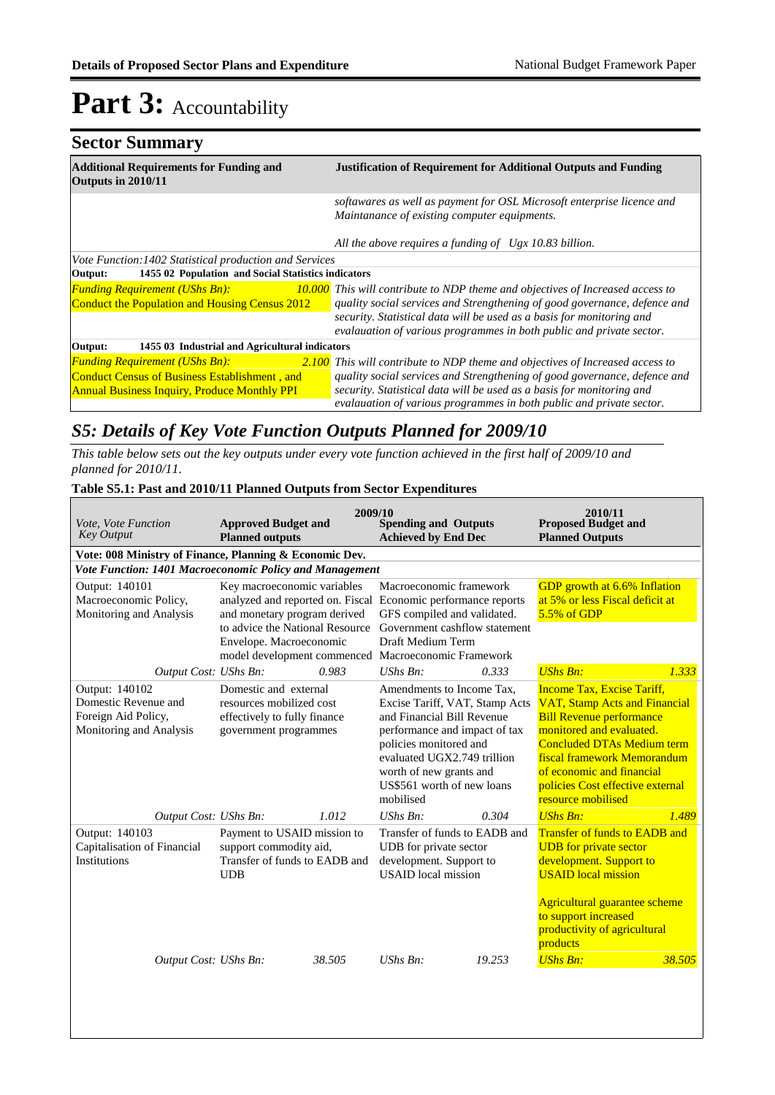| <b>Sector Summary</b>                                                |                                                                                                                                                                                                                            |
|----------------------------------------------------------------------|----------------------------------------------------------------------------------------------------------------------------------------------------------------------------------------------------------------------------|
| <b>Additional Requirements for Funding and</b><br>Outputs in 2010/11 | <b>Justification of Requirement for Additional Outputs and Funding</b>                                                                                                                                                     |
|                                                                      | softawares as well as payment for OSL Microsoft enterprise licence and<br>Maintanance of existing computer equipments.                                                                                                     |
|                                                                      | All the above requires a funding of Ugx 10.83 billion.                                                                                                                                                                     |
| Vote Function: 1402 Statistical production and Services              |                                                                                                                                                                                                                            |
| 1455 02 Population and Social Statistics indicators<br>Output:       |                                                                                                                                                                                                                            |
| <b>Funding Requirement (UShs Bn):</b>                                | <b>10.000</b> This will contribute to NDP theme and objectives of Increased access to                                                                                                                                      |
| Conduct the Population and Housing Census 2012                       | quality social services and Strengthening of good governance, defence and<br>security. Statistical data will be used as a basis for monitoring and<br>evalauation of various programmes in both public and private sector. |
| 1455 03 Industrial and Agricultural indicators<br>Output:            |                                                                                                                                                                                                                            |
| <b>Funding Requirement (UShs Bn):</b>                                | <b>2.100</b> This will contribute to NDP theme and objectives of Increased access to                                                                                                                                       |
| <b>Conduct Census of Business Establishment, and</b>                 | quality social services and Strengthening of good governance, defence and                                                                                                                                                  |
| <b>Annual Business Inquiry, Produce Monthly PPI</b>                  | security. Statistical data will be used as a basis for monitoring and<br>evalauation of various programmes in both public and private sector.                                                                              |
|                                                                      |                                                                                                                                                                                                                            |

### *S5: Details of Key Vote Function Outputs Planned for 2009/10*

*This table below sets out the key outputs under every vote function achieved in the first half of 2009/10 and planned for 2010/11.*

#### **Table S5.1: Past and 2010/11 Planned Outputs from Sector Expenditures**

| Vote, Vote Function<br><b>Key Output</b>                                                 | <b>Approved Budget and</b><br><b>Planned outputs</b>                                                                                                          | 2009/10 | <b>Spending and Outputs</b><br><b>Achieved by End Dec</b>                                                                                                                                                                                                 |        | 2010/11<br><b>Proposed Budget and</b><br><b>Planned Outputs</b>                                                                                                                                                                                                                                     |        |
|------------------------------------------------------------------------------------------|---------------------------------------------------------------------------------------------------------------------------------------------------------------|---------|-----------------------------------------------------------------------------------------------------------------------------------------------------------------------------------------------------------------------------------------------------------|--------|-----------------------------------------------------------------------------------------------------------------------------------------------------------------------------------------------------------------------------------------------------------------------------------------------------|--------|
| Vote: 008 Ministry of Finance, Planning & Economic Dev.                                  |                                                                                                                                                               |         |                                                                                                                                                                                                                                                           |        |                                                                                                                                                                                                                                                                                                     |        |
| <b>Vote Function: 1401 Macroeconomic Policy and Management</b>                           |                                                                                                                                                               |         |                                                                                                                                                                                                                                                           |        |                                                                                                                                                                                                                                                                                                     |        |
| Output: 140101<br>Macroeconomic Policy,<br>Monitoring and Analysis                       | Key macroeconomic variables<br>analyzed and reported on. Fiscal<br>and monetary program derived<br>to advice the National Resource<br>Envelope. Macroeconomic |         | Macroeconomic framework<br>Economic performance reports<br>GFS compiled and validated.<br>Government cashflow statement<br>Draft Medium Term<br>model development commenced Macroeconomic Framework                                                       |        | GDP growth at 6.6% Inflation<br>at 5% or less Fiscal deficit at<br>5.5% of GDP                                                                                                                                                                                                                      |        |
| Output Cost: UShs Bn:                                                                    |                                                                                                                                                               | 0.983   | $UShs Bn$ :                                                                                                                                                                                                                                               | 0.333  | <b>UShs Bn:</b>                                                                                                                                                                                                                                                                                     | 1.333  |
| Output: 140102<br>Domestic Revenue and<br>Foreign Aid Policy,<br>Monitoring and Analysis | Domestic and external<br>resources mobilized cost<br>effectively to fully finance<br>government programmes                                                    |         | Amendments to Income Tax,<br>Excise Tariff, VAT, Stamp Acts<br>and Financial Bill Revenue<br>performance and impact of tax<br>policies monitored and<br>evaluated UGX2.749 trillion<br>worth of new grants and<br>US\$561 worth of new loans<br>mobilised |        | <b>Income Tax, Excise Tariff,</b><br><b>VAT, Stamp Acts and Financial</b><br><b>Bill Revenue performance</b><br>monitored and evaluated.<br><b>Concluded DTAs Medium term</b><br>fiscal framework Memorandum<br>of economic and financial<br>policies Cost effective external<br>resource mobilised |        |
| Output Cost: UShs Bn:                                                                    |                                                                                                                                                               | 1.012   | UShs Bn:                                                                                                                                                                                                                                                  | 0.304  | <b>UShs Bn:</b>                                                                                                                                                                                                                                                                                     | 1.489  |
| Output: 140103<br>Capitalisation of Financial<br>Institutions                            | Payment to USAID mission to<br>support commodity aid,<br>Transfer of funds to EADB and<br><b>UDB</b>                                                          |         | Transfer of funds to EADB and<br>UDB for private sector<br>development. Support to<br><b>USAID</b> local mission                                                                                                                                          |        | <b>Transfer of funds to EADB and</b><br><b>UDB</b> for private sector<br>development. Support to<br><b>USAID</b> local mission                                                                                                                                                                      |        |
| Output Cost: UShs Bn:                                                                    |                                                                                                                                                               | 38.505  | $UShs Bn$ :                                                                                                                                                                                                                                               | 19.253 | <b>Agricultural guarantee scheme</b><br>to support increased<br>productivity of agricultural<br>products<br><b>UShs Bn:</b>                                                                                                                                                                         | 38.505 |
|                                                                                          |                                                                                                                                                               |         |                                                                                                                                                                                                                                                           |        |                                                                                                                                                                                                                                                                                                     |        |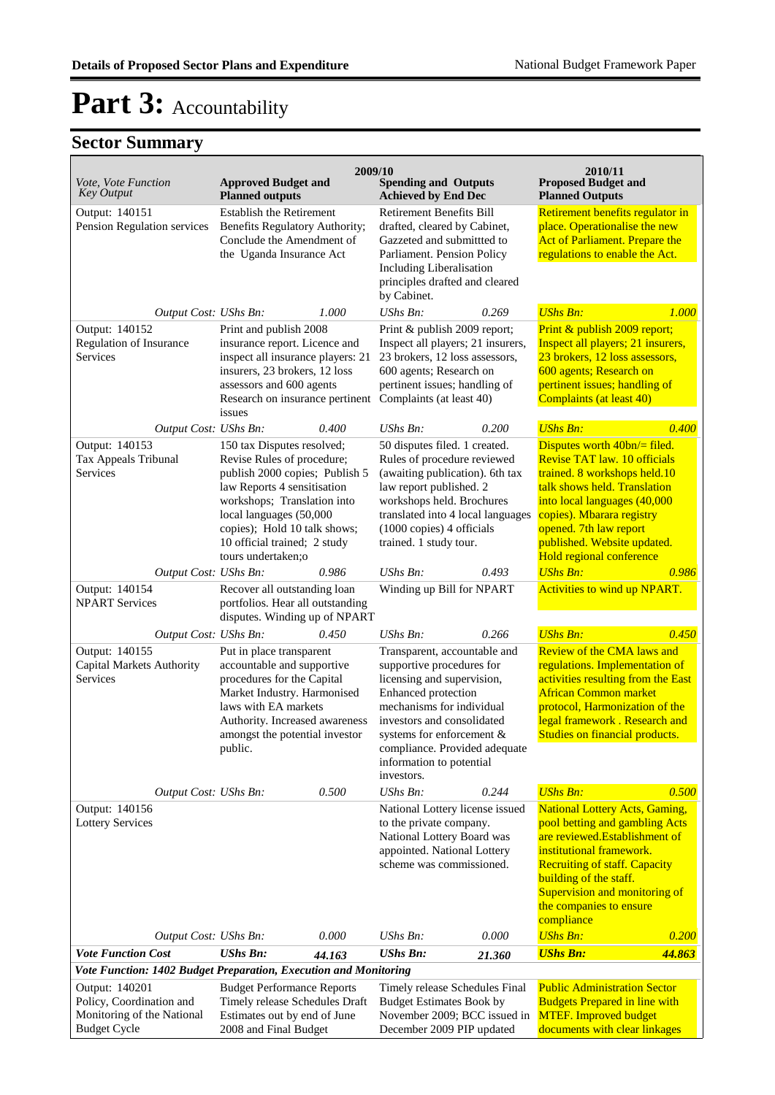|                                                                  |                                                                                                   | 2009/10                                                   |                                                                                |                               | 2010/11                                                                     |        |
|------------------------------------------------------------------|---------------------------------------------------------------------------------------------------|-----------------------------------------------------------|--------------------------------------------------------------------------------|-------------------------------|-----------------------------------------------------------------------------|--------|
| Vote, Vote Function<br><b>Key Output</b>                         | <b>Approved Budget and</b><br><b>Planned outputs</b>                                              |                                                           | <b>Spending and Outputs</b><br><b>Achieved by End Dec</b>                      |                               | <b>Proposed Budget and</b><br><b>Planned Outputs</b>                        |        |
| Output: 140151<br>Pension Regulation services                    | <b>Establish the Retirement</b>                                                                   |                                                           | <b>Retirement Benefits Bill</b><br>drafted, cleared by Cabinet,                |                               | Retirement benefits regulator in<br>place. Operationalise the new           |        |
|                                                                  | Benefits Regulatory Authority;<br>Conclude the Amendment of                                       |                                                           | Gazzeted and submittted to                                                     |                               | Act of Parliament. Prepare the                                              |        |
|                                                                  | the Uganda Insurance Act                                                                          |                                                           | Parliament. Pension Policy                                                     |                               | regulations to enable the Act.                                              |        |
|                                                                  |                                                                                                   |                                                           | Including Liberalisation                                                       |                               |                                                                             |        |
|                                                                  |                                                                                                   |                                                           | principles drafted and cleared<br>by Cabinet.                                  |                               |                                                                             |        |
| Output Cost: UShs Bn:                                            |                                                                                                   | 1.000                                                     | UShs Bn:                                                                       | 0.269                         | <b>UShs Bn:</b>                                                             | 1.000  |
| Output: 140152                                                   | Print and publish 2008                                                                            |                                                           | Print & publish 2009 report;                                                   |                               | Print & publish 2009 report;                                                |        |
| Regulation of Insurance                                          | insurance report. Licence and                                                                     |                                                           | Inspect all players; 21 insurers,                                              |                               | Inspect all players; 21 insurers,                                           |        |
| Services                                                         | inspect all insurance players: 21<br>insurers, 23 brokers, 12 loss                                |                                                           | 23 brokers, 12 loss assessors,<br>600 agents; Research on                      |                               | 23 brokers, 12 loss assessors,<br>600 agents; Research on                   |        |
|                                                                  |                                                                                                   | pertinent issues; handling of<br>assessors and 600 agents |                                                                                | pertinent issues; handling of |                                                                             |        |
|                                                                  | Research on insurance pertinent Complaints (at least 40)<br>issues                                |                                                           |                                                                                |                               | <b>Complaints (at least 40)</b>                                             |        |
| Output Cost: UShs Bn:                                            |                                                                                                   | 0.400                                                     | UShs Bn:                                                                       | 0.200                         | <b>UShs Bn:</b>                                                             | 0.400  |
| Output: 140153                                                   | 150 tax Disputes resolved;                                                                        |                                                           | 50 disputes filed. 1 created.                                                  |                               | Disputes worth $40bn/$ = filed.                                             |        |
| Tax Appeals Tribunal<br>Services                                 | Revise Rules of procedure;<br>publish 2000 copies; Publish 5                                      |                                                           | Rules of procedure reviewed<br>(awaiting publication). 6th tax                 |                               | Revise TAT law. 10 officials<br>trained. 8 workshops held.10                |        |
|                                                                  | law Reports 4 sensitisation                                                                       |                                                           | law report published. 2                                                        |                               | talk shows held. Translation                                                |        |
|                                                                  | workshops; Translation into<br>local languages (50,000                                            |                                                           | workshops held. Brochures                                                      |                               | into local languages (40,000<br>copies). Mbarara registry                   |        |
|                                                                  | copies); Hold 10 talk shows;                                                                      |                                                           | translated into 4 local languages<br>(1000 copies) 4 officials                 |                               | opened. 7th law report                                                      |        |
|                                                                  | 10 official trained; 2 study                                                                      |                                                           | trained. 1 study tour.                                                         |                               | published. Website updated.                                                 |        |
|                                                                  | tours undertaken;o                                                                                |                                                           |                                                                                |                               | Hold regional conference                                                    |        |
| Output Cost: UShs Bn:                                            |                                                                                                   | 0.986                                                     | $UShs Bn$ :                                                                    | 0.493                         | <b>UShs Bn:</b>                                                             | 0.986  |
| Output: 140154<br><b>NPART Services</b>                          | Recover all outstanding loan<br>portfolios. Hear all outstanding<br>disputes. Winding up of NPART |                                                           | Winding up Bill for NPART                                                      |                               | <b>Activities to wind up NPART.</b>                                         |        |
| Output Cost: UShs Bn:                                            |                                                                                                   | 0.450                                                     | $UShs Bn$ :                                                                    | 0.266                         | <b>UShs Bn:</b>                                                             | 0.450  |
| Output: 140155                                                   | Put in place transparent<br>accountable and supportive                                            |                                                           | Transparent, accountable and                                                   |                               | Review of the CMA laws and                                                  |        |
| Capital Markets Authority<br>Services                            | procedures for the Capital                                                                        |                                                           | supportive procedures for<br>licensing and supervision,<br>Enhanced protection |                               | regulations. Implementation of<br>activities resulting from the East        |        |
|                                                                  | Market Industry. Harmonised                                                                       |                                                           |                                                                                |                               | <b>African Common market</b>                                                |        |
|                                                                  | laws with EA markets<br>Authority. Increased awareness                                            |                                                           | mechanisms for individual<br>investors and consolidated                        |                               | protocol, Harmonization of the<br>legal framework. Research and             |        |
|                                                                  | amongst the potential investor                                                                    |                                                           | systems for enforcement &                                                      |                               | Studies on financial products.                                              |        |
|                                                                  | public.                                                                                           |                                                           | compliance. Provided adequate                                                  |                               |                                                                             |        |
|                                                                  |                                                                                                   |                                                           | information to potential<br>investors.                                         |                               |                                                                             |        |
| Output Cost: UShs Bn:                                            |                                                                                                   | 0.500                                                     | UShs Bn:                                                                       | 0.244                         | <b>UShs Bn:</b>                                                             | 0.500  |
| Output: 140156<br><b>Lottery Services</b>                        |                                                                                                   |                                                           | National Lottery license issued<br>to the private company.                     |                               | <b>National Lottery Acts, Gaming,</b><br>pool betting and gambling Acts     |        |
|                                                                  |                                                                                                   |                                                           | National Lottery Board was                                                     |                               | are reviewed. Establishment of                                              |        |
|                                                                  |                                                                                                   |                                                           | appointed. National Lottery                                                    |                               | institutional framework.                                                    |        |
|                                                                  |                                                                                                   |                                                           | scheme was commissioned.                                                       |                               | <b>Recruiting of staff. Capacity</b><br>building of the staff.              |        |
|                                                                  |                                                                                                   |                                                           |                                                                                |                               | Supervision and monitoring of                                               |        |
|                                                                  |                                                                                                   |                                                           |                                                                                |                               | the companies to ensure<br>compliance                                       |        |
| Output Cost: UShs Bn:                                            |                                                                                                   | 0.000                                                     | UShs Bn:                                                                       | 0.000                         | <b>UShs Bn:</b>                                                             | 0.200  |
| <b>Vote Function Cost</b>                                        | <b>UShs Bn:</b>                                                                                   | 44.163                                                    | <b>UShs Bn:</b>                                                                | 21.360                        | <b>UShs Bn:</b>                                                             | 44.863 |
| Vote Function: 1402 Budget Preparation, Execution and Monitoring |                                                                                                   |                                                           |                                                                                |                               |                                                                             |        |
| Output: 140201<br>Policy, Coordination and                       | <b>Budget Performance Reports</b><br>Timely release Schedules Draft                               |                                                           | Timely release Schedules Final<br><b>Budget Estimates Book by</b>              |                               | <b>Public Administration Sector</b><br><b>Budgets Prepared in line with</b> |        |
| Monitoring of the National                                       | Estimates out by end of June                                                                      |                                                           | November 2009; BCC issued in                                                   |                               | <b>MTEF.</b> Improved budget                                                |        |
| <b>Budget Cycle</b>                                              | 2008 and Final Budget                                                                             |                                                           | December 2009 PIP updated                                                      |                               | documents with clear linkages                                               |        |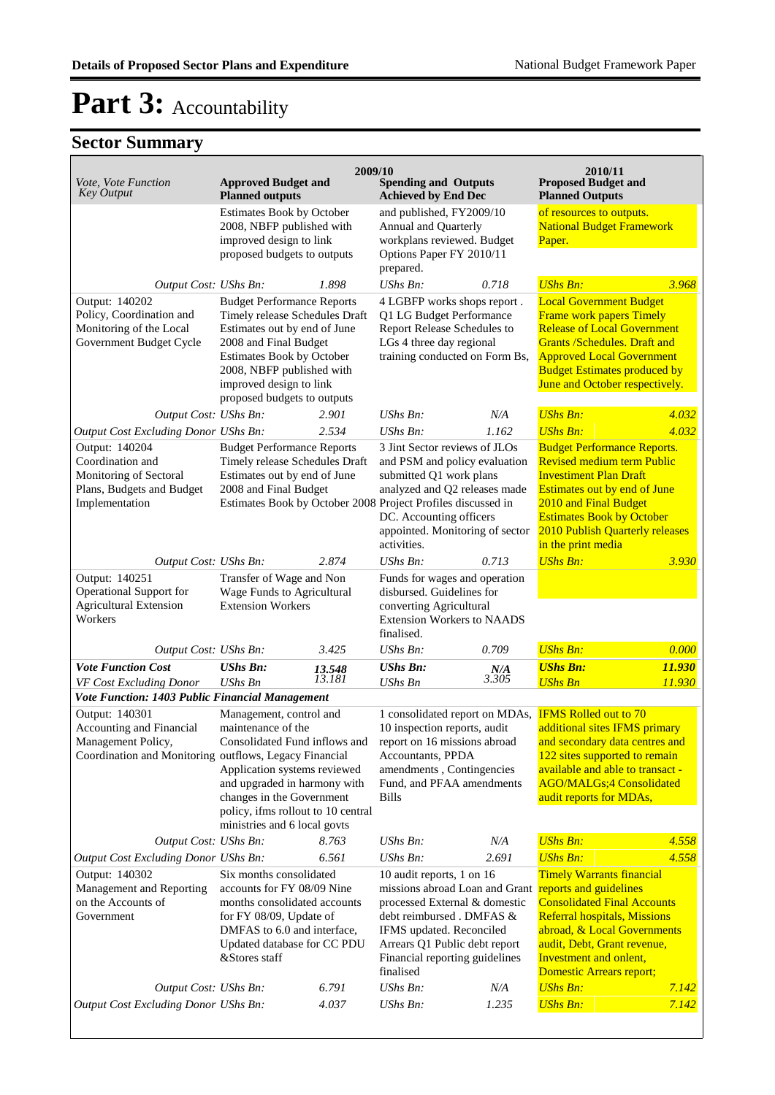| Vote, Vote Function<br><b>Key Output</b>                                                                                                            | <b>Approved Budget and</b><br><b>Planned outputs</b>                                                                                                                                                                                              | 2009/10          | <b>Spending and Outputs</b><br><b>Achieved by End Dec</b>                                                                                                                                                              |                     | 2010/11<br><b>Proposed Budget and</b>                                                                                                                                                                                                                                                                                |                  |
|-----------------------------------------------------------------------------------------------------------------------------------------------------|---------------------------------------------------------------------------------------------------------------------------------------------------------------------------------------------------------------------------------------------------|------------------|------------------------------------------------------------------------------------------------------------------------------------------------------------------------------------------------------------------------|---------------------|----------------------------------------------------------------------------------------------------------------------------------------------------------------------------------------------------------------------------------------------------------------------------------------------------------------------|------------------|
|                                                                                                                                                     | Estimates Book by October<br>2008, NBFP published with<br>improved design to link<br>proposed budgets to outputs                                                                                                                                  |                  | and published, FY2009/10<br>Annual and Quarterly<br>workplans reviewed. Budget<br>Options Paper FY 2010/11                                                                                                             |                     | <b>Planned Outputs</b><br>of resources to outputs.<br><b>National Budget Framework</b><br>Paper.                                                                                                                                                                                                                     |                  |
| Output Cost: UShs Bn:                                                                                                                               |                                                                                                                                                                                                                                                   | 1.898            | prepared.<br>UShs Bn:                                                                                                                                                                                                  | 0.718               | <b>UShs Bn:</b>                                                                                                                                                                                                                                                                                                      | 3.968            |
| Output: 140202<br>Policy, Coordination and<br>Monitoring of the Local<br>Government Budget Cycle                                                    | <b>Budget Performance Reports</b><br>Timely release Schedules Draft<br>Estimates out by end of June<br>2008 and Final Budget<br>Estimates Book by October<br>2008, NBFP published with<br>improved design to link<br>proposed budgets to outputs  |                  | 4 LGBFP works shops report.<br>Q1 LG Budget Performance<br>Report Release Schedules to<br>LGs 4 three day regional<br>training conducted on Form Bs,                                                                   |                     | <b>Local Government Budget</b><br>Frame work papers Timely<br><b>Release of Local Government</b><br><b>Grants /Schedules. Draft and</b><br><b>Approved Local Government</b><br><b>Budget Estimates produced by</b><br>June and October respectively.                                                                 |                  |
| Output Cost: UShs Bn:                                                                                                                               |                                                                                                                                                                                                                                                   | 2.901            | UShs Bn:                                                                                                                                                                                                               | N/A                 | <b>UShs Bn:</b>                                                                                                                                                                                                                                                                                                      | 4.032            |
| Output Cost Excluding Donor UShs Bn:<br>Output: 140204<br>Coordination and<br>Monitoring of Sectoral<br>Plans, Budgets and Budget<br>Implementation | <b>Budget Performance Reports</b><br>Timely release Schedules Draft<br>Estimates out by end of June<br>2008 and Final Budget<br>Estimates Book by October 2008 Project Profiles discussed in                                                      | 2.534            | $UShs Bn$ :<br>3 Jint Sector reviews of JLOs<br>and PSM and policy evaluation<br>submitted Q1 work plans<br>analyzed and Q2 releases made<br>DC. Accounting officers<br>appointed. Monitoring of sector<br>activities. | 1.162               | <b>UShs Bn:</b><br><b>Budget Performance Reports.</b><br><b>Revised medium term Public</b><br><b>Investiment Plan Draft</b><br>Estimates out by end of June<br>2010 and Final Budget<br><b>Estimates Book by October</b><br>2010 Publish Quarterly releases<br>in the print media                                    | 4.032            |
| Output Cost: UShs Bn:                                                                                                                               |                                                                                                                                                                                                                                                   | 2.874            | $\mathit{UShs}\, \mathit{Bn}$ :                                                                                                                                                                                        | 0.713               | <b>UShs Bn:</b>                                                                                                                                                                                                                                                                                                      | 3.930            |
| Output: 140251<br>Operational Support for<br><b>Agricultural Extension</b><br>Workers                                                               | Transfer of Wage and Non<br>Wage Funds to Agricultural<br><b>Extension Workers</b>                                                                                                                                                                |                  | Funds for wages and operation<br>disbursed. Guidelines for<br>converting Agricultural<br><b>Extension Workers to NAADS</b><br>finalised.                                                                               |                     |                                                                                                                                                                                                                                                                                                                      |                  |
| Output Cost: UShs Bn:                                                                                                                               |                                                                                                                                                                                                                                                   | 3.425            | $UShs Bn$ :                                                                                                                                                                                                            | 0.709               | <b>UShs Bn:</b>                                                                                                                                                                                                                                                                                                      | 0.000            |
| <b>Vote Function Cost</b><br>VF Cost Excluding Donor                                                                                                | <b>UShs Bn:</b><br><b>UShs Bn</b>                                                                                                                                                                                                                 | 13.548<br>13.181 | <b>UShs Bn:</b><br><b>UShs Bn</b>                                                                                                                                                                                      | $\frac{N}{A}$ 3.305 | <b>UShs Bn:</b><br><b>UShs Bn</b>                                                                                                                                                                                                                                                                                    | 11.930<br>11.930 |
| Vote Function: 1403 Public Financial Management                                                                                                     |                                                                                                                                                                                                                                                   |                  |                                                                                                                                                                                                                        |                     |                                                                                                                                                                                                                                                                                                                      |                  |
| Output: 140301<br>Accounting and Financial<br>Management Policy,<br>Coordination and Monitoring outflows, Legacy Financial                          | Management, control and<br>maintenance of the<br>Consolidated Fund inflows and<br>Application systems reviewed<br>and upgraded in harmony with<br>changes in the Government<br>policy, ifms rollout to 10 central<br>ministries and 6 local govts |                  | 1 consolidated report on MDAs,<br>10 inspection reports, audit<br>report on 16 missions abroad<br>Accountants, PPDA<br>amendments, Contingencies<br>Fund, and PFAA amendments<br><b>Bills</b>                          |                     | <b>IFMS Rolled out to 70</b><br>additional sites IFMS primary<br>and secondary data centres and<br>122 sites supported to remain<br>available and able to transact -<br><b>AGO/MALGs;4 Consolidated</b><br>audit reports for MDAs,                                                                                   |                  |
| Output Cost: UShs Bn:                                                                                                                               |                                                                                                                                                                                                                                                   | 8.763            | UShs Bn:                                                                                                                                                                                                               | N/A                 | <b>UShs Bn:</b>                                                                                                                                                                                                                                                                                                      | 4.558            |
| <b>Output Cost Excluding Donor UShs Bn:</b><br>Output: 140302<br>Management and Reporting<br>on the Accounts of<br>Government                       | Six months consolidated<br>accounts for FY 08/09 Nine<br>months consolidated accounts<br>for FY 08/09, Update of<br>DMFAS to 6.0 and interface,<br>Updated database for CC PDU<br>&Stores staff                                                   | 6.561            | UShs Bn:<br>10 audit reports, 1 on 16<br>processed External & domestic<br>debt reimbursed . DMFAS &<br>IFMS updated. Reconciled<br>Arrears Q1 Public debt report<br>Financial reporting guidelines<br>finalised        | 2.691               | <b>UShs Bn:</b><br><b>Timely Warrants financial</b><br>missions abroad Loan and Grant reports and guidelines<br><b>Consolidated Final Accounts</b><br><b>Referral hospitals, Missions</b><br>abroad, & Local Governments<br>audit, Debt, Grant revenue,<br>Investment and onlent,<br><b>Domestic Arrears report;</b> | 4.558            |
| Output Cost: UShs Bn:                                                                                                                               |                                                                                                                                                                                                                                                   | 6.791            | UShs Bn:                                                                                                                                                                                                               | N/A                 | <b>UShs Bn:</b>                                                                                                                                                                                                                                                                                                      | 7.142            |
| <b>Output Cost Excluding Donor UShs Bn:</b>                                                                                                         |                                                                                                                                                                                                                                                   | 4.037            | UShs Bn:                                                                                                                                                                                                               | 1.235               | <b>UShs Bn:</b>                                                                                                                                                                                                                                                                                                      | 7.142            |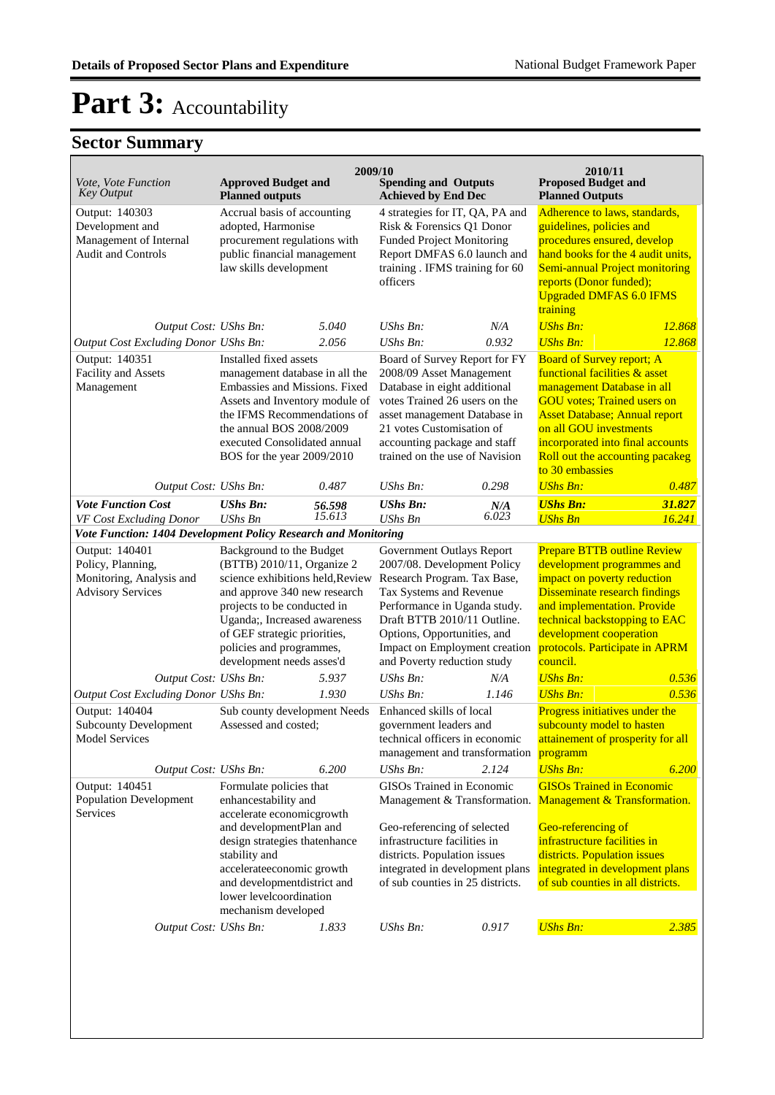| Vote, Vote Function<br><b>Key Output</b>                                                    | <b>Approved Budget and</b><br><b>Planned outputs</b>                                                                                                                                                                                                                               | 2009/10          | <b>Spending and Outputs</b><br><b>Achieved by End Dec</b>                                                                                                                                                                                                                        |                | 2010/11<br><b>Proposed Budget and</b><br><b>Planned Outputs</b>                                                                                                                                                                                                                                   |                  |
|---------------------------------------------------------------------------------------------|------------------------------------------------------------------------------------------------------------------------------------------------------------------------------------------------------------------------------------------------------------------------------------|------------------|----------------------------------------------------------------------------------------------------------------------------------------------------------------------------------------------------------------------------------------------------------------------------------|----------------|---------------------------------------------------------------------------------------------------------------------------------------------------------------------------------------------------------------------------------------------------------------------------------------------------|------------------|
| Output: 140303<br>Development and<br>Management of Internal<br>Audit and Controls           | Accrual basis of accounting<br>adopted, Harmonise<br>procurement regulations with<br>public financial management<br>law skills development                                                                                                                                         |                  | 4 strategies for IT, QA, PA and<br>Risk & Forensics Q1 Donor<br><b>Funded Project Monitoring</b><br>Report DMFAS 6.0 launch and<br>training . IFMS training for 60<br>officers                                                                                                   |                | Adherence to laws, standards,<br>guidelines, policies and<br>procedures ensured, develop<br>hand books for the 4 audit units,<br>Semi-annual Project monitoring<br>reports (Donor funded);<br><b>Upgraded DMFAS 6.0 IFMS</b><br>training                                                          |                  |
| Output Cost: UShs Bn:                                                                       |                                                                                                                                                                                                                                                                                    | 5.040            | UShs Bn:                                                                                                                                                                                                                                                                         | N/A            | <b>UShs Bn:</b>                                                                                                                                                                                                                                                                                   | 12.868           |
| Output Cost Excluding Donor UShs Bn:                                                        |                                                                                                                                                                                                                                                                                    | 2.056            | UShs Bn:                                                                                                                                                                                                                                                                         | 0.932          | <b>UShs Bn:</b>                                                                                                                                                                                                                                                                                   | 12.868           |
| Output: 140351<br>Facility and Assets<br>Management                                         | Installed fixed assets<br>management database in all the<br>Embassies and Missions. Fixed<br>Assets and Inventory module of<br>the IFMS Recommendations of<br>the annual BOS 2008/2009<br>executed Consolidated annual<br>BOS for the year 2009/2010                               |                  | Board of Survey Report for FY<br>2008/09 Asset Management<br>Database in eight additional<br>votes Trained 26 users on the<br>asset management Database in<br>21 votes Customisation of<br>accounting package and staff<br>trained on the use of Navision                        |                | <b>Board of Survey report; A</b><br>functional facilities & asset<br>management Database in all<br><b>GOU</b> votes; Trained users on<br><b>Asset Database; Annual report</b><br>on all GOU investments<br>incorporated into final accounts<br>Roll out the accounting pacakeg<br>to 30 embassies |                  |
| Output Cost: UShs Bn:                                                                       |                                                                                                                                                                                                                                                                                    | 0.487            | UShs Bn:                                                                                                                                                                                                                                                                         | 0.298          | <b>UShs Bn:</b>                                                                                                                                                                                                                                                                                   | 0.487            |
| <b>Vote Function Cost</b><br>VF Cost Excluding Donor                                        | <b>UShs Bn:</b><br><b>UShs Bn</b>                                                                                                                                                                                                                                                  | 56.598<br>15.613 | <b>UShs Bn:</b><br><b>UShs Bn</b>                                                                                                                                                                                                                                                | $N/A$<br>6.023 | <b>UShs Bn:</b><br><b>UShs Bn</b>                                                                                                                                                                                                                                                                 | 31.827<br>16.241 |
| Vote Function: 1404 Development Policy Research and Monitoring                              |                                                                                                                                                                                                                                                                                    |                  |                                                                                                                                                                                                                                                                                  |                |                                                                                                                                                                                                                                                                                                   |                  |
| Output: 140401<br>Policy, Planning,<br>Monitoring, Analysis and<br><b>Advisory Services</b> | Background to the Budget<br>(BTTB) 2010/11, Organize 2<br>science exhibitions held, Review<br>and approve 340 new research<br>projects to be conducted in<br>Uganda;, Increased awareness<br>of GEF strategic priorities,<br>policies and programmes,<br>development needs asses'd |                  | Government Outlays Report<br>2007/08. Development Policy<br>Research Program. Tax Base,<br>Tax Systems and Revenue<br>Performance in Uganda study.<br>Draft BTTB 2010/11 Outline.<br>Options, Opportunities, and<br>Impact on Employment creation<br>and Poverty reduction study |                | <b>Prepare BTTB outline Review</b><br>development programmes and<br>impact on poverty reduction<br>Disseminate research findings<br>and implementation. Provide<br>technical backstopping to EAC<br>development cooperation<br>protocols. Participate in APRM<br>council.                         |                  |
| Output Cost: UShs Bn:                                                                       |                                                                                                                                                                                                                                                                                    | 5.937            | $UShs Bn$ :                                                                                                                                                                                                                                                                      | N/A            | <b>UShs Bn:</b>                                                                                                                                                                                                                                                                                   | 0.536            |
| Output Cost Excluding Donor UShs Bn:                                                        |                                                                                                                                                                                                                                                                                    | 1.930            | UShs Bn:                                                                                                                                                                                                                                                                         | 1.146          | <b>UShs Bn:</b>                                                                                                                                                                                                                                                                                   | 0.536            |
| Output: 140404<br><b>Subcounty Development</b><br>Model Services                            | Sub county development Needs<br>Assessed and costed;                                                                                                                                                                                                                               |                  | Enhanced skills of local<br>government leaders and<br>technical officers in economic<br>management and transformation programm                                                                                                                                                   |                | Progress initiatives under the<br>subcounty model to hasten<br>attainement of prosperity for all                                                                                                                                                                                                  |                  |
| Output Cost: UShs Bn:                                                                       |                                                                                                                                                                                                                                                                                    | 6.200            | UShs Bn:                                                                                                                                                                                                                                                                         | 2.124          | <b>UShs Bn:</b>                                                                                                                                                                                                                                                                                   | 6.200            |
| Output: 140451<br>Population Development<br>Services                                        | Formulate policies that<br>enhancestability and<br>accelerate economicgrowth<br>and developmentPlan and<br>design strategies thatenhance<br>stability and<br>accelerateeconomic growth<br>and developmentdistrict and<br>lower levelcoordination<br>mechanism developed            |                  | GISOs Trained in Economic<br>Management & Transformation.<br>Geo-referencing of selected<br>infrastructure facilities in<br>districts. Population issues<br>integrated in development plans<br>of sub counties in 25 districts.                                                  |                | <b>GISOs Trained in Economic</b><br>Management & Transformation.<br>Geo-referencing of<br>infrastructure facilities in<br>districts. Population issues<br>integrated in development plans<br>of sub counties in all districts.                                                                    |                  |
| Output Cost: UShs Bn:                                                                       |                                                                                                                                                                                                                                                                                    | 1.833            | UShs Bn:                                                                                                                                                                                                                                                                         | 0.917          | <b>UShs Bn:</b>                                                                                                                                                                                                                                                                                   | 2.385            |
|                                                                                             |                                                                                                                                                                                                                                                                                    |                  |                                                                                                                                                                                                                                                                                  |                |                                                                                                                                                                                                                                                                                                   |                  |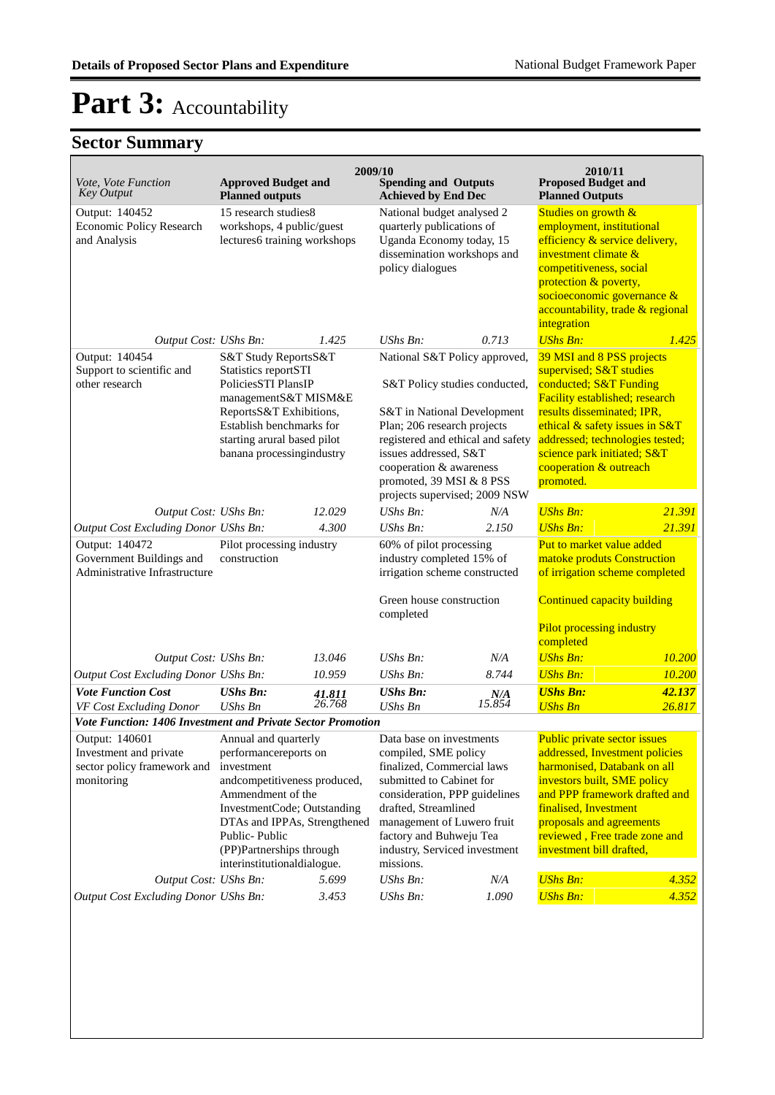| Vote, Vote Function<br><b>Key Output</b>                                                                   | <b>Approved Budget and</b><br><b>Planned outputs</b>                                                                                                                                                                                |                  | 2009/10<br><b>Spending and Outputs</b><br><b>Achieved by End Dec</b>                                                                                                                                                                                                       |               | 2010/11<br><b>Proposed Budget and</b><br><b>Planned Outputs</b>                                                                                                                                                                                                                 |                  |
|------------------------------------------------------------------------------------------------------------|-------------------------------------------------------------------------------------------------------------------------------------------------------------------------------------------------------------------------------------|------------------|----------------------------------------------------------------------------------------------------------------------------------------------------------------------------------------------------------------------------------------------------------------------------|---------------|---------------------------------------------------------------------------------------------------------------------------------------------------------------------------------------------------------------------------------------------------------------------------------|------------------|
| Output: 140452<br>Economic Policy Research<br>and Analysis                                                 | 15 research studies8<br>workshops, 4 public/guest<br>lectures6 training workshops                                                                                                                                                   |                  | National budget analysed 2<br>quarterly publications of<br>Uganda Economy today, 15<br>dissemination workshops and<br>policy dialogues                                                                                                                                     |               | Studies on growth &<br>employment, institutional<br>efficiency & service delivery,<br>investment climate &<br>competitiveness, social<br>protection & poverty,<br>socioeconomic governance &<br>accountability, trade & regional<br>integration                                 |                  |
| Output Cost: UShs Bn:                                                                                      |                                                                                                                                                                                                                                     | 1.425            | $UShs Bn$ :                                                                                                                                                                                                                                                                | 0.713         | <b>UShs Bn:</b>                                                                                                                                                                                                                                                                 | 1.425            |
| Output: 140454<br>Support to scientific and<br>other research                                              | S&T Study ReportsS&T<br>Statistics reportSTI<br>PoliciesSTI PlansIP<br>managementS&T MISM&E<br>ReportsS&T Exhibitions,<br>Establish benchmarks for<br>starting arural based pilot<br>banana processingindustry                      |                  | National S&T Policy approved,<br>S&T Policy studies conducted,<br>S&T in National Development<br>Plan; 206 research projects<br>registered and ethical and safety<br>issues addressed, S&T<br>cooperation & awareness                                                      |               | 39 MSI and 8 PSS projects<br>supervised; S&T studies<br>conducted; S&T Funding<br>Facility established; research<br>results disseminated; IPR,<br>ethical & safety issues in S&T<br>addressed; technologies tested;<br>science park initiated; S&T<br>cooperation & outreach    |                  |
|                                                                                                            |                                                                                                                                                                                                                                     |                  | promoted, 39 MSI & 8 PSS<br>projects supervised; 2009 NSW                                                                                                                                                                                                                  |               | promoted.                                                                                                                                                                                                                                                                       |                  |
| Output Cost: UShs Bn:                                                                                      |                                                                                                                                                                                                                                     | 12.029           | UShs Bn:                                                                                                                                                                                                                                                                   | N/A           | <b>UShs Bn:</b>                                                                                                                                                                                                                                                                 | 21.391           |
| Output Cost Excluding Donor UShs Bn:                                                                       |                                                                                                                                                                                                                                     | 4.300            | UShs Bn:                                                                                                                                                                                                                                                                   | 2.150         | <b>UShs Bn:</b>                                                                                                                                                                                                                                                                 | 21.391           |
| Output: 140472<br>Government Buildings and<br>Administrative Infrastructure                                | Pilot processing industry<br>construction                                                                                                                                                                                           |                  | 60% of pilot processing<br>industry completed 15% of<br>irrigation scheme constructed<br>Green house construction<br>completed                                                                                                                                             |               | Put to market value added<br>matoke produts Construction<br>of irrigation scheme completed<br><b>Continued capacity building</b>                                                                                                                                                |                  |
|                                                                                                            |                                                                                                                                                                                                                                     |                  |                                                                                                                                                                                                                                                                            |               | <b>Pilot processing industry</b><br>completed                                                                                                                                                                                                                                   |                  |
| Output Cost: UShs Bn:                                                                                      |                                                                                                                                                                                                                                     | 13.046           | UShs Bn:                                                                                                                                                                                                                                                                   | N/A           | <b>UShs Bn:</b>                                                                                                                                                                                                                                                                 | 10.200           |
| Output Cost Excluding Donor UShs Bn:                                                                       |                                                                                                                                                                                                                                     | 10.959           | UShs Bn:                                                                                                                                                                                                                                                                   | 8.744         | <b>UShs Bn:</b>                                                                                                                                                                                                                                                                 | 10.200           |
| <b>Vote Function Cost</b><br>VF Cost Excluding Donor                                                       | <b>UShs Bn:</b><br><b>UShs Bn</b>                                                                                                                                                                                                   | 41.811<br>26.768 | <b>UShs Bn:</b><br><b>UShs Bn</b>                                                                                                                                                                                                                                          | N/A<br>15.854 | <b>UShs Bn:</b><br><b>UShs Bn</b>                                                                                                                                                                                                                                               | 42.137<br>26.817 |
| Vote Function: 1406 Investment and Private Sector Promotion                                                |                                                                                                                                                                                                                                     |                  |                                                                                                                                                                                                                                                                            |               |                                                                                                                                                                                                                                                                                 |                  |
| Output: 140601 Annual and quarterly<br>Investment and private<br>sector policy framework and<br>monitoring | performancereports on<br>investment<br>andcompetitiveness produced,<br>Ammendment of the<br>InvestmentCode; Outstanding<br>DTAs and IPPAs, Strengthened<br>Public-Public<br>(PP)Partnerships through<br>interinstitutionaldialogue. |                  | Data base on investments<br>compiled, SME policy<br>finalized, Commercial laws<br>submitted to Cabinet for<br>consideration, PPP guidelines<br>drafted, Streamlined<br>management of Luwero fruit<br>factory and Buhweju Tea<br>industry, Serviced investment<br>missions. |               | Public private sector issues<br>addressed, Investment policies<br>harmonised, Databank on all<br>investors built, SME policy<br>and PPP framework drafted and<br>finalised, Investment<br>proposals and agreements<br>reviewed, Free trade zone and<br>investment bill drafted, |                  |
| Output Cost: UShs Bn:                                                                                      |                                                                                                                                                                                                                                     | 5.699            | UShs Bn:                                                                                                                                                                                                                                                                   | N/A           | <b>UShs Bn:</b>                                                                                                                                                                                                                                                                 | 4.352            |
| Output Cost Excluding Donor UShs Bn:                                                                       |                                                                                                                                                                                                                                     | 3.453            | UShs Bn:                                                                                                                                                                                                                                                                   | 1.090         | <b>UShs Bn:</b>                                                                                                                                                                                                                                                                 | 4.352            |
|                                                                                                            |                                                                                                                                                                                                                                     |                  |                                                                                                                                                                                                                                                                            |               |                                                                                                                                                                                                                                                                                 |                  |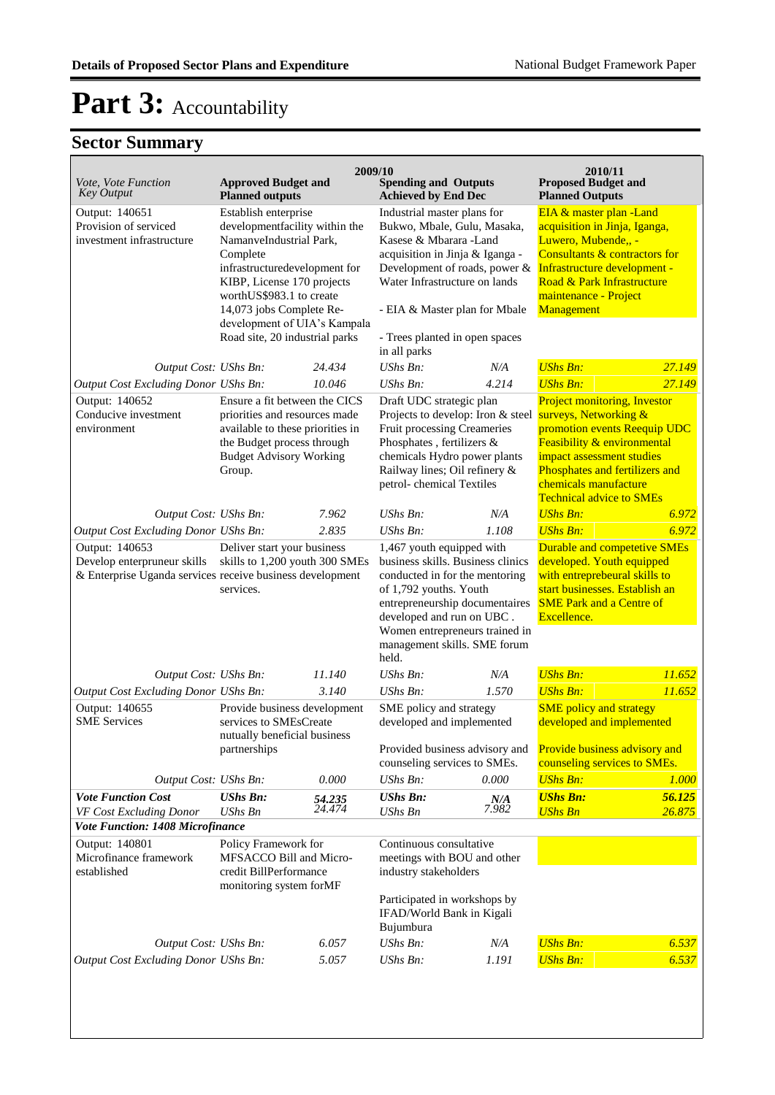| Vote, Vote Function                                                                                        | <b>Approved Budget and</b>                                                                           | 2009/10          | <b>Spending and Outputs</b>                                                                                                                                                                                                                                 |                                                                                                                                                       | 2010/11<br><b>Proposed Budget and</b>                                                                                                                                          |                                                                                                                                                        |
|------------------------------------------------------------------------------------------------------------|------------------------------------------------------------------------------------------------------|------------------|-------------------------------------------------------------------------------------------------------------------------------------------------------------------------------------------------------------------------------------------------------------|-------------------------------------------------------------------------------------------------------------------------------------------------------|--------------------------------------------------------------------------------------------------------------------------------------------------------------------------------|--------------------------------------------------------------------------------------------------------------------------------------------------------|
| <b>Key Output</b>                                                                                          | <b>Planned outputs</b>                                                                               |                  | <b>Achieved by End Dec</b>                                                                                                                                                                                                                                  |                                                                                                                                                       | <b>Planned Outputs</b>                                                                                                                                                         |                                                                                                                                                        |
| Output: 140651<br>Provision of serviced<br>investment infrastructure                                       | Establish enterprise<br>developmentfacility within the<br>NamanveIndustrial Park,                    |                  | Industrial master plans for<br>Bukwo, Mbale, Gulu, Masaka,<br>Kasese & Mbarara -Land                                                                                                                                                                        |                                                                                                                                                       | EIA & master plan - Land<br>acquisition in Jinja, Iganga,<br>Luwero, Mubende,, -                                                                                               |                                                                                                                                                        |
|                                                                                                            | Complete<br>infrastructuredevelopment for<br>KIBP, License 170 projects                              |                  | acquisition in Jinja & Iganga -<br>Development of roads, power &<br>Water Infrastructure on lands                                                                                                                                                           |                                                                                                                                                       | Consultants & contractors for<br>Infrastructure development -<br>Road & Park Infrastructure                                                                                    |                                                                                                                                                        |
|                                                                                                            | worthUS\$983.1 to create<br>14,073 jobs Complete Re-<br>development of UIA's Kampala                 |                  | - EIA & Master plan for Mbale                                                                                                                                                                                                                               |                                                                                                                                                       | maintenance - Project<br>Management                                                                                                                                            |                                                                                                                                                        |
|                                                                                                            | Road site, 20 industrial parks                                                                       |                  | - Trees planted in open spaces<br>in all parks                                                                                                                                                                                                              |                                                                                                                                                       |                                                                                                                                                                                |                                                                                                                                                        |
| Output Cost: UShs Bn:                                                                                      |                                                                                                      | 24.434           | UShs Bn:                                                                                                                                                                                                                                                    | N/A                                                                                                                                                   | <b>UShs Bn:</b>                                                                                                                                                                | 27.149                                                                                                                                                 |
| Output Cost Excluding Donor UShs Bn:                                                                       |                                                                                                      | 10.046           | $UShs Bn$ :                                                                                                                                                                                                                                                 | 4.214                                                                                                                                                 | <b>UShs Bn:</b>                                                                                                                                                                | 27.149                                                                                                                                                 |
| Output: 140652<br>Conducive investment<br>environment                                                      | Ensure a fit between the CICS<br>priorities and resources made<br>available to these priorities in   |                  | Draft UDC strategic plan                                                                                                                                                                                                                                    | Projects to develop: Iron & steel                                                                                                                     | Project monitoring, Investor<br>surveys, Networking &<br>promotion events Reequip UDC                                                                                          |                                                                                                                                                        |
|                                                                                                            | the Budget process through<br><b>Budget Advisory Working</b><br>Group.                               |                  |                                                                                                                                                                                                                                                             | Fruit processing Creameries<br>Phosphates, fertilizers &<br>chemicals Hydro power plants<br>Railway lines; Oil refinery &<br>petrol-chemical Textiles |                                                                                                                                                                                | Feasibility & environmental<br>impact assessment studies<br>Phosphates and fertilizers and<br>chemicals manufacture<br><b>Technical advice to SMEs</b> |
| Output Cost: UShs Bn:                                                                                      |                                                                                                      | 7.962            | <b>UShs Bn:</b>                                                                                                                                                                                                                                             | N/A                                                                                                                                                   | <b>UShs Bn:</b>                                                                                                                                                                | 6.972                                                                                                                                                  |
| Output Cost Excluding Donor UShs Bn:                                                                       |                                                                                                      | 2.835            | <b>UShs Bn:</b>                                                                                                                                                                                                                                             | 1.108                                                                                                                                                 | <b>UShs Bn:</b>                                                                                                                                                                | 6.972                                                                                                                                                  |
| Output: 140653<br>Develop enterpruneur skills<br>& Enterprise Uganda services receive business development | Deliver start your business<br>skills to 1,200 youth 300 SMEs<br>services.                           |                  | 1,467 youth equipped with<br>business skills. Business clinics<br>conducted in for the mentoring<br>of 1,792 youths. Youth<br>entrepreneurship documentaires<br>developed and run on UBC.<br>Women entrepreneurs trained in<br>management skills. SME forum |                                                                                                                                                       | Durable and competetive SMEs<br>developed. Youth equipped<br>with entreprebeural skills to<br>start businesses. Establish an<br><b>SME Park and a Centre of</b><br>Excellence. |                                                                                                                                                        |
| Output Cost: UShs Bn:                                                                                      |                                                                                                      | 11.140           | held.<br>$UShs Bn$ :                                                                                                                                                                                                                                        | N/A                                                                                                                                                   | <b>UShs Bn:</b>                                                                                                                                                                | 11.652                                                                                                                                                 |
| Output Cost Excluding Donor UShs Bn:                                                                       |                                                                                                      | 3.140            | UShs Bn:                                                                                                                                                                                                                                                    | 1.570                                                                                                                                                 | <b>UShs Bn:</b>                                                                                                                                                                | 11.652                                                                                                                                                 |
| Output: 140655<br><b>SME</b> Services                                                                      | Provide business development<br>services to SMEsCreate<br>nutually beneficial business               |                  | SME policy and strategy<br>developed and implemented                                                                                                                                                                                                        |                                                                                                                                                       | <b>SME</b> policy and strategy<br>developed and implemented                                                                                                                    |                                                                                                                                                        |
|                                                                                                            | partnerships                                                                                         |                  | counseling services to SMEs.                                                                                                                                                                                                                                | Provided business advisory and                                                                                                                        | Provide business advisory and<br>counseling services to SMEs.                                                                                                                  |                                                                                                                                                        |
| Output Cost: UShs Bn:                                                                                      |                                                                                                      | 0.000            | UShs Bn:                                                                                                                                                                                                                                                    | 0.000                                                                                                                                                 | <b>UShs Bn:</b>                                                                                                                                                                | 1.000                                                                                                                                                  |
| <b>Vote Function Cost</b><br>VF Cost Excluding Donor                                                       | <b>UShs Bn:</b><br>UShs Bn                                                                           | 54.235<br>24.474 | <b>UShs Bn:</b><br>UShs Bn                                                                                                                                                                                                                                  | N/A<br>7.982                                                                                                                                          | <b>UShs Bn:</b><br><b>UShs Bn</b>                                                                                                                                              | 56.125<br>26.875                                                                                                                                       |
| <b>Vote Function: 1408 Microfinance</b>                                                                    |                                                                                                      |                  |                                                                                                                                                                                                                                                             |                                                                                                                                                       |                                                                                                                                                                                |                                                                                                                                                        |
| Output: 140801<br>Microfinance framework<br>established                                                    | Policy Framework for<br>MFSACCO Bill and Micro-<br>credit BillPerformance<br>monitoring system forMF |                  | Continuous consultative<br>meetings with BOU and other<br>industry stakeholders                                                                                                                                                                             |                                                                                                                                                       |                                                                                                                                                                                |                                                                                                                                                        |
|                                                                                                            |                                                                                                      |                  | Participated in workshops by<br>IFAD/World Bank in Kigali<br>Bujumbura                                                                                                                                                                                      |                                                                                                                                                       |                                                                                                                                                                                |                                                                                                                                                        |
| Output Cost: UShs Bn:                                                                                      |                                                                                                      | 6.057            | UShs Bn:                                                                                                                                                                                                                                                    | N/A                                                                                                                                                   | <b>UShs Bn:</b>                                                                                                                                                                | 6.537                                                                                                                                                  |
| Output Cost Excluding Donor UShs Bn:                                                                       |                                                                                                      | 5.057            | UShs Bn:                                                                                                                                                                                                                                                    | 1.191                                                                                                                                                 | <b>UShs Bn:</b>                                                                                                                                                                | 6.537                                                                                                                                                  |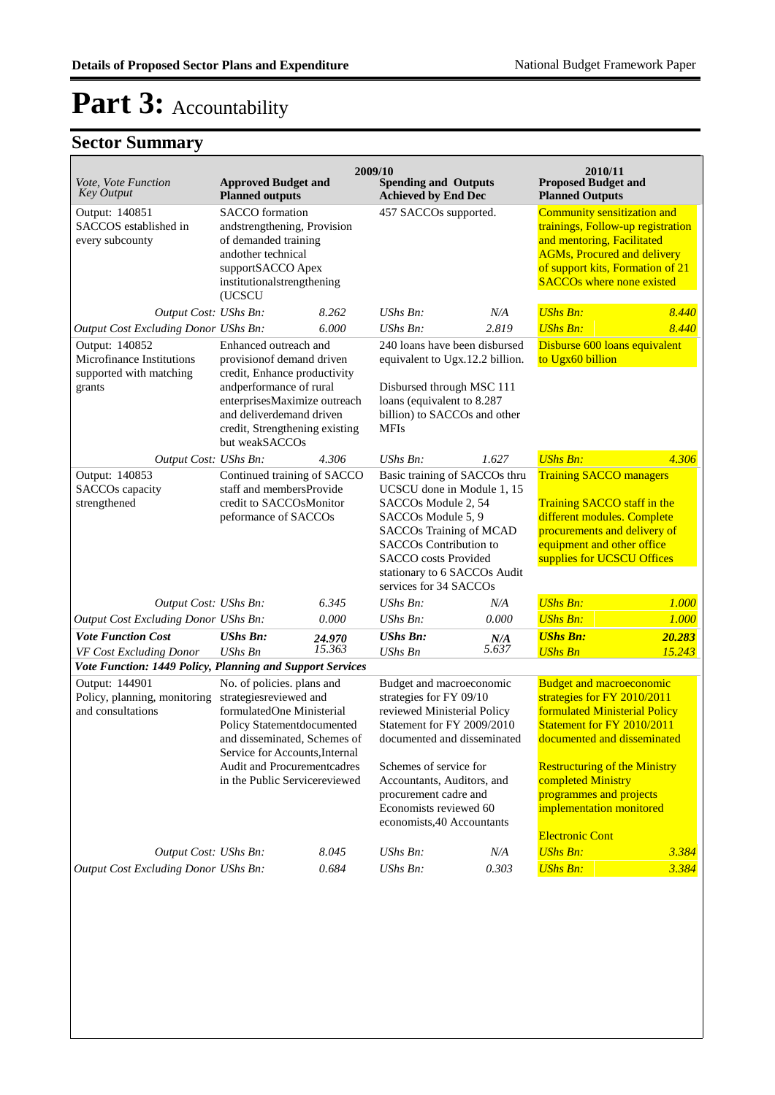| Vote, Vote Function<br><b>Key Output</b>                                         | <b>Approved Budget and</b><br><b>Planned outputs</b>                                                                                                                                                                                                     |                                                                                                        | 2009/10<br><b>Spending and Outputs</b><br><b>Achieved by End Dec</b>                                                                                                                                                                                                                     |                       | 2010/11<br><b>Proposed Budget and</b><br><b>Planned Outputs</b>                                                                                                                                                                                                                                             |                                                                                                                                                                                                              |  |
|----------------------------------------------------------------------------------|----------------------------------------------------------------------------------------------------------------------------------------------------------------------------------------------------------------------------------------------------------|--------------------------------------------------------------------------------------------------------|------------------------------------------------------------------------------------------------------------------------------------------------------------------------------------------------------------------------------------------------------------------------------------------|-----------------------|-------------------------------------------------------------------------------------------------------------------------------------------------------------------------------------------------------------------------------------------------------------------------------------------------------------|--------------------------------------------------------------------------------------------------------------------------------------------------------------------------------------------------------------|--|
| Output: 140851<br>SACCOS established in<br>every subcounty                       | <b>SACCO</b> formation<br>andother technical<br>(UCSCU                                                                                                                                                                                                   | andstrengthening, Provision<br>of demanded training<br>supportSACCO Apex<br>institutionalstrengthening |                                                                                                                                                                                                                                                                                          | 457 SACCOs supported. |                                                                                                                                                                                                                                                                                                             | Community sensitization and<br>trainings, Follow-up registration<br>and mentoring, Facilitated<br><b>AGMs, Procured and delivery</b><br>of support kits, Formation of 21<br><b>SACCOs where none existed</b> |  |
| Output Cost: UShs Bn:                                                            |                                                                                                                                                                                                                                                          | 8.262                                                                                                  | UShs Bn:                                                                                                                                                                                                                                                                                 | N/A                   | <b>UShs Bn:</b>                                                                                                                                                                                                                                                                                             | 8.440                                                                                                                                                                                                        |  |
| <b>Output Cost Excluding Donor UShs Bn:</b>                                      |                                                                                                                                                                                                                                                          | 6.000                                                                                                  | $UShs Bn$ :                                                                                                                                                                                                                                                                              | 2.819                 | <b>UShs Bn:</b>                                                                                                                                                                                                                                                                                             | 8.440                                                                                                                                                                                                        |  |
| Output: 140852<br>Microfinance Institutions<br>supported with matching<br>grants | Enhanced outreach and<br>provision of demand driven<br>credit, Enhance productivity<br>andperformance of rural<br>enterprisesMaximize outreach<br>and deliverdemand driven<br>credit, Strengthening existing<br>but weakSACCOs                           |                                                                                                        | 240 loans have been disbursed<br>equivalent to Ugx.12.2 billion.<br>Disbursed through MSC 111<br>loans (equivalent to 8.287<br>billion) to SACCOs and other<br>MFIs                                                                                                                      |                       | Disburse 600 loans equivalent<br>to Ugx60 billion                                                                                                                                                                                                                                                           |                                                                                                                                                                                                              |  |
| Output Cost: UShs Bn:                                                            |                                                                                                                                                                                                                                                          | 4.306                                                                                                  | $UShs Bn$ :                                                                                                                                                                                                                                                                              | 1.627                 | <b>UShs Bn:</b>                                                                                                                                                                                                                                                                                             | 4.306                                                                                                                                                                                                        |  |
| Output: 140853<br>SACCOs capacity<br>strengthened                                | Continued training of SACCO<br>staff and membersProvide<br>credit to SACCOsMonitor<br>peformance of SACCOs                                                                                                                                               |                                                                                                        | Basic training of SACCOs thru<br>UCSCU done in Module 1, 15<br>SACCO <sub>s</sub> Module 2, 54<br>SACCO <sub>s</sub> Module 5, 9<br>SACCOs Training of MCAD<br><b>SACCOs Contribution to</b><br><b>SACCO</b> costs Provided<br>stationary to 6 SACCOs Audit<br>services for 34 SACCOs    |                       | <b>Training SACCO managers</b><br>Training SACCO staff in the<br>different modules. Complete<br>procurements and delivery of<br>equipment and other office<br>supplies for UCSCU Offices                                                                                                                    |                                                                                                                                                                                                              |  |
| Output Cost: UShs Bn:                                                            |                                                                                                                                                                                                                                                          | 6.345                                                                                                  | UShs Bn:                                                                                                                                                                                                                                                                                 | N/A                   | <b>UShs Bn:</b>                                                                                                                                                                                                                                                                                             | 1.000                                                                                                                                                                                                        |  |
| <b>Output Cost Excluding Donor UShs Bn:</b>                                      |                                                                                                                                                                                                                                                          | 0.000                                                                                                  | $UShs Bn$ :                                                                                                                                                                                                                                                                              | 0.000                 | <b>UShs Bn:</b>                                                                                                                                                                                                                                                                                             | 1.000                                                                                                                                                                                                        |  |
| <b>Vote Function Cost</b><br>VF Cost Excluding Donor                             | <b>UShs Bn:</b><br><b>UShs Bn</b>                                                                                                                                                                                                                        | 24.970<br>15.363                                                                                       | <b>UShs Bn:</b><br><b>UShs Bn</b>                                                                                                                                                                                                                                                        | N/A<br>5.637          | <b>UShs Bn:</b><br><b>UShs Bn</b>                                                                                                                                                                                                                                                                           | 20.283<br>15.243                                                                                                                                                                                             |  |
| Vote Function: 1449 Policy, Planning and Support Services                        |                                                                                                                                                                                                                                                          |                                                                                                        |                                                                                                                                                                                                                                                                                          |                       |                                                                                                                                                                                                                                                                                                             |                                                                                                                                                                                                              |  |
| Output: 144901<br>Policy, planning, monitoring<br>and consultations              | No. of policies. plans and<br>strategiesreviewed and<br>formulatedOne Ministerial<br>Policy Statementdocumented<br>and disseminated, Schemes of<br>Service for Accounts, Internal<br><b>Audit and Procurementcadres</b><br>in the Public Servicereviewed |                                                                                                        | Budget and macroeconomic<br>strategies for FY 09/10<br>reviewed Ministerial Policy<br>Statement for FY 2009/2010<br>documented and disseminated<br>Schemes of service for<br>Accountants, Auditors, and<br>procurement cadre and<br>Economists reviewed 60<br>economists, 40 Accountants |                       | <b>Budget and macroeconomic</b><br>strategies for FY 2010/2011<br>formulated Ministerial Policy<br>Statement for FY 2010/2011<br>documented and disseminated<br><b>Restructuring of the Ministry</b><br>completed Ministry<br>programmes and projects<br>implementation monitored<br><b>Electronic Cont</b> |                                                                                                                                                                                                              |  |
| Output Cost: UShs Bn:                                                            |                                                                                                                                                                                                                                                          | 8.045                                                                                                  | UShs Bn:                                                                                                                                                                                                                                                                                 | N/A                   | <b>UShs Bn:</b>                                                                                                                                                                                                                                                                                             | 3.384                                                                                                                                                                                                        |  |
| Output Cost Excluding Donor UShs Bn:                                             |                                                                                                                                                                                                                                                          | 0.684                                                                                                  | $UShs Bn$ :                                                                                                                                                                                                                                                                              | 0.303                 | <b>UShs Bn:</b>                                                                                                                                                                                                                                                                                             | 3.384                                                                                                                                                                                                        |  |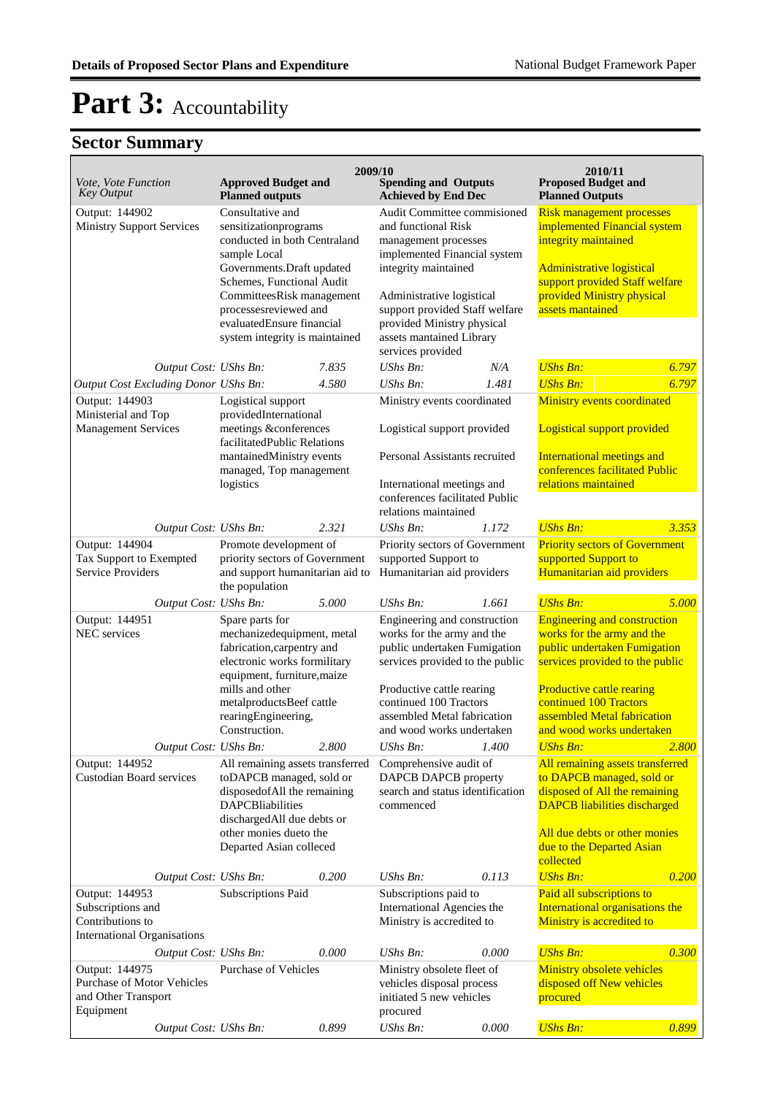|                                                                                               |                                                                                                                                                                                                                                                                           |       | 2009/10                                                                                                                                                                                                                                                                                                    |       | 2010/11                                                                                                                                                                                                                                                        |       |
|-----------------------------------------------------------------------------------------------|---------------------------------------------------------------------------------------------------------------------------------------------------------------------------------------------------------------------------------------------------------------------------|-------|------------------------------------------------------------------------------------------------------------------------------------------------------------------------------------------------------------------------------------------------------------------------------------------------------------|-------|----------------------------------------------------------------------------------------------------------------------------------------------------------------------------------------------------------------------------------------------------------------|-------|
| Vote, Vote Function<br><b>Key Output</b>                                                      | <b>Approved Budget and</b><br><b>Planned outputs</b>                                                                                                                                                                                                                      |       | <b>Spending and Outputs</b><br><b>Achieved by End Dec</b>                                                                                                                                                                                                                                                  |       | <b>Proposed Budget and</b><br><b>Planned Outputs</b>                                                                                                                                                                                                           |       |
| Output: 144902<br><b>Ministry Support Services</b>                                            | Consultative and<br>sensitizationprograms<br>conducted in both Centraland<br>sample Local<br>Governments. Draft updated<br>Schemes, Functional Audit<br>CommitteesRisk management<br>processesreviewed and<br>evaluatedEnsure financial<br>system integrity is maintained |       | Audit Committee commisioned<br>and functional Risk<br>management processes<br>implemented Financial system<br>integrity maintained<br>Administrative logistical<br>support provided Staff welfare<br>provided Ministry physical<br>assets mantained Library<br>services provided<br><b>UShs Bn:</b><br>N/A |       | <b>Risk management processes</b><br>implemented Financial system<br>integrity maintained<br><b>Administrative logistical</b><br>support provided Staff welfare<br>provided Ministry physical<br>assets mantained                                               |       |
| Output Cost: UShs Bn:                                                                         |                                                                                                                                                                                                                                                                           | 7.835 |                                                                                                                                                                                                                                                                                                            |       | <b>UShs Bn:</b>                                                                                                                                                                                                                                                | 6.797 |
| Output Cost Excluding Donor UShs Bn:                                                          |                                                                                                                                                                                                                                                                           | 4.580 | UShs Bn:                                                                                                                                                                                                                                                                                                   | 1.481 | <b>UShs Bn:</b>                                                                                                                                                                                                                                                | 6.797 |
| Output: 144903<br>Ministerial and Top<br><b>Management Services</b>                           | Logistical support<br>providedInternational<br>meetings &conferences<br>facilitatedPublic Relations<br>mantainedMinistry events<br>managed, Top management<br>logistics                                                                                                   |       | Ministry events coordinated<br>Logistical support provided<br>Personal Assistants recruited<br>International meetings and<br>conferences facilitated Public<br>relations maintained                                                                                                                        |       | Ministry events coordinated<br>Logistical support provided<br>International meetings and<br>conferences facilitated Public<br>relations maintained                                                                                                             |       |
| Output Cost: UShs Bn:                                                                         |                                                                                                                                                                                                                                                                           | 2.321 | UShs Bn:                                                                                                                                                                                                                                                                                                   | 1.172 | <b>UShs Bn:</b>                                                                                                                                                                                                                                                | 3.353 |
| Output: 144904<br>Tax Support to Exempted<br><b>Service Providers</b>                         | Promote development of<br>priority sectors of Government<br>and support humanitarian aid to<br>the population                                                                                                                                                             |       | Priority sectors of Government<br>supported Support to<br>Humanitarian aid providers                                                                                                                                                                                                                       |       | <b>Priority sectors of Government</b><br>supported Support to<br>Humanitarian aid providers                                                                                                                                                                    |       |
| Output Cost: UShs Bn:                                                                         |                                                                                                                                                                                                                                                                           | 5.000 | $UShs Bn$ :                                                                                                                                                                                                                                                                                                | 1.661 | <b>UShs Bn:</b>                                                                                                                                                                                                                                                | 5.000 |
| Output: 144951<br>NEC services                                                                | Spare parts for<br>mechanizedequipment, metal<br>fabrication, carpentry and<br>electronic works formilitary<br>equipment, furniture, maize<br>mills and other<br>metalproductsBeef cattle<br>rearingEngineering,<br>Construction.                                         |       | Engineering and construction<br>works for the army and the<br>public undertaken Fumigation<br>services provided to the public<br>Productive cattle rearing<br>continued 100 Tractors<br>assembled Metal fabrication<br>and wood works undertaken                                                           |       | <b>Engineering and construction</b><br>works for the army and the<br>public undertaken Fumigation<br>services provided to the public<br><b>Productive cattle rearing</b><br>continued 100 Tractors<br>assembled Metal fabrication<br>and wood works undertaken |       |
| Output Cost: UShs Bn:                                                                         |                                                                                                                                                                                                                                                                           | 2.800 | UShs Bn:                                                                                                                                                                                                                                                                                                   | 1.400 | <b>UShs Bn:</b>                                                                                                                                                                                                                                                | 2.800 |
| Output: 144952<br>Custodian Board services                                                    | All remaining assets transferred<br>toDAPCB managed, sold or<br>disposedofAll the remaining<br><b>DAPCBliabilities</b><br>dischargedAll due debts or<br>other monies dueto the<br>Departed Asian colleced                                                                 |       | Comprehensive audit of<br>DAPCB DAPCB property<br>search and status identification<br>commenced                                                                                                                                                                                                            |       | All remaining assets transferred<br>to DAPCB managed, sold or<br>disposed of All the remaining<br><b>DAPCB</b> liabilities discharged<br>All due debts or other monies<br>due to the Departed Asian<br>collected                                               |       |
| Output Cost: UShs Bn:                                                                         |                                                                                                                                                                                                                                                                           | 0.200 | UShs Bn:                                                                                                                                                                                                                                                                                                   | 0.113 | <b>UShs Bn:</b>                                                                                                                                                                                                                                                | 0.200 |
| Output: 144953<br>Subscriptions and<br>Contributions to<br><b>International Organisations</b> | Subscriptions Paid                                                                                                                                                                                                                                                        |       | Subscriptions paid to<br>International Agencies the<br>Ministry is accredited to                                                                                                                                                                                                                           |       | Paid all subscriptions to<br>International organisations the<br>Ministry is accredited to                                                                                                                                                                      |       |
| Output Cost: UShs Bn:                                                                         |                                                                                                                                                                                                                                                                           | 0.000 | UShs Bn:                                                                                                                                                                                                                                                                                                   | 0.000 | <b>UShs Bn:</b>                                                                                                                                                                                                                                                | 0.300 |
| Output: 144975<br><b>Purchase of Motor Vehicles</b><br>and Other Transport<br>Equipment       | <b>Purchase of Vehicles</b>                                                                                                                                                                                                                                               |       | Ministry obsolete fleet of<br>vehicles disposal process<br>initiated 5 new vehicles<br>procured                                                                                                                                                                                                            |       | Ministry obsolete vehicles<br>disposed off New vehicles<br>procured                                                                                                                                                                                            |       |
| Output Cost: UShs Bn:                                                                         |                                                                                                                                                                                                                                                                           | 0.899 | UShs Bn:                                                                                                                                                                                                                                                                                                   | 0.000 | <b>UShs Bn:</b>                                                                                                                                                                                                                                                | 0.899 |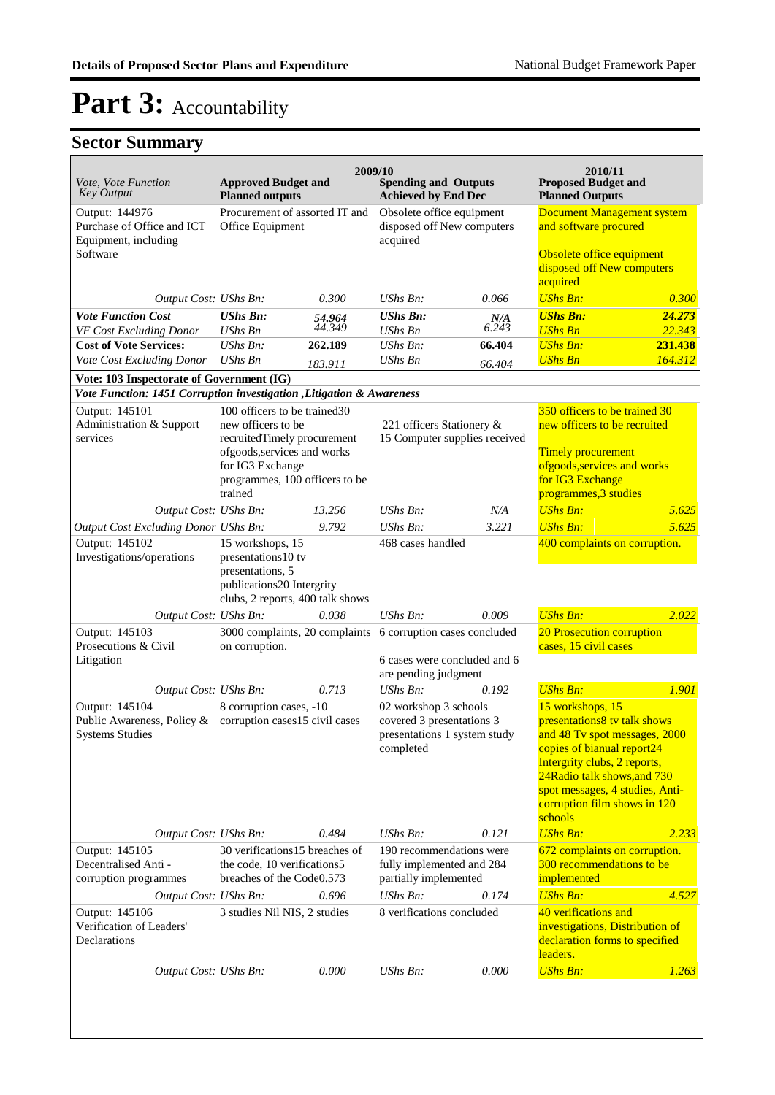| Vote, Vote Function<br><b>Key Output</b>                                                               | <b>Approved Budget and</b><br><b>Planned outputs</b>                                                                                                                               | 2009/10          | <b>Spending and Outputs</b><br><b>Achieved by End Dec</b>                                       |              | 2010/11<br><b>Proposed Budget and</b><br><b>Planned Outputs</b>                                                                                                                                                                                               |                  |
|--------------------------------------------------------------------------------------------------------|------------------------------------------------------------------------------------------------------------------------------------------------------------------------------------|------------------|-------------------------------------------------------------------------------------------------|--------------|---------------------------------------------------------------------------------------------------------------------------------------------------------------------------------------------------------------------------------------------------------------|------------------|
| Output: 144976<br>Purchase of Office and ICT<br>Equipment, including<br>Software                       | Procurement of assorted IT and<br>Office Equipment                                                                                                                                 |                  | Obsolete office equipment<br>disposed off New computers<br>acquired                             |              | <b>Document Management system</b><br>and software procured<br>Obsolete office equipment<br>disposed off New computers<br>acquired                                                                                                                             |                  |
| Output Cost: UShs Bn:                                                                                  |                                                                                                                                                                                    | 0.300            | UShs Bn:                                                                                        | 0.066        | <b>UShs Bn:</b>                                                                                                                                                                                                                                               | 0.300            |
| <b>Vote Function Cost</b><br>VF Cost Excluding Donor                                                   | <b>UShs Bn:</b><br><b>UShs Bn</b>                                                                                                                                                  | 54.964<br>44.349 | <b>UShs Bn:</b><br><b>UShs Bn</b>                                                               | N/A<br>6.243 | <b>UShs Bn:</b><br><b>UShs Bn</b>                                                                                                                                                                                                                             | 24.273<br>22.343 |
| <b>Cost of Vote Services:</b>                                                                          | $UShs Bn$ :                                                                                                                                                                        | 262.189          | $UShs Bn$ :                                                                                     | 66.404       | <b>UShs Bn:</b>                                                                                                                                                                                                                                               | 231.438          |
| Vote Cost Excluding Donor                                                                              | <b>UShs Bn</b>                                                                                                                                                                     | 183.911          | UShs Bn                                                                                         | 66.404       | <b>UShs Bn</b>                                                                                                                                                                                                                                                | 164.312          |
| Vote: 103 Inspectorate of Government (IG)                                                              |                                                                                                                                                                                    |                  |                                                                                                 |              |                                                                                                                                                                                                                                                               |                  |
| Vote Function: 1451 Corruption investigation , Litigation & Awareness                                  |                                                                                                                                                                                    |                  |                                                                                                 |              |                                                                                                                                                                                                                                                               |                  |
| Output: 145101<br>Administration & Support<br>services                                                 | 100 officers to be trained 30<br>new officers to be<br>recruitedTimely procurement<br>ofgoods, services and works<br>for IG3 Exchange<br>programmes, 100 officers to be<br>trained |                  | 221 officers Stationery &<br>15 Computer supplies received                                      |              | 350 officers to be trained 30<br>new officers to be recruited<br><b>Timely procurement</b><br>ofgoods, services and works<br>for IG3 Exchange<br>programmes, 3 studies                                                                                        |                  |
| Output Cost: UShs Bn:                                                                                  |                                                                                                                                                                                    | 13.256           | $UShs Bn$ :                                                                                     | N/A          | <b>UShs Bn:</b>                                                                                                                                                                                                                                               | 5.625            |
| Output Cost Excluding Donor UShs Bn:                                                                   |                                                                                                                                                                                    | 9.792            | UShs Bn:                                                                                        | 3.221        | <b>UShs Bn:</b>                                                                                                                                                                                                                                               | 5.625            |
| Output: 145102<br>Investigations/operations                                                            | 15 workshops, 15<br>presentations10 tv<br>presentations, 5<br>publications20 Intergrity<br>clubs, 2 reports, 400 talk shows                                                        |                  | 468 cases handled                                                                               |              | 400 complaints on corruption.                                                                                                                                                                                                                                 |                  |
| Output Cost: UShs Bn:                                                                                  |                                                                                                                                                                                    | 0.038            | UShs Bn:                                                                                        | 0.009        | <b>UShs Bn:</b>                                                                                                                                                                                                                                               | 2.022            |
| Output: 145103<br>Prosecutions & Civil<br>Litigation                                                   | 3000 complaints, 20 complaints<br>on corruption.                                                                                                                                   |                  | 6 corruption cases concluded<br>6 cases were concluded and 6<br>are pending judgment            |              | 20 Prosecution corruption<br>cases, 15 civil cases                                                                                                                                                                                                            |                  |
| Output Cost: UShs Bn:                                                                                  |                                                                                                                                                                                    | 0.713            | <b>UShs Bn:</b>                                                                                 | 0.192        | <b>UShs Bn:</b>                                                                                                                                                                                                                                               | 1.901            |
| Output: 145104<br>Public Awareness, Policy & corruption cases 15 civil cases<br><b>Systems Studies</b> | 8 corruption cases, -10                                                                                                                                                            |                  | 02 workshop 3 schools<br>covered 3 presentations 3<br>presentations 1 system study<br>completed |              | 15 workshops, 15<br>presentations8 tv talk shows<br>and 48 Tv spot messages, 2000<br>copies of bianual report24<br>Intergrity clubs, 2 reports,<br>24 Radio talk shows, and 730<br>spot messages, 4 studies, Anti-<br>corruption film shows in 120<br>schools |                  |
| Output Cost: UShs Bn:                                                                                  |                                                                                                                                                                                    | 0.484            | UShs Bn:                                                                                        | 0.121        | <b>UShs Bn:</b>                                                                                                                                                                                                                                               | 2.233            |
| Output: 145105<br>Decentralised Anti -<br>corruption programmes                                        | 30 verifications15 breaches of<br>the code, 10 verifications5<br>breaches of the Code0.573                                                                                         |                  | 190 recommendations were<br>fully implemented and 284<br>partially implemented                  |              | 672 complaints on corruption.<br>300 recommendations to be<br>implemented                                                                                                                                                                                     |                  |
| Output Cost: UShs Bn:                                                                                  |                                                                                                                                                                                    | 0.696            | UShs Bn:                                                                                        | 0.174        | <b>UShs Bn:</b>                                                                                                                                                                                                                                               | 4.527            |
| Output: 145106<br>Verification of Leaders'<br>Declarations                                             | 3 studies Nil NIS, 2 studies                                                                                                                                                       |                  | 8 verifications concluded                                                                       |              | 40 verifications and<br>investigations, Distribution of<br>declaration forms to specified<br>leaders.                                                                                                                                                         |                  |
| Output Cost: UShs Bn:                                                                                  |                                                                                                                                                                                    | 0.000            | UShs $Bn$ :                                                                                     | 0.000        | <b>UShs Bn:</b>                                                                                                                                                                                                                                               | 1.263            |
|                                                                                                        |                                                                                                                                                                                    |                  |                                                                                                 |              |                                                                                                                                                                                                                                                               |                  |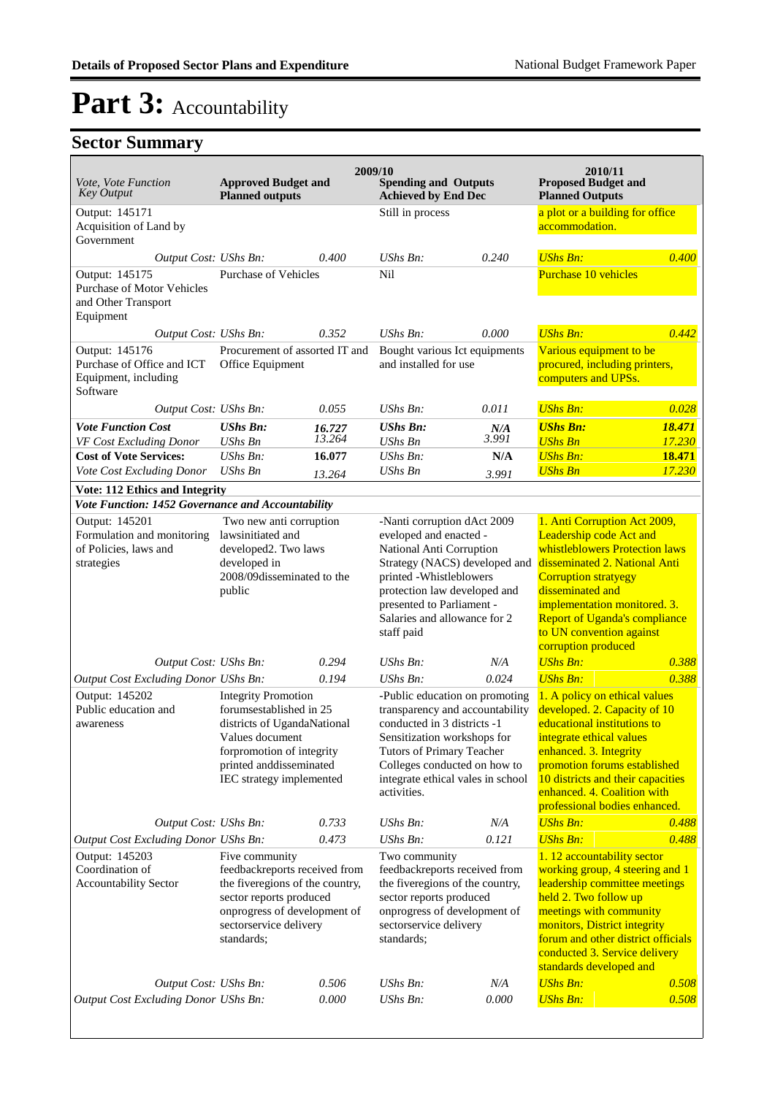|                                                                                                           |                                                                                                                                                                                                 |                  | 2009/10                                                                                                                                                                                                                                                  |                                                        | 2010/11                                                                                                                                                                                                                                                                                                  |                                                                                 |  |
|-----------------------------------------------------------------------------------------------------------|-------------------------------------------------------------------------------------------------------------------------------------------------------------------------------------------------|------------------|----------------------------------------------------------------------------------------------------------------------------------------------------------------------------------------------------------------------------------------------------------|--------------------------------------------------------|----------------------------------------------------------------------------------------------------------------------------------------------------------------------------------------------------------------------------------------------------------------------------------------------------------|---------------------------------------------------------------------------------|--|
| Vote, Vote Function<br><b>Key Output</b>                                                                  | <b>Approved Budget and</b><br><b>Planned outputs</b>                                                                                                                                            |                  | <b>Spending and Outputs</b><br><b>Achieved by End Dec</b>                                                                                                                                                                                                |                                                        | <b>Proposed Budget and</b><br><b>Planned Outputs</b>                                                                                                                                                                                                                                                     |                                                                                 |  |
| Output: 145171<br>Acquisition of Land by<br>Government                                                    |                                                                                                                                                                                                 |                  | Still in process                                                                                                                                                                                                                                         |                                                        | a plot or a building for office<br>accommodation.                                                                                                                                                                                                                                                        |                                                                                 |  |
| Output Cost: UShs Bn:                                                                                     |                                                                                                                                                                                                 | 0.400            | UShs Bn:                                                                                                                                                                                                                                                 | 0.240                                                  | <b>UShs Bn:</b>                                                                                                                                                                                                                                                                                          | 0.400                                                                           |  |
| Output: 145175<br><b>Purchase of Motor Vehicles</b><br>and Other Transport<br>Equipment                   | Purchase of Vehicles                                                                                                                                                                            |                  | Nil                                                                                                                                                                                                                                                      |                                                        | Purchase 10 vehicles                                                                                                                                                                                                                                                                                     |                                                                                 |  |
| Output Cost: UShs Bn:                                                                                     |                                                                                                                                                                                                 | 0.352            | UShs Bn:                                                                                                                                                                                                                                                 | 0.000                                                  | <b>UShs Bn:</b>                                                                                                                                                                                                                                                                                          | 0.442                                                                           |  |
| Output: 145176<br>Purchase of Office and ICT<br>Equipment, including<br>Software                          | Procurement of assorted IT and<br>Office Equipment                                                                                                                                              |                  |                                                                                                                                                                                                                                                          | Bought various Ict equipments<br>and installed for use |                                                                                                                                                                                                                                                                                                          | Various equipment to be<br>procured, including printers,<br>computers and UPSs. |  |
| Output Cost: UShs Bn:                                                                                     |                                                                                                                                                                                                 | 0.055            | $UShs Bn$ :                                                                                                                                                                                                                                              | 0.011                                                  | <b>UShs Bn:</b>                                                                                                                                                                                                                                                                                          | 0.028                                                                           |  |
| <b>Vote Function Cost</b>                                                                                 | <b>UShs Bn:</b><br><b>UShs Bn</b>                                                                                                                                                               | 16.727<br>13.264 | <b>UShs Bn:</b><br>UShs Bn                                                                                                                                                                                                                               | N/A<br>3.991                                           | <b>UShs Bn:</b><br><b>UShs Bn</b>                                                                                                                                                                                                                                                                        | 18.471<br>17.230                                                                |  |
| VF Cost Excluding Donor<br><b>Cost of Vote Services:</b>                                                  | $UShs Bn$ :                                                                                                                                                                                     | 16.077           | $UShs Bn$ :                                                                                                                                                                                                                                              | N/A                                                    | <b>UShs Bn:</b>                                                                                                                                                                                                                                                                                          | 18.471                                                                          |  |
| Vote Cost Excluding Donor                                                                                 | <b>UShs Bn</b>                                                                                                                                                                                  | 13.264           | UShs Bn                                                                                                                                                                                                                                                  | 3.991                                                  | <b>UShs Bn</b>                                                                                                                                                                                                                                                                                           | 17.230                                                                          |  |
| <b>Vote: 112 Ethics and Integrity</b>                                                                     |                                                                                                                                                                                                 |                  |                                                                                                                                                                                                                                                          |                                                        |                                                                                                                                                                                                                                                                                                          |                                                                                 |  |
| Vote Function: 1452 Governance and Accountability                                                         |                                                                                                                                                                                                 |                  |                                                                                                                                                                                                                                                          |                                                        |                                                                                                                                                                                                                                                                                                          |                                                                                 |  |
| Output: 145201<br>Formulation and monitoring<br>of Policies, laws and<br>strategies                       | Two new anti corruption<br>lawsinitiated and<br>developed2. Two laws<br>developed in<br>2008/09disseminated to the<br>public                                                                    |                  | -Nanti corruption dAct 2009<br>eveloped and enacted -<br>National Anti Corruption<br>Strategy (NACS) developed and<br>printed -Whistleblowers<br>protection law developed and<br>presented to Parliament -<br>Salaries and allowance for 2<br>staff paid |                                                        | 1. Anti Corruption Act 2009,<br>Leadership code Act and<br>whistleblowers Protection laws<br>disseminated 2. National Anti<br><b>Corruption stratyegy</b><br>disseminated and<br>implementation monitored. 3.<br><b>Report of Uganda's compliance</b><br>to UN convention against<br>corruption produced |                                                                                 |  |
| Output Cost: UShs Bn:                                                                                     |                                                                                                                                                                                                 | 0.294            | $UShs Bn$ :                                                                                                                                                                                                                                              | N/A                                                    | <b>UShs Bn:</b><br><b>UShs Bn:</b>                                                                                                                                                                                                                                                                       | 0.388                                                                           |  |
| Output Cost Excluding Donor UShs Bn:<br>Output: 145202                                                    |                                                                                                                                                                                                 | 0.194            | UShs Bn:                                                                                                                                                                                                                                                 | 0.024                                                  | 1. A policy on ethical values                                                                                                                                                                                                                                                                            | 0.388                                                                           |  |
| Public education and<br>awareness                                                                         | <b>Integrity Promotion</b><br>forumsestablished in 25<br>districts of UgandaNational<br>Values document<br>forpromotion of integrity<br>printed and<br>disseminated<br>IEC strategy implemented |                  | -Public education on promoting<br>transparency and accountability<br>conducted in 3 districts -1<br>Sensitization workshops for<br>Tutors of Primary Teacher<br>Colleges conducted on how to<br>integrate ethical vales in school<br>activities.         |                                                        | developed. 2. Capacity of 10<br>educational institutions to<br>integrate ethical values<br>enhanced. 3. Integrity<br>promotion forums established<br>10 districts and their capacities<br>enhanced. 4. Coalition with<br>professional bodies enhanced.                                                   |                                                                                 |  |
| Output Cost: UShs Bn:                                                                                     |                                                                                                                                                                                                 | 0.733            | UShs Bn:                                                                                                                                                                                                                                                 | N/A                                                    | <b>UShs Bn:</b>                                                                                                                                                                                                                                                                                          | 0.488                                                                           |  |
| Output Cost Excluding Donor UShs Bn:<br>Output: 145203<br>Coordination of<br><b>Accountability Sector</b> | Five community<br>feedbackreports received from<br>the fiveregions of the country,<br>sector reports produced<br>onprogress of development of<br>sectorservice delivery<br>standards;           | 0.473            | UShs Bn:<br>Two community<br>feedbackreports received from<br>the fiveregions of the country,<br>sector reports produced<br>onprogress of development of<br>sectorservice delivery<br>standards:                                                         | 0.121                                                  | <b>UShs Bn:</b><br>1. 12 accountability sector<br>working group, 4 steering and 1<br>leadership committee meetings<br>held 2. Two follow up<br>meetings with community<br>monitors, District integrity<br>forum and other district officials<br>conducted 3. Service delivery<br>standards developed and | 0.488                                                                           |  |
| Output Cost: UShs Bn:                                                                                     |                                                                                                                                                                                                 | 0.506            | <b>UShs Bn:</b>                                                                                                                                                                                                                                          | N/A                                                    | <b>UShs Bn:</b>                                                                                                                                                                                                                                                                                          | 0.508                                                                           |  |
| Output Cost Excluding Donor UShs Bn:                                                                      |                                                                                                                                                                                                 | 0.000            | UShs Bn:                                                                                                                                                                                                                                                 | 0.000                                                  | <b>UShs Bn:</b>                                                                                                                                                                                                                                                                                          | 0.508                                                                           |  |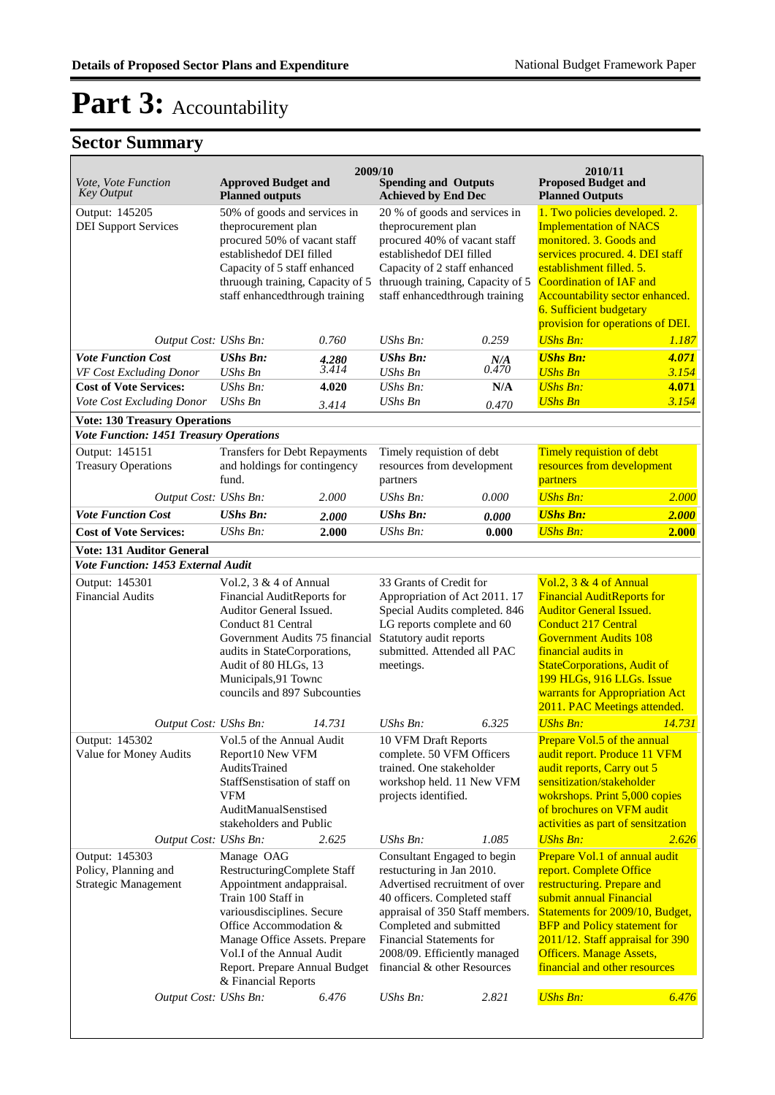|                                                                |                                                                                                                                                                                                                                                                            | 2009/10                                                                                                                                                                                                                                                              |                                                                                                                                                                                                                                                                                     |                                                                                                                                                        | 2010/11                                                                                                                                                                                                                                                                                                                 |                |
|----------------------------------------------------------------|----------------------------------------------------------------------------------------------------------------------------------------------------------------------------------------------------------------------------------------------------------------------------|----------------------------------------------------------------------------------------------------------------------------------------------------------------------------------------------------------------------------------------------------------------------|-------------------------------------------------------------------------------------------------------------------------------------------------------------------------------------------------------------------------------------------------------------------------------------|--------------------------------------------------------------------------------------------------------------------------------------------------------|-------------------------------------------------------------------------------------------------------------------------------------------------------------------------------------------------------------------------------------------------------------------------------------------------------------------------|----------------|
| Vote, Vote Function<br>Key Output                              | <b>Approved Budget and</b><br><b>Planned outputs</b>                                                                                                                                                                                                                       |                                                                                                                                                                                                                                                                      | <b>Spending and Outputs</b><br><b>Achieved by End Dec</b>                                                                                                                                                                                                                           |                                                                                                                                                        | <b>Proposed Budget and</b><br><b>Planned Outputs</b>                                                                                                                                                                                                                                                                    |                |
| Output: 145205<br><b>DEI Support Services</b>                  | 50% of goods and services in<br>theprocurement plan<br>procured 50% of vacant staff<br>established of DEI filled<br>Capacity of 5 staff enhanced<br>thruough training, Capacity of 5<br>staff enhancedthrough training                                                     |                                                                                                                                                                                                                                                                      | 20 % of goods and services in<br>theprocurement plan<br>procured 40% of vacant staff<br>establishedof DEI filled<br>Capacity of 2 staff enhanced<br>thruough training, Capacity of 5<br>staff enhancedthrough training                                                              |                                                                                                                                                        | 1. Two policies developed. 2.<br><b>Implementation of NACS</b><br>monitored. 3. Goods and<br>services procured. 4. DEI staff<br>establishment filled. 5.<br><b>Coordination of IAF and</b><br>Accountability sector enhanced.<br>6. Sufficient budgetary<br>provision for operations of DEI.                            |                |
| Output Cost: UShs Bn:                                          |                                                                                                                                                                                                                                                                            | 0.760                                                                                                                                                                                                                                                                | UShs Bn:                                                                                                                                                                                                                                                                            | 0.259                                                                                                                                                  | <b>UShs Bn:</b>                                                                                                                                                                                                                                                                                                         | 1.187          |
| <b>Vote Function Cost</b>                                      | <b>UShs Bn:</b>                                                                                                                                                                                                                                                            | 4.280<br>3.414                                                                                                                                                                                                                                                       | <b>UShs Bn:</b>                                                                                                                                                                                                                                                                     | N/A<br>0.470                                                                                                                                           | <b>UShs Bn:</b>                                                                                                                                                                                                                                                                                                         | 4.071          |
| VF Cost Excluding Donor<br><b>Cost of Vote Services:</b>       | <b>UShs Bn</b><br>UShs Bn:                                                                                                                                                                                                                                                 | 4.020                                                                                                                                                                                                                                                                | <b>UShs Bn</b><br>$UShs Bn$ :                                                                                                                                                                                                                                                       | N/A                                                                                                                                                    | <b>UShs Bn</b><br><b>UShs Bn:</b>                                                                                                                                                                                                                                                                                       | 3.154<br>4.071 |
| Vote Cost Excluding Donor                                      | <b>UShs Bn</b>                                                                                                                                                                                                                                                             |                                                                                                                                                                                                                                                                      | <b>UShs Bn</b>                                                                                                                                                                                                                                                                      |                                                                                                                                                        | <b>UShs Bn</b>                                                                                                                                                                                                                                                                                                          | 3.154          |
| <b>Vote: 130 Treasury Operations</b>                           |                                                                                                                                                                                                                                                                            | 3.414                                                                                                                                                                                                                                                                |                                                                                                                                                                                                                                                                                     | 0.470                                                                                                                                                  |                                                                                                                                                                                                                                                                                                                         |                |
| <b>Vote Function: 1451 Treasury Operations</b>                 |                                                                                                                                                                                                                                                                            |                                                                                                                                                                                                                                                                      |                                                                                                                                                                                                                                                                                     |                                                                                                                                                        |                                                                                                                                                                                                                                                                                                                         |                |
| Output: 145151<br><b>Treasury Operations</b>                   | <b>Transfers for Debt Repayments</b><br>and holdings for contingency<br>fund.                                                                                                                                                                                              |                                                                                                                                                                                                                                                                      | Timely requistion of debt<br>resources from development<br>partners                                                                                                                                                                                                                 |                                                                                                                                                        | Timely requistion of debt<br>resources from development<br>partners                                                                                                                                                                                                                                                     |                |
| Output Cost: UShs Bn:                                          |                                                                                                                                                                                                                                                                            | 2.000                                                                                                                                                                                                                                                                | <b>UShs Bn:</b>                                                                                                                                                                                                                                                                     | 0.000                                                                                                                                                  | <b>UShs Bn:</b>                                                                                                                                                                                                                                                                                                         | 2.000          |
| <b>Vote Function Cost</b>                                      | <b>UShs Bn:</b>                                                                                                                                                                                                                                                            | 2.000                                                                                                                                                                                                                                                                | <b>UShs Bn:</b>                                                                                                                                                                                                                                                                     | 0.000                                                                                                                                                  | <b>UShs Bn:</b>                                                                                                                                                                                                                                                                                                         | 2.000          |
| <b>Cost of Vote Services:</b>                                  | UShs Bn:                                                                                                                                                                                                                                                                   | 2.000                                                                                                                                                                                                                                                                | <b>UShs Bn:</b>                                                                                                                                                                                                                                                                     | 0.000                                                                                                                                                  | <b>UShs Bn:</b>                                                                                                                                                                                                                                                                                                         | 2.000          |
| <b>Vote: 131 Auditor General</b>                               |                                                                                                                                                                                                                                                                            |                                                                                                                                                                                                                                                                      |                                                                                                                                                                                                                                                                                     |                                                                                                                                                        |                                                                                                                                                                                                                                                                                                                         |                |
| Vote Function: 1453 External Audit                             |                                                                                                                                                                                                                                                                            |                                                                                                                                                                                                                                                                      | 33 Grants of Credit for                                                                                                                                                                                                                                                             |                                                                                                                                                        |                                                                                                                                                                                                                                                                                                                         |                |
| Output: 145301<br><b>Financial Audits</b>                      |                                                                                                                                                                                                                                                                            | Vol.2, 3 & 4 of Annual<br>Financial AuditReports for<br>Auditor General Issued.<br>Conduct 81 Central<br>Government Audits 75 financial<br>audits in StateCorporations,<br>Audit of 80 HLGs, 13<br>meetings.<br>Municipals, 91 Townc<br>councils and 897 Subcounties |                                                                                                                                                                                                                                                                                     | Appropriation of Act 2011. 17<br>Special Audits completed. 846<br>LG reports complete and 60<br>Statutory audit reports<br>submitted. Attended all PAC | Vol.2, 3 & 4 of Annual<br><b>Financial AuditReports for</b><br><b>Auditor General Issued.</b><br><b>Conduct 217 Central</b><br><b>Government Audits 108</b><br>financial audits in<br><b>StateCorporations, Audit of</b><br>199 HLGs, 916 LLGs. Issue<br>warrants for Appropriation Act<br>2011. PAC Meetings attended. |                |
| Output Cost: UShs Bn:                                          |                                                                                                                                                                                                                                                                            | 14.731                                                                                                                                                                                                                                                               | UShs Bn:                                                                                                                                                                                                                                                                            | 6.325                                                                                                                                                  | <b>UShs Bn:</b>                                                                                                                                                                                                                                                                                                         | 14.731         |
| Output: 145302<br>Value for Money Audits                       | Vol.5 of the Annual Audit<br>Report10 New VFM<br><b>AuditsTrained</b><br>StaffSenstisation of staff on<br>VFM<br>AuditManualSenstised<br>stakeholders and Public                                                                                                           |                                                                                                                                                                                                                                                                      | 10 VFM Draft Reports<br>complete. 50 VFM Officers<br>trained. One stakeholder<br>workshop held. 11 New VFM<br>projects identified.                                                                                                                                                  |                                                                                                                                                        | Prepare Vol.5 of the annual<br>audit report. Produce 11 VFM<br>audit reports, Carry out 5<br>sensitization/stakeholder<br>wokrshops. Print 5,000 copies<br>of brochures on VFM audit<br>activities as part of sensitzation                                                                                              |                |
| Output Cost: UShs Bn:                                          |                                                                                                                                                                                                                                                                            | 2.625                                                                                                                                                                                                                                                                | UShs Bn:                                                                                                                                                                                                                                                                            | 1.085                                                                                                                                                  | <b>UShs Bn:</b>                                                                                                                                                                                                                                                                                                         | 2.626          |
| Output: 145303<br>Policy, Planning and<br>Strategic Management | Manage OAG<br>RestructuringComplete Staff<br>Appointment andappraisal.<br>Train 100 Staff in<br>variousdisciplines. Secure<br>Office Accommodation &<br>Manage Office Assets. Prepare<br>Vol.I of the Annual Audit<br>Report. Prepare Annual Budget<br>& Financial Reports |                                                                                                                                                                                                                                                                      | Consultant Engaged to begin<br>restucturing in Jan 2010.<br>Advertised recruitment of over<br>40 officers. Completed staff<br>appraisal of 350 Staff members.<br>Completed and submitted<br>Financial Statements for<br>2008/09. Efficiently managed<br>financial & other Resources |                                                                                                                                                        | Prepare Vol.1 of annual audit<br>report. Complete Office<br>restructuring. Prepare and<br>submit annual Financial<br>Statements for 2009/10, Budget,<br><b>BFP</b> and Policy statement for<br>2011/12. Staff appraisal for 390<br><b>Officers. Manage Assets,</b><br>financial and other resources                     |                |
| Output Cost: UShs Bn:                                          |                                                                                                                                                                                                                                                                            | 6.476                                                                                                                                                                                                                                                                | <b>UShs Bn:</b>                                                                                                                                                                                                                                                                     | 2.821                                                                                                                                                  | <b>UShs Bn:</b>                                                                                                                                                                                                                                                                                                         | 6.476          |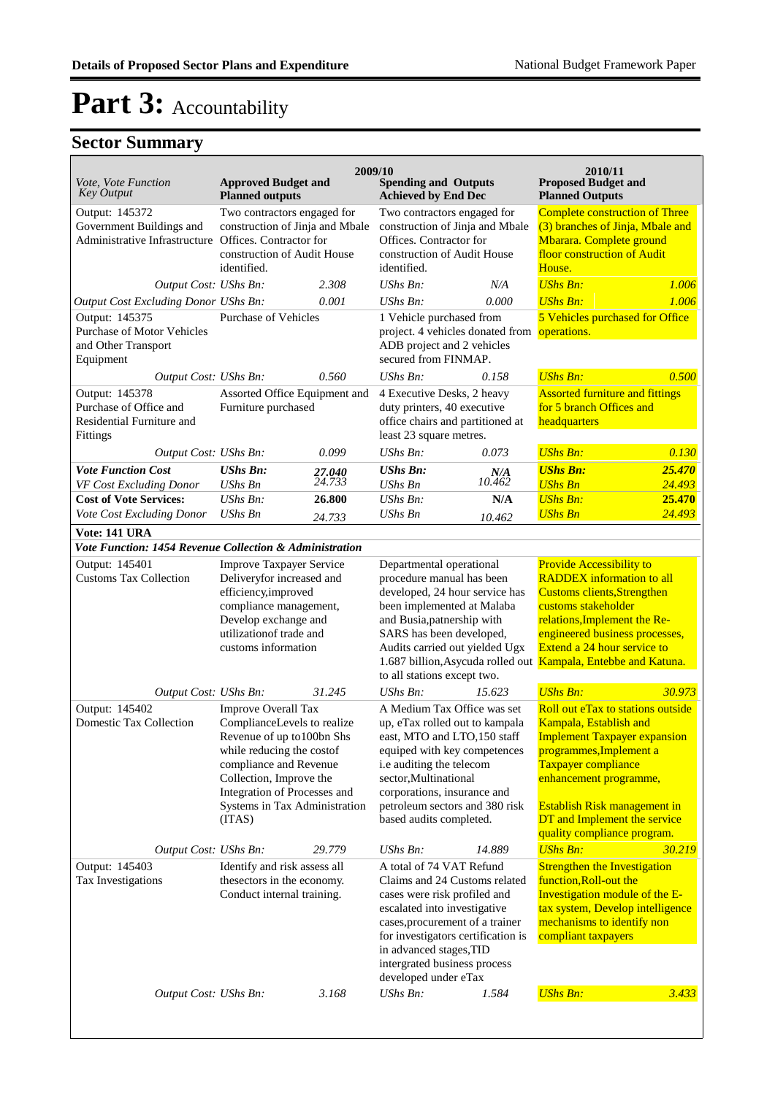| Vote, Vote Function                                                                                 | <b>Approved Budget and</b>                                                                                                                                                                                                                           |                                                      | 2009/10<br><b>Spending and Outputs</b>                                                                                                                                                                                                                                                |                                                                                                                          | 2010/11<br><b>Proposed Budget and</b>                                                                                                                                                                                                                                         |                                                                    |
|-----------------------------------------------------------------------------------------------------|------------------------------------------------------------------------------------------------------------------------------------------------------------------------------------------------------------------------------------------------------|------------------------------------------------------|---------------------------------------------------------------------------------------------------------------------------------------------------------------------------------------------------------------------------------------------------------------------------------------|--------------------------------------------------------------------------------------------------------------------------|-------------------------------------------------------------------------------------------------------------------------------------------------------------------------------------------------------------------------------------------------------------------------------|--------------------------------------------------------------------|
| <b>Key Output</b>                                                                                   | <b>Planned outputs</b>                                                                                                                                                                                                                               |                                                      | <b>Achieved by End Dec</b>                                                                                                                                                                                                                                                            |                                                                                                                          | <b>Planned Outputs</b>                                                                                                                                                                                                                                                        |                                                                    |
| Output: 145372<br>Government Buildings and<br>Administrative Infrastructure Offices. Contractor for | Two contractors engaged for<br>construction of Jinja and Mbale<br>construction of Audit House                                                                                                                                                        |                                                      | Two contractors engaged for<br>construction of Jinja and Mbale<br>Offices. Contractor for<br>construction of Audit House                                                                                                                                                              |                                                                                                                          | <b>Complete construction of Three</b><br>(3) branches of Jinja, Mbale and<br>Mbarara. Complete ground<br>floor construction of Audit                                                                                                                                          |                                                                    |
|                                                                                                     | identified.                                                                                                                                                                                                                                          |                                                      | identified.                                                                                                                                                                                                                                                                           |                                                                                                                          | House.                                                                                                                                                                                                                                                                        |                                                                    |
| Output Cost: UShs Bn:                                                                               |                                                                                                                                                                                                                                                      | 2.308                                                | UShs Bn:                                                                                                                                                                                                                                                                              | N/A                                                                                                                      | <b>UShs Bn:</b>                                                                                                                                                                                                                                                               | 1.006                                                              |
| Output Cost Excluding Donor UShs Bn:                                                                |                                                                                                                                                                                                                                                      | 0.001                                                | UShs Bn:                                                                                                                                                                                                                                                                              | 0.000                                                                                                                    | <b>UShs Bn:</b>                                                                                                                                                                                                                                                               | 1.006                                                              |
| Output: 145375<br>Purchase of Motor Vehicles<br>and Other Transport<br>Equipment                    | Purchase of Vehicles                                                                                                                                                                                                                                 |                                                      | 1 Vehicle purchased from<br>project. 4 vehicles donated from operations.<br>ADB project and 2 vehicles<br>secured from FINMAP.                                                                                                                                                        |                                                                                                                          | 5 Vehicles purchased for Office                                                                                                                                                                                                                                               |                                                                    |
| Output Cost: UShs Bn:                                                                               |                                                                                                                                                                                                                                                      | 0.560                                                | UShs Bn:                                                                                                                                                                                                                                                                              | 0.158                                                                                                                    | <b>UShs Bn:</b>                                                                                                                                                                                                                                                               | 0.500                                                              |
| Output: 145378<br>Purchase of Office and<br>Residential Furniture and<br>Fittings                   |                                                                                                                                                                                                                                                      | Assorted Office Equipment and<br>Furniture purchased |                                                                                                                                                                                                                                                                                       | 4 Executive Desks, 2 heavy<br>duty printers, 40 executive<br>office chairs and partitioned at<br>least 23 square metres. |                                                                                                                                                                                                                                                                               | <b>Assorted furniture and fittings</b><br>for 5 branch Offices and |
| Output Cost: UShs Bn:                                                                               |                                                                                                                                                                                                                                                      | 0.099                                                | UShs Bn:                                                                                                                                                                                                                                                                              | 0.073                                                                                                                    | <b>UShs Bn:</b>                                                                                                                                                                                                                                                               | 0.130                                                              |
| <b>Vote Function Cost</b><br>VF Cost Excluding Donor                                                | <b>UShs Bn:</b><br><b>UShs Bn</b>                                                                                                                                                                                                                    | 27.040<br>24.733                                     | <b>UShs Bn:</b><br><b>UShs Bn</b>                                                                                                                                                                                                                                                     | N/A<br>10.462                                                                                                            | <b>UShs Bn:</b><br><b>UShs Bn</b>                                                                                                                                                                                                                                             | 25,470<br>24.493                                                   |
| <b>Cost of Vote Services:</b>                                                                       | UShs Bn:                                                                                                                                                                                                                                             | 26.800                                               | $UShs Bn$ :                                                                                                                                                                                                                                                                           | N/A                                                                                                                      | <b>UShs Bn:</b>                                                                                                                                                                                                                                                               | 25.470                                                             |
| Vote Cost Excluding Donor                                                                           | <b>UShs Bn</b>                                                                                                                                                                                                                                       | 24.733                                               | UShs Bn                                                                                                                                                                                                                                                                               | 10.462                                                                                                                   | <b>UShs Bn</b>                                                                                                                                                                                                                                                                | 24.493                                                             |
| Vote: 141 URA<br>Vote Function: 1454 Revenue Collection & Administration                            |                                                                                                                                                                                                                                                      |                                                      |                                                                                                                                                                                                                                                                                       |                                                                                                                          |                                                                                                                                                                                                                                                                               |                                                                    |
| Output: 145401                                                                                      | <b>Improve Taxpayer Service</b>                                                                                                                                                                                                                      |                                                      | Departmental operational                                                                                                                                                                                                                                                              |                                                                                                                          | <b>Provide Accessibility to</b>                                                                                                                                                                                                                                               |                                                                    |
| <b>Customs Tax Collection</b>                                                                       | Deliveryfor increased and<br>efficiency,improved<br>compliance management,<br>Develop exchange and<br>utilization of trade and<br>customs information                                                                                                |                                                      | procedure manual has been<br>developed, 24 hour service has<br>been implemented at Malaba<br>and Busia, patnership with<br>SARS has been developed,<br>Audits carried out yielded Ugx<br>to all stations except two.                                                                  |                                                                                                                          | <b>RADDEX</b> information to all<br><b>Customs clients, Strengthen</b><br>customs stakeholder<br>relations, Implement the Re-<br>engineered business processes,<br>Extend a 24 hour service to<br>1.687 billion, Asycuda rolled out Kampala, Entebbe and Katuna.              |                                                                    |
| Output Cost: UShs Bn:                                                                               |                                                                                                                                                                                                                                                      | 31.245                                               | UShs Bn:                                                                                                                                                                                                                                                                              | 15.623                                                                                                                   | <b>UShs Bn:</b>                                                                                                                                                                                                                                                               | 30.973                                                             |
| Output: 145402<br><b>Domestic Tax Collection</b>                                                    | <b>Improve Overall Tax</b><br>ComplianceLevels to realize<br>Revenue of up to 100bn Shs<br>while reducing the costof<br>compliance and Revenue<br>Collection, Improve the<br>Integration of Processes and<br>Systems in Tax Administration<br>(ITAS) |                                                      | A Medium Tax Office was set<br>up, eTax rolled out to kampala<br>east, MTO and LTO,150 staff<br>equiped with key competences<br>i.e auditing the telecom<br>sector, Multinational<br>corporations, insurance and<br>petroleum sectors and 380 risk<br>based audits completed.         |                                                                                                                          | Roll out eTax to stations outside<br>Kampala, Establish and<br><b>Implement Taxpayer expansion</b><br>programmes, Implement a<br>Taxpayer compliance<br>enhancement programme,<br>Establish Risk management in<br>DT and Implement the service<br>quality compliance program. |                                                                    |
| Output Cost: UShs Bn:                                                                               |                                                                                                                                                                                                                                                      | 29.779                                               | UShs Bn:                                                                                                                                                                                                                                                                              | 14.889                                                                                                                   | <b>UShs Bn:</b>                                                                                                                                                                                                                                                               | 30.219                                                             |
| Output: 145403<br>Tax Investigations                                                                | Identify and risk assess all<br>thesectors in the economy.<br>Conduct internal training.                                                                                                                                                             |                                                      | A total of 74 VAT Refund<br>Claims and 24 Customs related<br>cases were risk profiled and<br>escalated into investigative<br>cases, procurement of a trainer<br>for investigators certification is<br>in advanced stages, TID<br>intergrated business process<br>developed under eTax |                                                                                                                          | <b>Strengthen the Investigation</b><br>function, Roll-out the<br>Investigation module of the E-<br>tax system, Develop intelligence<br>mechanisms to identify non<br>compliant taxpayers                                                                                      |                                                                    |
| Output Cost: UShs Bn:                                                                               |                                                                                                                                                                                                                                                      | 3.168                                                | UShs Bn:                                                                                                                                                                                                                                                                              | 1.584                                                                                                                    | <b>UShs Bn:</b>                                                                                                                                                                                                                                                               | 3.433                                                              |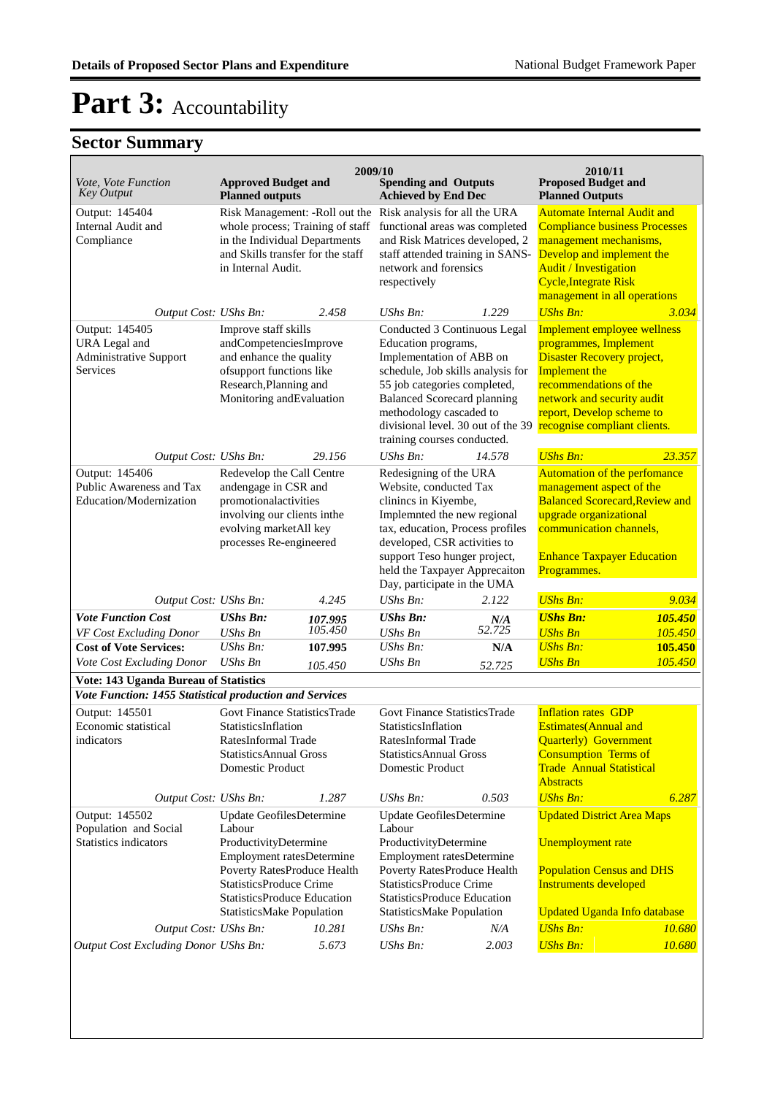| <i>Vote, Vote Function</i><br><b>Key Output</b>                                                  | <b>Approved Budget and</b><br><b>Planned outputs</b>                                                                                                                                                                         | 2009/10                       | <b>Spending and Outputs</b><br><b>Achieved by End Dec</b>                                                                                                                                                                                                                                  |                      | 2010/11<br><b>Proposed Budget and</b><br><b>Planned Outputs</b>                                                                                                                                                                   |                               |
|--------------------------------------------------------------------------------------------------|------------------------------------------------------------------------------------------------------------------------------------------------------------------------------------------------------------------------------|-------------------------------|--------------------------------------------------------------------------------------------------------------------------------------------------------------------------------------------------------------------------------------------------------------------------------------------|----------------------|-----------------------------------------------------------------------------------------------------------------------------------------------------------------------------------------------------------------------------------|-------------------------------|
| Output: 145404<br>Internal Audit and<br>Compliance                                               | Risk Management: - Roll out the<br>whole process; Training of staff<br>in the Individual Departments<br>and Skills transfer for the staff<br>in Internal Audit.                                                              |                               | Risk analysis for all the URA<br>functional areas was completed<br>and Risk Matrices developed, 2<br>staff attended training in SANS-<br>network and forensics<br>respectively                                                                                                             |                      | <b>Automate Internal Audit and</b><br><b>Compliance business Processes</b><br>management mechanisms,<br>Develop and implement the<br><b>Audit / Investigation</b><br><b>Cycle, Integrate Risk</b><br>management in all operations |                               |
| Output Cost: UShs Bn:                                                                            |                                                                                                                                                                                                                              | 2.458                         | $UShs Bn$ :                                                                                                                                                                                                                                                                                | 1.229                | <b>UShs Bn:</b>                                                                                                                                                                                                                   | 3.034                         |
| Output: 145405<br>URA Legal and<br>Administrative Support<br><b>Services</b>                     | Improve staff skills<br>andCompetenciesImprove<br>and enhance the quality<br>ofsupport functions like<br>Research, Planning and<br>Monitoring andEvaluation                                                                  |                               | Conducted 3 Continuous Legal<br>Education programs,<br>Implementation of ABB on<br>schedule, Job skills analysis for<br>55 job categories completed,<br><b>Balanced Scorecard planning</b><br>methodology cascaded to<br>divisional level. 30 out of the 39<br>training courses conducted. |                      | Implement employee wellness<br>programmes, Implement<br>Disaster Recovery project,<br>Implement the<br>recommendations of the<br>network and security audit<br>report, Develop scheme to<br>recognise compliant clients.          |                               |
| Output Cost: UShs Bn:                                                                            |                                                                                                                                                                                                                              | 29.156                        | $UShs Bn$ :                                                                                                                                                                                                                                                                                | 14.578               | <b>UShs Bn:</b>                                                                                                                                                                                                                   | 23.357                        |
| Output: 145406<br>Public Awareness and Tax<br>Education/Modernization                            | Redevelop the Call Centre<br>andengage in CSR and<br>promotionalactivities<br>involving our clients inthe<br>evolving marketAll key<br>processes Re-engineered                                                               |                               | Redesigning of the URA<br>Website, conducted Tax<br>clinincs in Kiyembe,<br>Implemnted the new regional<br>tax, education, Process profiles<br>developed, CSR activities to<br>support Teso hunger project,<br>held the Taxpayer Apprecaiton<br>Day, participate in the UMA                |                      | Automation of the perfomance<br>management aspect of the<br><b>Balanced Scorecard, Review and</b><br>upgrade organizational<br>communication channels,<br><b>Enhance Taxpayer Education</b><br>Programmes.                        |                               |
| Output Cost: UShs Bn:                                                                            |                                                                                                                                                                                                                              | 4.245                         | $UShs Bn$ :                                                                                                                                                                                                                                                                                | 2.122                | <b>UShs Bn:</b>                                                                                                                                                                                                                   | 9.034                         |
| <b>Vote Function Cost</b><br>VF Cost Excluding Donor<br><b>Cost of Vote Services:</b>            | <b>UShs Bn:</b><br><b>UShs Bn</b><br>$UShs Bn$ :                                                                                                                                                                             | 107.995<br>105.450<br>107.995 | <b>UShs Bn:</b><br><b>UShs Bn</b><br>$UShs Bn$ :                                                                                                                                                                                                                                           | N/A<br>52.725<br>N/A | <b>UShs Bn:</b><br><b>UShs Bn</b><br><b>UShs Bn:</b>                                                                                                                                                                              | 105.450<br>105.450<br>105.450 |
| Vote Cost Excluding Donor                                                                        | <b>UShs Bn</b>                                                                                                                                                                                                               | 105.450                       | <b>UShs Bn</b>                                                                                                                                                                                                                                                                             | 52.725               | <b>UShs Bn</b>                                                                                                                                                                                                                    | 105.450                       |
| Vote: 143 Uganda Bureau of Statistics<br>Vote Function: 1455 Statistical production and Services |                                                                                                                                                                                                                              |                               |                                                                                                                                                                                                                                                                                            |                      |                                                                                                                                                                                                                                   |                               |
| Output: 145501<br>Economic statistical<br>indicators                                             | Govt Finance StatisticsTrade<br>StatisticsInflation<br>RatesInformal Trade<br><b>StatisticsAnnual Gross</b><br>Domestic Product                                                                                              |                               | <b>Govt Finance StatisticsTrade</b><br>StatisticsInflation<br>RatesInformal Trade<br><b>StatisticsAnnual Gross</b><br>Domestic Product                                                                                                                                                     |                      | <b>Inflation rates GDP</b><br><b>Estimates</b> (Annual and<br><b>Quarterly</b> Government<br><b>Consumption Terms of</b><br><b>Trade Annual Statistical</b><br><b>Abstracts</b>                                                   |                               |
| Output Cost: UShs Bn:                                                                            |                                                                                                                                                                                                                              | 1.287                         | UShs Bn:                                                                                                                                                                                                                                                                                   | 0.503                | <b>UShs Bn:</b>                                                                                                                                                                                                                   | 6.287                         |
| Output: 145502<br>Population and Social<br><b>Statistics indicators</b>                          | Update GeofilesDetermine<br>Labour<br>ProductivityDetermine<br>Employment ratesDetermine<br>Poverty RatesProduce Health<br><b>StatisticsProduce Crime</b><br><b>StatisticsProduce Education</b><br>StatisticsMake Population |                               | Update GeofilesDetermine<br>Labour<br>ProductivityDetermine<br>Employment ratesDetermine<br>Poverty RatesProduce Health<br><b>StatisticsProduce Crime</b><br>StatisticsProduce Education<br>StatisticsMake Population                                                                      |                      | <b>Updated District Area Maps</b><br>Unemployment rate<br><b>Population Census and DHS</b><br><b>Instruments developed</b><br><b>Updated Uganda Info database</b>                                                                 |                               |
| Output Cost: UShs Bn:                                                                            |                                                                                                                                                                                                                              | 10.281                        | UShs Bn:                                                                                                                                                                                                                                                                                   | N/A                  | <b>UShs Bn:</b>                                                                                                                                                                                                                   | 10.680                        |
| <b>Output Cost Excluding Donor UShs Bn:</b>                                                      |                                                                                                                                                                                                                              | 5.673                         | UShs Bn:                                                                                                                                                                                                                                                                                   | 2.003                | <b>UShs Bn:</b>                                                                                                                                                                                                                   | 10.680                        |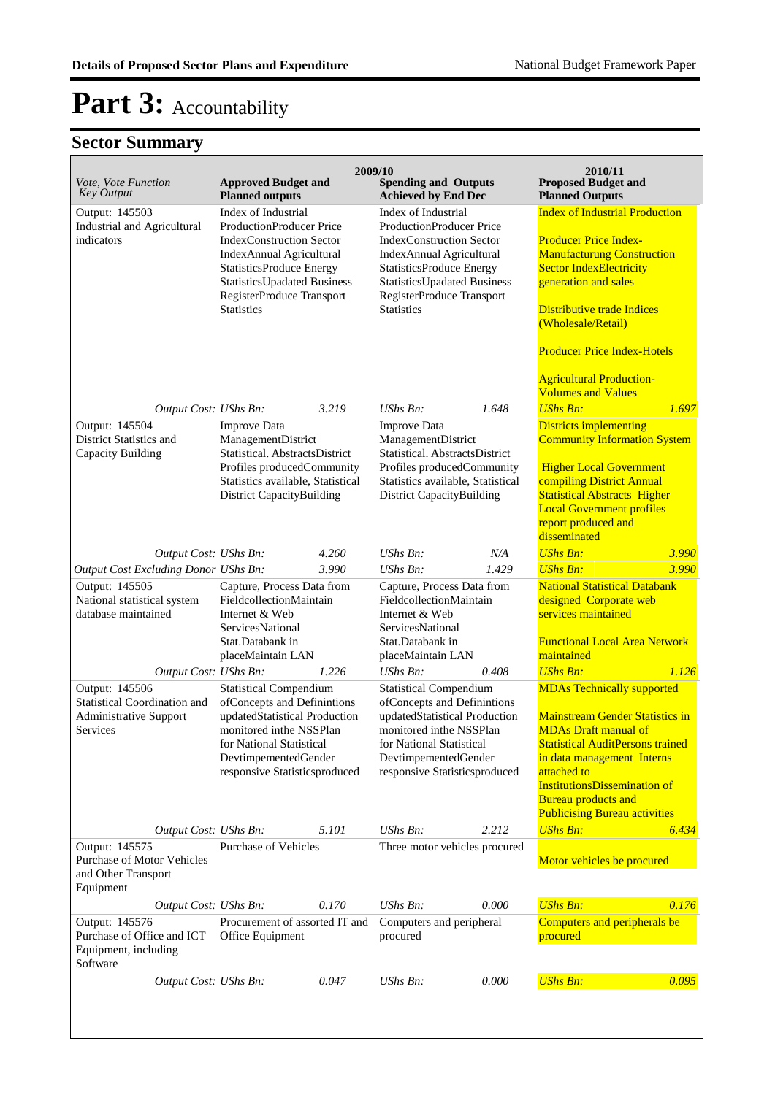|                                                                                                    |                                                                                                                                                                                                                                                  |       | 2009/10                                                                                                                                                                                                                                                        |       | 2010/11                                                                                                                                                                                                                                                                                                                               |       |
|----------------------------------------------------------------------------------------------------|--------------------------------------------------------------------------------------------------------------------------------------------------------------------------------------------------------------------------------------------------|-------|----------------------------------------------------------------------------------------------------------------------------------------------------------------------------------------------------------------------------------------------------------------|-------|---------------------------------------------------------------------------------------------------------------------------------------------------------------------------------------------------------------------------------------------------------------------------------------------------------------------------------------|-------|
| <i>Vote, Vote Function</i><br><b>Key Output</b>                                                    | <b>Approved Budget and</b><br><b>Planned outputs</b>                                                                                                                                                                                             |       | <b>Spending and Outputs</b><br><b>Achieved by End Dec</b>                                                                                                                                                                                                      |       | <b>Proposed Budget and</b><br><b>Planned Outputs</b>                                                                                                                                                                                                                                                                                  |       |
| Output: 145503<br><b>Industrial and Agricultural</b><br>indicators                                 | Index of Industrial<br><b>ProductionProducer Price</b><br><b>IndexConstruction Sector</b><br>IndexAnnual Agricultural<br><b>StatisticsProduce Energy</b><br><b>StatisticsUpadated Business</b><br>RegisterProduce Transport<br><b>Statistics</b> |       | Index of Industrial<br><b>ProductionProducer Price</b><br><b>IndexConstruction Sector</b><br><b>IndexAnnual Agricultural</b><br><b>StatisticsProduce Energy</b><br><b>StatisticsUpadated Business</b><br><b>RegisterProduce Transport</b><br><b>Statistics</b> |       | <b>Index of Industrial Production</b><br><b>Producer Price Index-</b><br><b>Manufacturung Construction</b><br><b>Sector IndexElectricity</b><br>generation and sales<br><b>Distributive trade Indices</b><br>(Wholesale/Retail)<br><b>Producer Price Index-Hotels</b><br><b>Agricultural Production-</b><br><b>Volumes and Values</b> |       |
| Output Cost: UShs Bn:                                                                              |                                                                                                                                                                                                                                                  | 3.219 | <b>UShs Bn:</b>                                                                                                                                                                                                                                                | 1.648 | <b>UShs Bn:</b>                                                                                                                                                                                                                                                                                                                       | 1.697 |
| Output: 145504<br>District Statistics and<br>Capacity Building                                     | <b>Improve Data</b><br>ManagementDistrict<br>Statistical. AbstractsDistrict<br>Profiles producedCommunity<br>Statistics available, Statistical<br><b>District CapacityBuilding</b>                                                               |       | <b>Improve Data</b><br>ManagementDistrict<br>Statistical. AbstractsDistrict<br>Profiles producedCommunity<br>Statistics available, Statistical<br><b>District CapacityBuilding</b>                                                                             |       | <b>Districts implementing</b><br><b>Community Information System</b><br><b>Higher Local Government</b><br>compiling District Annual<br><b>Statistical Abstracts Higher</b><br><b>Local Government profiles</b><br>report produced and<br>disseminated                                                                                 |       |
| Output Cost: UShs Bn:                                                                              |                                                                                                                                                                                                                                                  | 4.260 | UShs Bn:                                                                                                                                                                                                                                                       | N/A   | <b>UShs Bn:</b>                                                                                                                                                                                                                                                                                                                       | 3.990 |
| Output Cost Excluding Donor UShs Bn:                                                               |                                                                                                                                                                                                                                                  | 3.990 | UShs Bn:                                                                                                                                                                                                                                                       | 1.429 | <b>UShs Bn:</b>                                                                                                                                                                                                                                                                                                                       | 3.990 |
| Output: 145505<br>National statistical system<br>database maintained                               | Capture, Process Data from<br>FieldcollectionMaintain<br>Internet & Web<br>ServicesNational<br>Stat.Databank in<br>placeMaintain LAN                                                                                                             |       | Capture, Process Data from<br>FieldcollectionMaintain<br>Internet & Web<br>ServicesNational<br>Stat.Databank in<br>placeMaintain LAN                                                                                                                           |       | <b>National Statistical Databank</b><br>designed Corporate web<br>services maintained<br><b>Functional Local Area Network</b><br>maintained                                                                                                                                                                                           |       |
| Output Cost: UShs Bn:                                                                              |                                                                                                                                                                                                                                                  | 1.226 | UShs Bn:                                                                                                                                                                                                                                                       | 0.408 | <b>UShs Bn:</b>                                                                                                                                                                                                                                                                                                                       | 1.126 |
| Output: 145506<br><b>Statistical Coordination and</b><br><b>Administrative Support</b><br>Services | <b>Statistical Compendium</b><br>ofConcepts and Definintions<br>updatedStatistical Production<br>monitored inthe NSSPlan<br>for National Statistical<br>DevtimpementedGender<br>responsive Statisticsproduced                                    |       | <b>Statistical Compendium</b><br>ofConcepts and Definintions<br>updatedStatistical Production<br>monitored inthe NSSPlan<br>for National Statistical<br>DevtimpementedGender<br>responsive Statisticsproduced                                                  |       | <b>MDAs Technically supported</b><br><b>Mainstream Gender Statistics in</b><br><b>MDAs Draft manual of</b><br><b>Statistical AuditPersons trained</b><br>in data management Interns<br>attached to<br><b>InstitutionsDissemination of</b><br><b>Bureau products and</b><br><b>Publicising Bureau activities</b>                       |       |
| Output Cost: UShs Bn:                                                                              |                                                                                                                                                                                                                                                  | 5.101 | UShs Bn:                                                                                                                                                                                                                                                       | 2.212 | <b>UShs Bn:</b>                                                                                                                                                                                                                                                                                                                       | 6.434 |
| Output: 145575<br>Purchase of Motor Vehicles<br>and Other Transport<br>Equipment                   | <b>Purchase of Vehicles</b>                                                                                                                                                                                                                      |       | Three motor vehicles procured                                                                                                                                                                                                                                  |       | Motor vehicles be procured                                                                                                                                                                                                                                                                                                            |       |
| Output Cost: UShs Bn:                                                                              |                                                                                                                                                                                                                                                  | 0.170 | UShs Bn:                                                                                                                                                                                                                                                       | 0.000 | <b>UShs Bn:</b>                                                                                                                                                                                                                                                                                                                       | 0.176 |
| Output: 145576<br>Purchase of Office and ICT<br>Equipment, including<br>Software                   | Procurement of assorted IT and<br>Office Equipment                                                                                                                                                                                               |       | Computers and peripheral<br>procured                                                                                                                                                                                                                           |       | Computers and peripherals be<br>procured                                                                                                                                                                                                                                                                                              |       |
| Output Cost: UShs Bn:                                                                              |                                                                                                                                                                                                                                                  | 0.047 | UShs Bn:                                                                                                                                                                                                                                                       | 0.000 | <b>UShs Bn:</b>                                                                                                                                                                                                                                                                                                                       | 0.095 |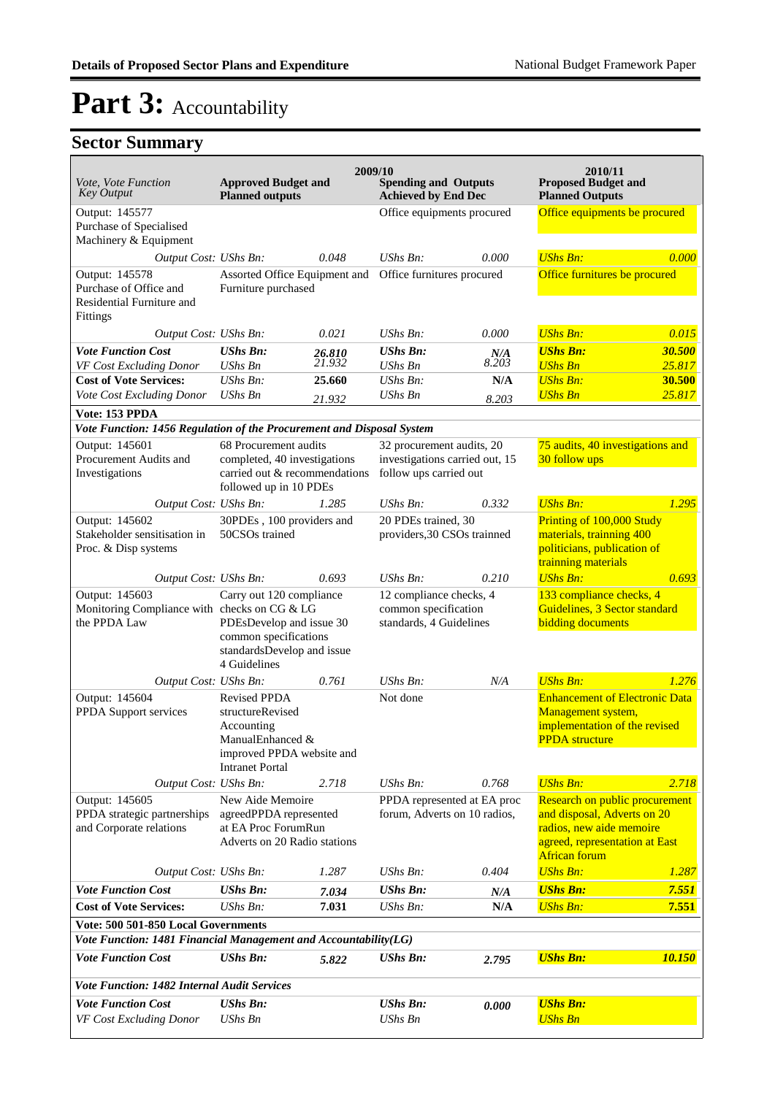| <i>Vote, Vote Function</i><br><b>Key Output</b>                                   | <b>Approved Budget and</b><br><b>Planned outputs</b>                                                                             |                  | 2009/10<br><b>Spending and Outputs</b><br><b>Achieved by End Dec</b>                  |              | 2010/11<br><b>Proposed Budget and</b><br><b>Planned Outputs</b>                                                                                     |                  |
|-----------------------------------------------------------------------------------|----------------------------------------------------------------------------------------------------------------------------------|------------------|---------------------------------------------------------------------------------------|--------------|-----------------------------------------------------------------------------------------------------------------------------------------------------|------------------|
| Output: 145577<br>Purchase of Specialised<br>Machinery & Equipment                |                                                                                                                                  |                  | Office equipments procured                                                            |              | Office equipments be procured                                                                                                                       |                  |
| Output Cost: UShs Bn:                                                             |                                                                                                                                  | 0.048            | UShs Bn:                                                                              | 0.000        | <b>UShs Bn:</b>                                                                                                                                     | 0.000            |
| Output: 145578<br>Purchase of Office and<br>Residential Furniture and<br>Fittings | Assorted Office Equipment and<br>Furniture purchased                                                                             |                  | Office furnitures procured                                                            |              | Office furnitures be procured                                                                                                                       |                  |
| Output Cost: UShs Bn:                                                             |                                                                                                                                  | 0.021            | UShs Bn:                                                                              | 0.000        | <b>UShs Bn:</b>                                                                                                                                     | 0.015            |
| <b>Vote Function Cost</b><br>VF Cost Excluding Donor                              | <b>UShs Bn:</b><br><b>UShs Bn</b>                                                                                                | 26.810<br>21.932 | <b>UShs Bn:</b><br><b>UShs Bn</b>                                                     | N/A<br>8.203 | <b>UShs Bn:</b><br><b>UShs Bn</b>                                                                                                                   | 30.500<br>25.817 |
| <b>Cost of Vote Services:</b>                                                     | $UShs Bn$ :                                                                                                                      | 25.660           | $UShs Bn$ :                                                                           | N/A          | <b>UShs Bn:</b>                                                                                                                                     | 30.500           |
| Vote Cost Excluding Donor                                                         | <b>UShs Bn</b>                                                                                                                   | 21.932           | <b>UShs Bn</b>                                                                        | 8.203        | <b>UShs Bn</b>                                                                                                                                      | 25.817           |
| Vote: 153 PPDA                                                                    |                                                                                                                                  |                  |                                                                                       |              |                                                                                                                                                     |                  |
| Vote Function: 1456 Regulation of the Procurement and Disposal System             |                                                                                                                                  |                  |                                                                                       |              |                                                                                                                                                     |                  |
| Output: 145601<br>Procurement Audits and<br>Investigations                        | 68 Procurement audits<br>completed, 40 investigations<br>carried out & recommendations<br>followed up in 10 PDEs                 |                  | 32 procurement audits, 20<br>investigations carried out, 15<br>follow ups carried out |              | 75 audits, 40 investigations and<br>30 follow ups                                                                                                   |                  |
| Output Cost: UShs Bn:                                                             |                                                                                                                                  | 1.285            | UShs Bn:                                                                              | 0.332        | <b>UShs Bn:</b>                                                                                                                                     | 1.295            |
| Output: 145602<br>Stakeholder sensitisation in<br>Proc. & Disp systems            | 30PDEs, 100 providers and<br>50CSOs trained                                                                                      |                  | 20 PDEs trained, 30<br>providers, 30 CSOs trainned                                    |              | Printing of 100,000 Study<br>materials, trainning 400<br>politicians, publication of<br>trainning materials                                         |                  |
| Output Cost: UShs Bn:                                                             |                                                                                                                                  | 0.693            | UShs Bn:                                                                              | 0.210        | <b>UShs Bn:</b>                                                                                                                                     | 0.693            |
| Output: 145603<br>Monitoring Compliance with checks on CG & LG<br>the PPDA Law    | Carry out 120 compliance<br>PDEsDevelop and issue 30<br>common specifications<br>standardsDevelop and issue<br>4 Guidelines      |                  | 12 compliance checks, 4<br>common specification<br>standards, 4 Guidelines            |              | 133 compliance checks, 4<br>Guidelines, 3 Sector standard<br>bidding documents                                                                      |                  |
| Output Cost: UShs Bn:                                                             |                                                                                                                                  | 0.761            | UShs Bn:                                                                              | N/A          | <b>UShs Bn:</b>                                                                                                                                     | 1.276            |
| Output: 145604<br>PPDA Support services                                           | <b>Revised PPDA</b><br>structureRevised<br>Accounting<br>ManualEnhanced &<br>improved PPDA website and<br><b>Intranet Portal</b> |                  | Not done                                                                              |              | <b>Enhancement of Electronic Data</b><br>Management system,<br>implementation of the revised<br><b>PPDA</b> structure                               |                  |
| Output Cost: UShs Bn:                                                             |                                                                                                                                  | 2.718            | UShs Bn:                                                                              | 0.768        | <b>UShs Bn:</b>                                                                                                                                     | 2.718            |
| Output: 145605<br>PPDA strategic partnerships<br>and Corporate relations          | New Aide Memoire<br>agreedPPDA represented<br>at EA Proc ForumRun<br>Adverts on 20 Radio stations                                |                  | PPDA represented at EA proc<br>forum, Adverts on 10 radios,                           |              | Research on public procurement<br>and disposal, Adverts on 20<br>radios, new aide memoire<br>agreed, representation at East<br><b>African forum</b> |                  |
| Output Cost: UShs Bn:                                                             |                                                                                                                                  | 1.287            | $UShs Bn$ :                                                                           | 0.404        | <b>UShs Bn:</b>                                                                                                                                     | 1.287            |
| <b>Vote Function Cost</b>                                                         | <b>UShs Bn:</b>                                                                                                                  | 7.034            | <b>UShs Bn:</b>                                                                       | N/A          | <b>UShs Bn:</b>                                                                                                                                     | 7.551            |
| <b>Cost of Vote Services:</b>                                                     | UShs Bn:                                                                                                                         | 7.031            | <b>UShs Bn:</b>                                                                       | N/A          | <b>UShs Bn:</b>                                                                                                                                     | 7.551            |
| Vote: 500 501-850 Local Governments                                               |                                                                                                                                  |                  |                                                                                       |              |                                                                                                                                                     |                  |
| Vote Function: 1481 Financial Management and Accountability(LG)                   |                                                                                                                                  |                  |                                                                                       |              |                                                                                                                                                     |                  |
| <b>Vote Function Cost</b>                                                         | <b>UShs Bn:</b>                                                                                                                  | 5.822            | <b>UShs Bn:</b>                                                                       | 2.795        | <b>UShs Bn:</b>                                                                                                                                     | 10.150           |
| <b>Vote Function: 1482 Internal Audit Services</b>                                |                                                                                                                                  |                  |                                                                                       |              |                                                                                                                                                     |                  |
| <b>Vote Function Cost</b><br>VF Cost Excluding Donor                              | <b>UShs Bn:</b><br><b>UShs Bn</b>                                                                                                |                  | <b>UShs Bn:</b><br><b>UShs Bn</b>                                                     | 0.000        | <b>UShs Bn:</b><br><b>UShs Bn</b>                                                                                                                   |                  |